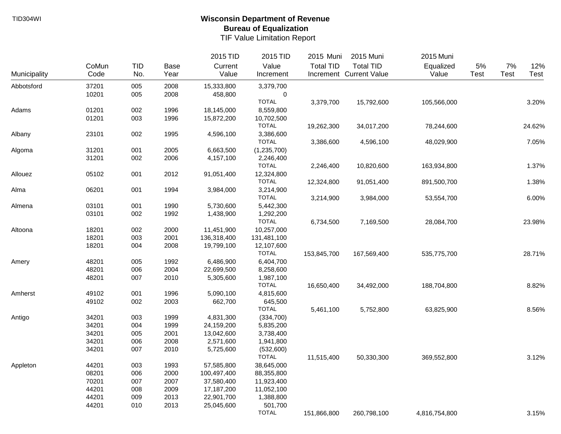|              |       |            |             | 2015 TID    | 2015 TID     | 2015 Muni        | 2015 Muni               | 2015 Muni     |             |      |        |
|--------------|-------|------------|-------------|-------------|--------------|------------------|-------------------------|---------------|-------------|------|--------|
|              | CoMun | <b>TID</b> | <b>Base</b> | Current     | Value        | <b>Total TID</b> | <b>Total TID</b>        | Equalized     | 5%          | 7%   | 12%    |
| Municipality | Code  | No.        | Year        | Value       | Increment    |                  | Increment Current Value | Value         | <b>Test</b> | Test | Test   |
| Abbotsford   | 37201 | 005        | 2008        | 15,333,800  | 3,379,700    |                  |                         |               |             |      |        |
|              | 10201 | 005        | 2008        | 458,800     | 0            |                  |                         |               |             |      |        |
|              |       |            |             |             | <b>TOTAL</b> | 3,379,700        | 15,792,600              | 105,566,000   |             |      | 3.20%  |
| Adams        | 01201 | 002        | 1996        | 18,145,000  | 8,559,800    |                  |                         |               |             |      |        |
|              | 01201 | 003        | 1996        | 15,872,200  | 10,702,500   |                  |                         |               |             |      |        |
|              |       |            |             |             | <b>TOTAL</b> | 19,262,300       | 34,017,200              | 78,244,600    |             |      | 24.62% |
| Albany       | 23101 | 002        | 1995        | 4,596,100   | 3,386,600    |                  |                         |               |             |      |        |
|              |       |            |             |             | <b>TOTAL</b> | 3,386,600        | 4,596,100               | 48,029,900    |             |      | 7.05%  |
| Algoma       | 31201 | 001        | 2005        | 6,663,500   | (1,235,700)  |                  |                         |               |             |      |        |
|              | 31201 | 002        | 2006        | 4,157,100   | 2,246,400    |                  |                         |               |             |      |        |
|              |       |            |             |             | <b>TOTAL</b> | 2,246,400        | 10,820,600              | 163,934,800   |             |      | 1.37%  |
| Allouez      | 05102 | 001        | 2012        | 91,051,400  | 12,324,800   |                  |                         |               |             |      |        |
|              |       |            |             |             | <b>TOTAL</b> | 12,324,800       | 91,051,400              | 891,500,700   |             |      | 1.38%  |
| Alma         | 06201 | 001        | 1994        | 3,984,000   | 3,214,900    |                  |                         |               |             |      |        |
|              |       |            |             |             | <b>TOTAL</b> | 3,214,900        | 3,984,000               | 53,554,700    |             |      | 6.00%  |
| Almena       | 03101 | 001        | 1990        | 5,730,600   | 5,442,300    |                  |                         |               |             |      |        |
|              | 03101 | 002        | 1992        | 1,438,900   | 1,292,200    |                  |                         |               |             |      |        |
|              |       |            |             |             | <b>TOTAL</b> | 6,734,500        | 7,169,500               | 28,084,700    |             |      | 23.98% |
| Altoona      | 18201 | 002        | 2000        | 11,451,900  | 10,257,000   |                  |                         |               |             |      |        |
|              | 18201 | 003        | 2001        | 136,318,400 | 131,481,100  |                  |                         |               |             |      |        |
|              | 18201 | 004        | 2008        | 19,799,100  | 12,107,600   |                  |                         |               |             |      |        |
|              |       |            |             |             | <b>TOTAL</b> | 153,845,700      | 167,569,400             | 535,775,700   |             |      | 28.71% |
| Amery        | 48201 | 005        | 1992        | 6,486,900   | 6,404,700    |                  |                         |               |             |      |        |
|              | 48201 | 006        | 2004        | 22,699,500  | 8,258,600    |                  |                         |               |             |      |        |
|              | 48201 | 007        | 2010        | 5,305,600   | 1,987,100    |                  |                         |               |             |      |        |
|              |       |            |             |             | <b>TOTAL</b> | 16,650,400       | 34,492,000              | 188,704,800   |             |      | 8.82%  |
| Amherst      | 49102 | 001        | 1996        | 5,090,100   | 4,815,600    |                  |                         |               |             |      |        |
|              | 49102 | 002        | 2003        | 662,700     | 645,500      |                  |                         |               |             |      |        |
|              |       |            |             |             | <b>TOTAL</b> | 5,461,100        | 5,752,800               | 63,825,900    |             |      | 8.56%  |
| Antigo       | 34201 | 003        | 1999        | 4,831,300   | (334,700)    |                  |                         |               |             |      |        |
|              | 34201 | 004        | 1999        | 24,159,200  | 5,835,200    |                  |                         |               |             |      |        |
|              | 34201 | 005        | 2001        | 13,042,600  | 3,738,400    |                  |                         |               |             |      |        |
|              | 34201 | 006        | 2008        | 2,571,600   | 1,941,800    |                  |                         |               |             |      |        |
|              | 34201 | 007        | 2010        | 5,725,600   | (532,600)    |                  |                         |               |             |      |        |
|              |       |            |             |             | <b>TOTAL</b> | 11,515,400       | 50,330,300              | 369,552,800   |             |      | 3.12%  |
| Appleton     | 44201 | 003        | 1993        | 57,585,800  | 38,645,000   |                  |                         |               |             |      |        |
|              | 08201 | 006        | 2000        | 100,497,400 | 88,355,800   |                  |                         |               |             |      |        |
|              | 70201 | 007        | 2007        | 37,580,400  | 11,923,400   |                  |                         |               |             |      |        |
|              | 44201 | 008        | 2009        | 17,187,200  | 11,052,100   |                  |                         |               |             |      |        |
|              | 44201 | 009        | 2013        | 22,901,700  | 1,388,800    |                  |                         |               |             |      |        |
|              | 44201 | 010        | 2013        | 25,045,600  | 501,700      |                  |                         |               |             |      |        |
|              |       |            |             |             | <b>TOTAL</b> | 151,866,800      | 260,798,100             | 4,816,754,800 |             |      | 3.15%  |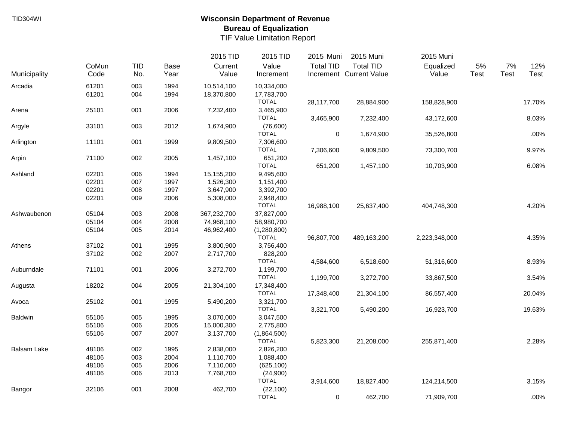|                    |       |            |      | 2015 TID    | 2015 TID     | 2015 Muni        | 2015 Muni               | 2015 Muni     |       |             |        |
|--------------------|-------|------------|------|-------------|--------------|------------------|-------------------------|---------------|-------|-------------|--------|
|                    | CoMun | <b>TID</b> | Base | Current     | Value        | <b>Total TID</b> | <b>Total TID</b>        | Equalized     | $5\%$ | 7%          | 12%    |
| Municipality       | Code  | No.        | Year | Value       | Increment    |                  | Increment Current Value | Value         | Test  | <b>Test</b> | Test   |
| Arcadia            | 61201 | 003        | 1994 | 10,514,100  | 10,334,000   |                  |                         |               |       |             |        |
|                    | 61201 | 004        | 1994 | 18,370,800  | 17,783,700   |                  |                         |               |       |             |        |
|                    |       |            |      |             | <b>TOTAL</b> | 28,117,700       | 28,884,900              | 158,828,900   |       |             | 17.70% |
| Arena              | 25101 | 001        | 2006 | 7,232,400   | 3,465,900    |                  |                         |               |       |             |        |
|                    |       |            |      |             | <b>TOTAL</b> | 3,465,900        | 7,232,400               | 43,172,600    |       |             | 8.03%  |
| Argyle             | 33101 | 003        | 2012 | 1,674,900   | (76,600)     |                  |                         |               |       |             |        |
|                    |       |            |      |             | <b>TOTAL</b> | $\mathbf 0$      | 1,674,900               | 35,526,800    |       |             | .00%   |
| Arlington          | 11101 | 001        | 1999 | 9,809,500   | 7,306,600    |                  |                         |               |       |             |        |
|                    |       |            |      |             | <b>TOTAL</b> | 7,306,600        | 9,809,500               | 73,300,700    |       |             | 9.97%  |
| Arpin              | 71100 | 002        | 2005 | 1,457,100   | 651,200      |                  |                         |               |       |             |        |
|                    |       |            |      |             | <b>TOTAL</b> | 651,200          | 1,457,100               | 10,703,900    |       |             | 6.08%  |
| Ashland            | 02201 | 006        | 1994 | 15,155,200  | 9,495,600    |                  |                         |               |       |             |        |
|                    | 02201 | 007        | 1997 | 1,526,300   | 1,151,400    |                  |                         |               |       |             |        |
|                    | 02201 | 008        | 1997 | 3,647,900   | 3,392,700    |                  |                         |               |       |             |        |
|                    | 02201 | 009        | 2006 | 5,308,000   | 2,948,400    |                  |                         |               |       |             |        |
|                    |       |            |      |             | <b>TOTAL</b> | 16,988,100       | 25,637,400              | 404,748,300   |       |             | 4.20%  |
| Ashwaubenon        | 05104 | 003        | 2008 | 367,232,700 | 37,827,000   |                  |                         |               |       |             |        |
|                    | 05104 | 004        | 2008 | 74,968,100  | 58,980,700   |                  |                         |               |       |             |        |
|                    | 05104 | 005        | 2014 | 46,962,400  | (1,280,800)  |                  |                         |               |       |             |        |
|                    |       |            |      |             | <b>TOTAL</b> | 96,807,700       | 489,163,200             | 2,223,348,000 |       |             | 4.35%  |
| Athens             | 37102 | 001        | 1995 | 3,800,900   | 3,756,400    |                  |                         |               |       |             |        |
|                    | 37102 | 002        | 2007 | 2,717,700   | 828,200      |                  |                         |               |       |             |        |
|                    |       |            |      |             | <b>TOTAL</b> | 4,584,600        | 6,518,600               | 51,316,600    |       |             | 8.93%  |
| Auburndale         | 71101 | 001        | 2006 | 3,272,700   | 1,199,700    |                  |                         |               |       |             |        |
|                    |       |            |      |             | <b>TOTAL</b> | 1,199,700        | 3,272,700               | 33,867,500    |       |             | 3.54%  |
| Augusta            | 18202 | 004        | 2005 | 21,304,100  | 17,348,400   |                  |                         |               |       |             |        |
|                    |       |            |      |             | <b>TOTAL</b> | 17,348,400       | 21,304,100              | 86,557,400    |       |             | 20.04% |
| Avoca              | 25102 | 001        | 1995 | 5,490,200   | 3,321,700    |                  |                         |               |       |             |        |
|                    |       |            |      |             | <b>TOTAL</b> | 3,321,700        | 5,490,200               | 16,923,700    |       |             | 19.63% |
| Baldwin            | 55106 | 005        | 1995 | 3,070,000   | 3,047,500    |                  |                         |               |       |             |        |
|                    | 55106 | 006        | 2005 | 15,000,300  | 2,775,800    |                  |                         |               |       |             |        |
|                    | 55106 | 007        | 2007 | 3,137,700   | (1,864,500)  |                  |                         |               |       |             |        |
|                    |       |            |      |             | <b>TOTAL</b> | 5,823,300        | 21,208,000              | 255,871,400   |       |             | 2.28%  |
| <b>Balsam Lake</b> | 48106 | 002        | 1995 | 2,838,000   | 2,826,200    |                  |                         |               |       |             |        |
|                    | 48106 | 003        | 2004 | 1,110,700   | 1,088,400    |                  |                         |               |       |             |        |
|                    | 48106 | 005        | 2006 | 7,110,000   | (625, 100)   |                  |                         |               |       |             |        |
|                    | 48106 | 006        | 2013 | 7,768,700   | (24,900)     |                  |                         |               |       |             |        |
|                    |       |            |      |             | <b>TOTAL</b> | 3,914,600        | 18,827,400              | 124,214,500   |       |             | 3.15%  |
| Bangor             | 32106 | 001        | 2008 | 462,700     | (22, 100)    |                  |                         |               |       |             |        |
|                    |       |            |      |             | <b>TOTAL</b> | $\mathbf 0$      | 462,700                 | 71,909,700    |       |             | .00%   |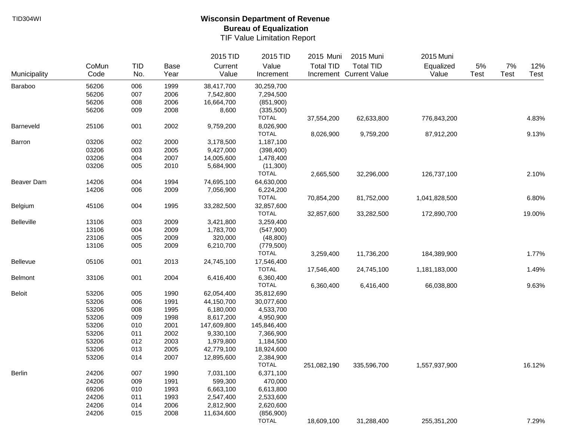|               |       |            |             | 2015 TID    | 2015 TID     | 2015 Muni        | 2015 Muni               | 2015 Muni     |             |      |        |
|---------------|-------|------------|-------------|-------------|--------------|------------------|-------------------------|---------------|-------------|------|--------|
|               | CoMun | <b>TID</b> | <b>Base</b> | Current     | Value        | <b>Total TID</b> | <b>Total TID</b>        | Equalized     | 5%          | 7%   | 12%    |
| Municipality  | Code  | No.        | Year        | Value       | Increment    |                  | Increment Current Value | Value         | <b>Test</b> | Test | Test   |
| Baraboo       | 56206 | 006        | 1999        | 38,417,700  | 30,259,700   |                  |                         |               |             |      |        |
|               | 56206 | 007        | 2006        | 7,542,800   | 7,294,500    |                  |                         |               |             |      |        |
|               | 56206 | 008        | 2006        | 16,664,700  | (851,900)    |                  |                         |               |             |      |        |
|               | 56206 | 009        | 2008        | 8,600       | (335,500)    |                  |                         |               |             |      |        |
|               |       |            |             |             | <b>TOTAL</b> | 37,554,200       | 62,633,800              | 776,843,200   |             |      | 4.83%  |
| Barneveld     | 25106 | 001        | 2002        | 9,759,200   | 8,026,900    |                  |                         |               |             |      |        |
|               |       |            |             |             | <b>TOTAL</b> | 8,026,900        | 9,759,200               | 87,912,200    |             |      | 9.13%  |
| Barron        | 03206 | 002        | 2000        | 3,178,500   | 1,187,100    |                  |                         |               |             |      |        |
|               | 03206 | 003        | 2005        | 9,427,000   | (398, 400)   |                  |                         |               |             |      |        |
|               | 03206 | 004        | 2007        | 14,005,600  | 1,478,400    |                  |                         |               |             |      |        |
|               | 03206 | 005        | 2010        | 5,684,900   | (11,300)     |                  |                         |               |             |      |        |
|               |       |            |             |             | <b>TOTAL</b> | 2,665,500        | 32,296,000              | 126,737,100   |             |      | 2.10%  |
| Beaver Dam    | 14206 | 004        | 1994        | 74,695,100  | 64,630,000   |                  |                         |               |             |      |        |
|               | 14206 | 006        | 2009        | 7,056,900   | 6,224,200    |                  |                         |               |             |      |        |
|               |       |            |             |             | <b>TOTAL</b> | 70,854,200       | 81,752,000              | 1,041,828,500 |             |      | 6.80%  |
| Belgium       | 45106 | 004        | 1995        | 33,282,500  | 32,857,600   |                  |                         |               |             |      |        |
|               |       |            |             |             | <b>TOTAL</b> | 32,857,600       | 33,282,500              | 172,890,700   |             |      | 19.00% |
| Belleville    | 13106 | 003        | 2009        | 3,421,800   | 3,259,400    |                  |                         |               |             |      |        |
|               | 13106 | 004        | 2009        | 1,783,700   | (547,900)    |                  |                         |               |             |      |        |
|               | 23106 | 005        | 2009        | 320,000     | (48, 800)    |                  |                         |               |             |      |        |
|               | 13106 | 005        | 2009        | 6,210,700   | (779, 500)   |                  |                         |               |             |      |        |
|               |       |            |             |             | <b>TOTAL</b> | 3,259,400        | 11,736,200              | 184,389,900   |             |      | 1.77%  |
| Bellevue      | 05106 | 001        | 2013        | 24,745,100  | 17,546,400   |                  |                         |               |             |      |        |
|               |       |            |             |             | <b>TOTAL</b> | 17,546,400       | 24,745,100              | 1,181,183,000 |             |      | 1.49%  |
| Belmont       | 33106 | 001        | 2004        | 6,416,400   | 6,360,400    |                  |                         |               |             |      |        |
|               |       |            |             |             | <b>TOTAL</b> | 6,360,400        | 6,416,400               | 66,038,800    |             |      | 9.63%  |
| <b>Beloit</b> | 53206 | 005        | 1990        | 62,054,400  | 35,812,690   |                  |                         |               |             |      |        |
|               | 53206 | 006        | 1991        | 44,150,700  | 30,077,600   |                  |                         |               |             |      |        |
|               | 53206 | 008        | 1995        | 6,180,000   | 4,533,700    |                  |                         |               |             |      |        |
|               | 53206 | 009        | 1998        | 8,617,200   | 4,950,900    |                  |                         |               |             |      |        |
|               | 53206 | 010        | 2001        | 147,609,800 | 145,846,400  |                  |                         |               |             |      |        |
|               | 53206 | 011        | 2002        | 9,330,100   | 7,366,900    |                  |                         |               |             |      |        |
|               | 53206 | 012        | 2003        | 1,979,800   | 1,184,500    |                  |                         |               |             |      |        |
|               | 53206 | 013        | 2005        | 42,779,100  | 18,924,600   |                  |                         |               |             |      |        |
|               | 53206 | 014        | 2007        | 12,895,600  | 2,384,900    |                  |                         |               |             |      |        |
|               |       |            |             |             | <b>TOTAL</b> | 251,082,190      | 335,596,700             | 1,557,937,900 |             |      | 16.12% |
| Berlin        | 24206 | 007        | 1990        | 7,031,100   | 6,371,100    |                  |                         |               |             |      |        |
|               | 24206 | 009        | 1991        | 599,300     | 470,000      |                  |                         |               |             |      |        |
|               | 69206 | 010        | 1993        | 6,663,100   | 6,613,800    |                  |                         |               |             |      |        |
|               | 24206 | 011        | 1993        | 2,547,400   | 2,533,600    |                  |                         |               |             |      |        |
|               | 24206 | 014        | 2006        | 2,812,900   | 2,620,600    |                  |                         |               |             |      |        |
|               | 24206 | 015        | 2008        | 11,634,600  | (856,900)    |                  |                         |               |             |      |        |
|               |       |            |             |             | <b>TOTAL</b> | 18,609,100       | 31,288,400              | 255,351,200   |             |      | 7.29%  |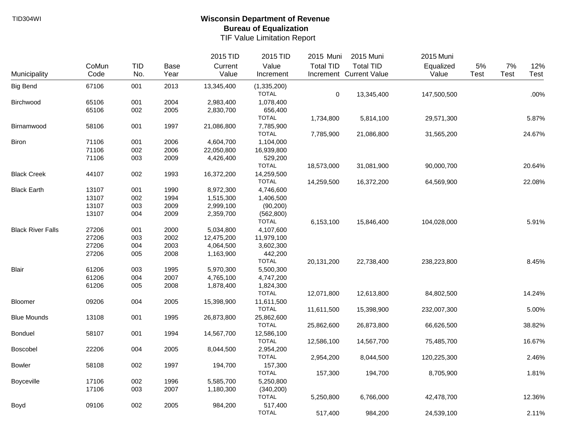|                          |       |            |             | 2015 TID   | 2015 TID                  | 2015 Muni        | 2015 Muni               | 2015 Muni   |      |             |        |
|--------------------------|-------|------------|-------------|------------|---------------------------|------------------|-------------------------|-------------|------|-------------|--------|
|                          | CoMun | <b>TID</b> | <b>Base</b> | Current    | Value                     | <b>Total TID</b> | <b>Total TID</b>        | Equalized   | 5%   | 7%          | 12%    |
| Municipality             | Code  | No.        | Year        | Value      | Increment                 |                  | Increment Current Value | Value       | Test | <b>Test</b> | Test   |
| <b>Big Bend</b>          | 67106 | 001        | 2013        | 13,345,400 | (1,335,200)               |                  |                         |             |      |             |        |
| Birchwood                | 65106 | 001        | 2004        | 2,983,400  | <b>TOTAL</b><br>1,078,400 | $\mathbf 0$      | 13,345,400              | 147,500,500 |      |             | .00%   |
|                          | 65106 | 002        | 2005        | 2,830,700  | 656,400                   |                  |                         |             |      |             |        |
|                          |       |            |             |            | <b>TOTAL</b>              | 1,734,800        | 5,814,100               | 29,571,300  |      |             | 5.87%  |
| Birnamwood               | 58106 | 001        | 1997        | 21,086,800 | 7,785,900                 |                  |                         |             |      |             |        |
|                          |       |            |             |            | <b>TOTAL</b>              | 7,785,900        | 21,086,800              | 31,565,200  |      |             | 24.67% |
| Biron                    | 71106 | 001        | 2006        | 4,604,700  | 1,104,000                 |                  |                         |             |      |             |        |
|                          | 71106 | 002        | 2006        | 22,050,800 | 16,939,800                |                  |                         |             |      |             |        |
|                          | 71106 | 003        | 2009        | 4,426,400  | 529,200                   |                  |                         |             |      |             |        |
|                          |       |            |             |            | <b>TOTAL</b>              | 18,573,000       | 31,081,900              | 90,000,700  |      |             | 20.64% |
| <b>Black Creek</b>       | 44107 | 002        | 1993        | 16,372,200 | 14,259,500                |                  |                         |             |      |             |        |
|                          |       |            |             |            | <b>TOTAL</b>              | 14,259,500       | 16,372,200              | 64,569,900  |      |             | 22.08% |
| <b>Black Earth</b>       | 13107 | 001        | 1990        | 8,972,300  | 4,746,600                 |                  |                         |             |      |             |        |
|                          | 13107 | 002        | 1994        | 1,515,300  | 1,406,500                 |                  |                         |             |      |             |        |
|                          | 13107 | 003        | 2009        | 2,999,100  | (90, 200)                 |                  |                         |             |      |             |        |
|                          | 13107 | 004        | 2009        | 2,359,700  | (562, 800)                |                  |                         |             |      |             |        |
|                          |       |            |             |            | <b>TOTAL</b>              | 6,153,100        | 15,846,400              | 104,028,000 |      |             | 5.91%  |
| <b>Black River Falls</b> | 27206 | 001        | 2000        | 5,034,800  | 4,107,600                 |                  |                         |             |      |             |        |
|                          | 27206 | 003        | 2002        | 12,475,200 | 11,979,100                |                  |                         |             |      |             |        |
|                          | 27206 | 004        | 2003        | 4,064,500  | 3,602,300                 |                  |                         |             |      |             |        |
|                          | 27206 | 005        | 2008        | 1,163,900  | 442,200                   |                  |                         |             |      |             |        |
|                          |       |            |             |            | <b>TOTAL</b>              | 20,131,200       | 22,738,400              | 238,223,800 |      |             | 8.45%  |
| Blair                    | 61206 | 003        | 1995        | 5,970,300  | 5,500,300                 |                  |                         |             |      |             |        |
|                          | 61206 | 004        | 2007        | 4,765,100  | 4,747,200                 |                  |                         |             |      |             |        |
|                          | 61206 | 005        | 2008        | 1,878,400  | 1,824,300                 |                  |                         |             |      |             |        |
|                          |       |            |             |            | <b>TOTAL</b>              | 12,071,800       | 12,613,800              | 84,802,500  |      |             | 14.24% |
| Bloomer                  | 09206 | 004        | 2005        | 15,398,900 | 11,611,500                |                  |                         |             |      |             |        |
|                          |       |            |             |            | <b>TOTAL</b>              | 11,611,500       | 15,398,900              | 232,007,300 |      |             | 5.00%  |
| <b>Blue Mounds</b>       | 13108 | 001        | 1995        | 26,873,800 | 25,862,600                |                  |                         |             |      |             |        |
|                          |       |            |             |            | <b>TOTAL</b>              | 25,862,600       | 26,873,800              | 66,626,500  |      |             | 38.82% |
| Bonduel                  | 58107 | 001        | 1994        | 14,567,700 | 12,586,100                |                  |                         |             |      |             |        |
|                          |       |            |             |            | <b>TOTAL</b>              | 12,586,100       | 14,567,700              | 75,485,700  |      |             | 16.67% |
| <b>Boscobel</b>          | 22206 | 004        | 2005        | 8,044,500  | 2,954,200                 |                  |                         |             |      |             |        |
|                          |       |            |             |            | <b>TOTAL</b>              | 2,954,200        | 8,044,500               | 120,225,300 |      |             | 2.46%  |
| <b>Bowler</b>            | 58108 | 002        | 1997        | 194,700    | 157,300                   |                  |                         |             |      |             |        |
|                          |       |            |             |            | <b>TOTAL</b>              | 157,300          | 194,700                 | 8,705,900   |      |             | 1.81%  |
| <b>Boyceville</b>        | 17106 | 002        | 1996        | 5,585,700  | 5,250,800                 |                  |                         |             |      |             |        |
|                          | 17106 | 003        | 2007        | 1,180,300  | (340, 200)                |                  |                         |             |      |             |        |
|                          |       |            |             |            | <b>TOTAL</b>              | 5,250,800        | 6,766,000               | 42,478,700  |      |             | 12.36% |
| Boyd                     | 09106 | 002        | 2005        | 984,200    | 517,400                   |                  |                         |             |      |             |        |
|                          |       |            |             |            | <b>TOTAL</b>              | 517,400          | 984,200                 | 24,539,100  |      |             | 2.11%  |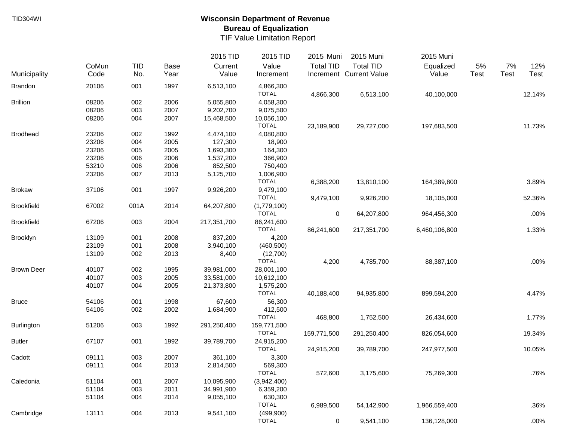|                   |       |            |      | 2015 TID    | 2015 TID                 | 2015 Muni        | 2015 Muni               | 2015 Muni     |      |      |        |
|-------------------|-------|------------|------|-------------|--------------------------|------------------|-------------------------|---------------|------|------|--------|
|                   | CoMun | <b>TID</b> | Base | Current     | Value                    | <b>Total TID</b> | <b>Total TID</b>        | Equalized     | 5%   | 7%   | 12%    |
| Municipality      | Code  | No.        | Year | Value       | Increment                |                  | Increment Current Value | Value         | Test | Test | Test   |
| Brandon           | 20106 | 001        | 1997 | 6,513,100   | 4,866,300                |                  |                         |               |      |      |        |
|                   |       |            |      |             | <b>TOTAL</b>             | 4,866,300        | 6,513,100               | 40,100,000    |      |      | 12.14% |
| <b>Brillion</b>   | 08206 | 002        | 2006 | 5,055,800   | 4,058,300                |                  |                         |               |      |      |        |
|                   | 08206 | 003        | 2007 | 9,202,700   | 9,075,500                |                  |                         |               |      |      |        |
|                   | 08206 | 004        | 2007 | 15,468,500  | 10,056,100               |                  |                         |               |      |      |        |
|                   |       |            |      |             | <b>TOTAL</b>             | 23,189,900       | 29,727,000              | 197,683,500   |      |      | 11.73% |
| <b>Brodhead</b>   | 23206 | 002        | 1992 | 4,474,100   | 4,080,800                |                  |                         |               |      |      |        |
|                   | 23206 | 004        | 2005 | 127,300     | 18,900                   |                  |                         |               |      |      |        |
|                   | 23206 | 005        | 2005 | 1,693,300   | 164,300                  |                  |                         |               |      |      |        |
|                   | 23206 | 006        | 2006 | 1,537,200   | 366,900                  |                  |                         |               |      |      |        |
|                   | 53210 | 006        | 2006 | 852,500     | 750,400                  |                  |                         |               |      |      |        |
|                   | 23206 | 007        | 2013 | 5,125,700   | 1,006,900                |                  |                         |               |      |      |        |
|                   |       |            |      |             | <b>TOTAL</b>             | 6,388,200        | 13,810,100              | 164,389,800   |      |      | 3.89%  |
| <b>Brokaw</b>     | 37106 | 001        | 1997 | 9,926,200   | 9,479,100                |                  |                         |               |      |      |        |
|                   |       |            |      |             | <b>TOTAL</b>             | 9,479,100        | 9,926,200               | 18,105,000    |      |      | 52.36% |
| <b>Brookfield</b> | 67002 | 001A       | 2014 | 64,207,800  | (1,779,100)              |                  |                         |               |      |      |        |
|                   |       |            |      |             | <b>TOTAL</b>             | 0                | 64,207,800              | 964,456,300   |      |      | .00%   |
| <b>Brookfield</b> | 67206 | 003        | 2004 | 217,351,700 | 86,241,600               |                  |                         |               |      |      |        |
|                   |       |            |      |             | <b>TOTAL</b>             | 86,241,600       | 217,351,700             | 6,460,106,800 |      |      | 1.33%  |
| Brooklyn          | 13109 | 001        | 2008 | 837,200     | 4,200                    |                  |                         |               |      |      |        |
|                   | 23109 | 001        | 2008 | 3,940,100   | (460, 500)               |                  |                         |               |      |      |        |
|                   | 13109 | 002        |      |             |                          |                  |                         |               |      |      |        |
|                   |       |            | 2013 | 8,400       | (12,700)<br><b>TOTAL</b> |                  |                         |               |      |      | .00%   |
|                   |       |            |      |             |                          | 4,200            | 4,785,700               | 88,387,100    |      |      |        |
| <b>Brown Deer</b> | 40107 | 002        | 1995 | 39,981,000  | 28,001,100               |                  |                         |               |      |      |        |
|                   | 40107 | 003        | 2005 | 33,581,000  | 10,612,100               |                  |                         |               |      |      |        |
|                   | 40107 | 004        | 2005 | 21,373,800  | 1,575,200                |                  |                         |               |      |      |        |
|                   |       |            |      |             | <b>TOTAL</b>             | 40,188,400       | 94,935,800              | 899,594,200   |      |      | 4.47%  |
| <b>Bruce</b>      | 54106 | 001        | 1998 | 67,600      | 56,300                   |                  |                         |               |      |      |        |
|                   | 54106 | 002        | 2002 | 1,684,900   | 412,500                  |                  |                         |               |      |      |        |
|                   |       |            |      |             | <b>TOTAL</b>             | 468,800          | 1,752,500               | 26,434,600    |      |      | 1.77%  |
| <b>Burlington</b> | 51206 | 003        | 1992 | 291,250,400 | 159,771,500              |                  |                         |               |      |      |        |
|                   |       |            |      |             | <b>TOTAL</b>             | 159,771,500      | 291,250,400             | 826,054,600   |      |      | 19.34% |
| <b>Butler</b>     | 67107 | 001        | 1992 | 39,789,700  | 24,915,200               |                  |                         |               |      |      |        |
|                   |       |            |      |             | <b>TOTAL</b>             | 24,915,200       | 39,789,700              | 247,977,500   |      |      | 10.05% |
| Cadott            | 09111 | 003        | 2007 | 361,100     | 3,300                    |                  |                         |               |      |      |        |
|                   | 09111 | 004        | 2013 | 2,814,500   | 569,300                  |                  |                         |               |      |      |        |
|                   |       |            |      |             | <b>TOTAL</b>             | 572,600          | 3,175,600               | 75,269,300    |      |      | .76%   |
| Caledonia         | 51104 | 001        | 2007 | 10,095,900  | (3,942,400)              |                  |                         |               |      |      |        |
|                   | 51104 | 003        | 2011 | 34,991,900  | 6,359,200                |                  |                         |               |      |      |        |
|                   | 51104 | 004        | 2014 | 9,055,100   | 630,300                  |                  |                         |               |      |      |        |
|                   |       |            |      |             | <b>TOTAL</b>             | 6,989,500        | 54,142,900              | 1,966,559,400 |      |      | .36%   |
| Cambridge         | 13111 | 004        | 2013 | 9,541,100   | (499,900)                |                  |                         |               |      |      |        |
|                   |       |            |      |             | <b>TOTAL</b>             | 0                | 9,541,100               | 136,128,000   |      |      | .00%   |
|                   |       |            |      |             |                          |                  |                         |               |      |      |        |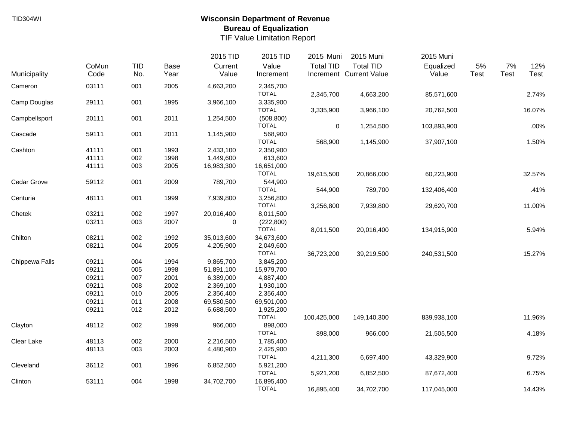|                |       |     |             | 2015 TID   | 2015 TID                   | 2015 Muni        | 2015 Muni               | 2015 Muni   |       |             |        |
|----------------|-------|-----|-------------|------------|----------------------------|------------------|-------------------------|-------------|-------|-------------|--------|
|                | CoMun | TID | <b>Base</b> | Current    | Value                      | <b>Total TID</b> | <b>Total TID</b>        | Equalized   | $5\%$ | 7%          | 12%    |
| Municipality   | Code  | No. | Year        | Value      | Increment                  |                  | Increment Current Value | Value       | Test  | <b>Test</b> | Test   |
| Cameron        | 03111 | 001 | 2005        | 4,663,200  | 2,345,700                  |                  |                         |             |       |             |        |
|                |       |     |             |            | <b>TOTAL</b>               | 2,345,700        | 4,663,200               | 85,571,600  |       |             | 2.74%  |
| Camp Douglas   | 29111 | 001 | 1995        | 3,966,100  | 3,335,900                  |                  |                         |             |       |             |        |
|                |       |     |             |            | <b>TOTAL</b>               | 3,335,900        | 3,966,100               | 20,762,500  |       |             | 16.07% |
| Campbellsport  | 20111 | 001 | 2011        | 1,254,500  | (508, 800)                 |                  |                         |             |       |             |        |
|                |       |     |             |            | <b>TOTAL</b>               | $\pmb{0}$        | 1,254,500               | 103,893,900 |       |             | .00%   |
| Cascade        | 59111 | 001 | 2011        | 1,145,900  | 568,900                    |                  |                         |             |       |             |        |
|                |       |     |             |            | <b>TOTAL</b>               | 568,900          | 1,145,900               | 37,907,100  |       |             | 1.50%  |
| Cashton        | 41111 | 001 | 1993        | 2,433,100  | 2,350,900                  |                  |                         |             |       |             |        |
|                | 41111 | 002 | 1998        | 1,449,600  | 613,600                    |                  |                         |             |       |             |        |
|                | 41111 | 003 | 2005        | 16,983,300 | 16,651,000                 |                  |                         |             |       |             |        |
|                |       |     |             |            | <b>TOTAL</b>               | 19,615,500       | 20,866,000              | 60,223,900  |       |             | 32.57% |
| Cedar Grove    | 59112 | 001 | 2009        | 789,700    | 544,900                    |                  |                         |             |       |             |        |
|                |       |     |             |            | <b>TOTAL</b>               | 544,900          | 789,700                 | 132,406,400 |       |             | .41%   |
| Centuria       | 48111 | 001 | 1999        | 7,939,800  | 3,256,800                  |                  |                         |             |       |             |        |
|                |       |     |             |            | <b>TOTAL</b>               | 3,256,800        | 7,939,800               | 29,620,700  |       |             | 11.00% |
| Chetek         | 03211 | 002 | 1997        | 20,016,400 | 8,011,500                  |                  |                         |             |       |             |        |
|                | 03211 | 003 | 2007        | 0          | (222, 800)                 |                  |                         |             |       |             |        |
|                |       |     |             |            | <b>TOTAL</b>               | 8,011,500        | 20,016,400              | 134,915,900 |       |             | 5.94%  |
| Chilton        | 08211 | 002 | 1992        | 35,013,600 | 34,673,600                 |                  |                         |             |       |             |        |
|                | 08211 | 004 | 2005        | 4,205,900  | 2,049,600                  |                  |                         |             |       |             |        |
|                |       |     |             |            | <b>TOTAL</b>               | 36,723,200       | 39,219,500              | 240,531,500 |       |             | 15.27% |
| Chippewa Falls | 09211 | 004 | 1994        | 9,865,700  | 3,845,200                  |                  |                         |             |       |             |        |
|                | 09211 | 005 | 1998        | 51,891,100 | 15,979,700                 |                  |                         |             |       |             |        |
|                | 09211 | 007 | 2001        | 6,389,000  | 4,887,400                  |                  |                         |             |       |             |        |
|                | 09211 | 008 | 2002        | 2,369,100  | 1,930,100                  |                  |                         |             |       |             |        |
|                | 09211 | 010 | 2005        | 2,356,400  | 2,356,400                  |                  |                         |             |       |             |        |
|                | 09211 | 011 | 2008        | 69,580,500 | 69,501,000                 |                  |                         |             |       |             |        |
|                | 09211 | 012 | 2012        | 6,688,500  | 1,925,200                  |                  |                         |             |       |             |        |
|                |       |     |             |            | <b>TOTAL</b>               | 100,425,000      | 149,140,300             | 839,938,100 |       |             | 11.96% |
| Clayton        | 48112 | 002 | 1999        | 966,000    | 898,000                    |                  |                         |             |       |             |        |
|                |       |     |             |            | <b>TOTAL</b>               | 898,000          | 966,000                 | 21,505,500  |       |             | 4.18%  |
| Clear Lake     | 48113 | 002 | 2000        | 2,216,500  | 1,785,400                  |                  |                         |             |       |             |        |
|                | 48113 | 003 | 2003        | 4,480,900  | 2,425,900                  |                  |                         |             |       |             |        |
|                |       |     |             |            | <b>TOTAL</b>               | 4,211,300        | 6,697,400               | 43,329,900  |       |             | 9.72%  |
| Cleveland      | 36112 | 001 | 1996        | 6,852,500  | 5,921,200                  |                  |                         |             |       |             |        |
|                |       |     |             |            | <b>TOTAL</b>               | 5,921,200        | 6,852,500               | 87,672,400  |       |             | 6.75%  |
| Clinton        | 53111 | 004 | 1998        | 34,702,700 | 16,895,400<br><b>TOTAL</b> |                  |                         |             |       |             |        |
|                |       |     |             |            |                            | 16,895,400       | 34,702,700              | 117,045,000 |       |             | 14.43% |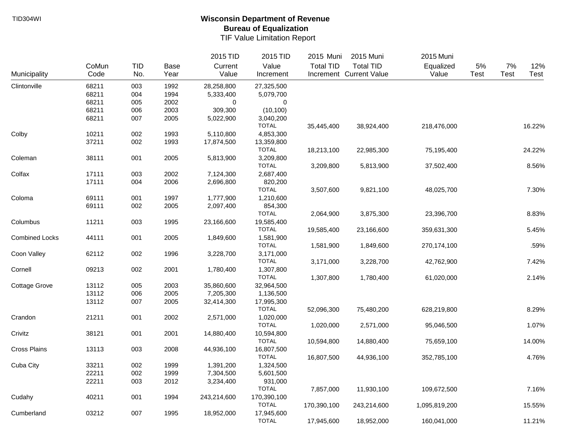|                       |       |            |             | 2015 TID    | 2015 TID     | 2015 Muni        | 2015 Muni               | 2015 Muni     |      |             |        |
|-----------------------|-------|------------|-------------|-------------|--------------|------------------|-------------------------|---------------|------|-------------|--------|
|                       | CoMun | <b>TID</b> | <b>Base</b> | Current     | Value        | <b>Total TID</b> | <b>Total TID</b>        | Equalized     | 5%   | 7%          | 12%    |
| Municipality          | Code  | No.        | Year        | Value       | Increment    |                  | Increment Current Value | Value         | Test | <b>Test</b> | Test   |
| Clintonville          | 68211 | 003        | 1992        | 28,258,800  | 27,325,500   |                  |                         |               |      |             |        |
|                       | 68211 | 004        | 1994        | 5,333,400   | 5,079,700    |                  |                         |               |      |             |        |
|                       | 68211 | 005        | 2002        | 0           | 0            |                  |                         |               |      |             |        |
|                       | 68211 | 006        | 2003        | 309,300     | (10, 100)    |                  |                         |               |      |             |        |
|                       | 68211 | 007        | 2005        | 5,022,900   | 3,040,200    |                  |                         |               |      |             |        |
|                       |       |            |             |             | <b>TOTAL</b> | 35,445,400       | 38,924,400              | 218,476,000   |      |             | 16.22% |
| Colby                 | 10211 | 002        | 1993        | 5,110,800   | 4,853,300    |                  |                         |               |      |             |        |
|                       | 37211 | 002        | 1993        | 17,874,500  | 13,359,800   |                  |                         |               |      |             |        |
|                       |       |            |             |             | <b>TOTAL</b> | 18,213,100       | 22,985,300              | 75,195,400    |      |             | 24.22% |
| Coleman               | 38111 | 001        | 2005        | 5,813,900   | 3,209,800    |                  |                         |               |      |             |        |
|                       |       |            |             |             | <b>TOTAL</b> | 3,209,800        | 5,813,900               | 37,502,400    |      |             | 8.56%  |
| Colfax                | 17111 | 003        | 2002        | 7,124,300   | 2,687,400    |                  |                         |               |      |             |        |
|                       | 17111 | 004        | 2006        | 2,696,800   | 820,200      |                  |                         |               |      |             |        |
|                       |       |            |             |             | <b>TOTAL</b> | 3,507,600        | 9,821,100               | 48,025,700    |      |             | 7.30%  |
| Coloma                | 69111 | 001        | 1997        | 1,777,900   | 1,210,600    |                  |                         |               |      |             |        |
|                       | 69111 | 002        | 2005        | 2,097,400   | 854,300      |                  |                         |               |      |             |        |
|                       |       |            |             |             | <b>TOTAL</b> | 2,064,900        | 3,875,300               | 23,396,700    |      |             | 8.83%  |
| Columbus              | 11211 | 003        | 1995        | 23,166,600  | 19,585,400   |                  |                         |               |      |             |        |
|                       |       |            |             |             | <b>TOTAL</b> | 19,585,400       | 23,166,600              | 359,631,300   |      |             | 5.45%  |
| <b>Combined Locks</b> | 44111 | 001        | 2005        | 1,849,600   | 1,581,900    |                  |                         |               |      |             |        |
|                       |       |            |             |             | <b>TOTAL</b> | 1,581,900        | 1,849,600               | 270,174,100   |      |             | .59%   |
| Coon Valley           | 62112 | 002        | 1996        | 3,228,700   | 3,171,000    |                  |                         |               |      |             |        |
|                       |       |            |             |             | <b>TOTAL</b> | 3,171,000        | 3,228,700               | 42,762,900    |      |             | 7.42%  |
| Cornell               | 09213 | 002        | 2001        | 1,780,400   | 1,307,800    |                  |                         |               |      |             |        |
|                       |       |            |             |             | <b>TOTAL</b> | 1,307,800        | 1,780,400               | 61,020,000    |      |             | 2.14%  |
| <b>Cottage Grove</b>  | 13112 | 005        | 2003        | 35,860,600  | 32,964,500   |                  |                         |               |      |             |        |
|                       | 13112 | 006        | 2005        | 7,205,300   | 1,136,500    |                  |                         |               |      |             |        |
|                       | 13112 | 007        | 2005        | 32,414,300  | 17,995,300   |                  |                         |               |      |             |        |
|                       |       |            |             |             | <b>TOTAL</b> | 52,096,300       | 75,480,200              | 628,219,800   |      |             | 8.29%  |
| Crandon               | 21211 | 001        | 2002        | 2,571,000   | 1,020,000    |                  |                         |               |      |             |        |
|                       |       |            |             |             | <b>TOTAL</b> | 1,020,000        | 2,571,000               | 95,046,500    |      |             | 1.07%  |
| Crivitz               | 38121 | 001        | 2001        | 14,880,400  | 10,594,800   |                  |                         |               |      |             |        |
|                       |       |            |             |             | <b>TOTAL</b> | 10,594,800       | 14,880,400              | 75,659,100    |      |             | 14.00% |
| <b>Cross Plains</b>   | 13113 | 003        | 2008        | 44,936,100  | 16,807,500   |                  |                         |               |      |             |        |
|                       |       |            |             |             | <b>TOTAL</b> | 16,807,500       | 44,936,100              | 352,785,100   |      |             | 4.76%  |
| Cuba City             | 33211 | 002        | 1999        | 1,391,200   | 1,324,500    |                  |                         |               |      |             |        |
|                       | 22211 | 002        | 1999        | 7,304,500   | 5,601,500    |                  |                         |               |      |             |        |
|                       | 22211 | 003        | 2012        | 3,234,400   | 931,000      |                  |                         |               |      |             |        |
|                       |       |            |             |             | <b>TOTAL</b> | 7,857,000        | 11,930,100              | 109,672,500   |      |             | 7.16%  |
| Cudahy                | 40211 | 001        | 1994        | 243,214,600 | 170,390,100  |                  |                         |               |      |             |        |
|                       |       |            |             |             | <b>TOTAL</b> | 170,390,100      | 243,214,600             | 1,095,819,200 |      |             | 15.55% |
| Cumberland            | 03212 | 007        | 1995        | 18,952,000  | 17,945,600   |                  |                         |               |      |             |        |
|                       |       |            |             |             | <b>TOTAL</b> | 17,945,600       | 18,952,000              | 160,041,000   |      |             | 11.21% |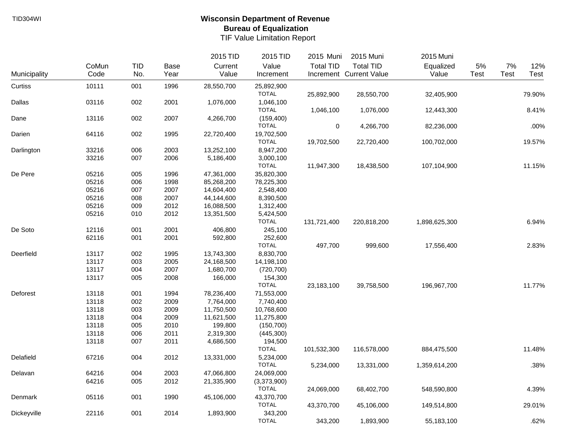|              |       |            |      | 2015 TID   | 2015 TID     | 2015 Muni        | 2015 Muni               | 2015 Muni     |             |      |        |
|--------------|-------|------------|------|------------|--------------|------------------|-------------------------|---------------|-------------|------|--------|
|              | CoMun | <b>TID</b> | Base | Current    | Value        | <b>Total TID</b> | <b>Total TID</b>        | Equalized     | 5%          | 7%   | 12%    |
| Municipality | Code  | No.        | Year | Value      | Increment    |                  | Increment Current Value | Value         | <b>Test</b> | Test | Test   |
| Curtiss      | 10111 | 001        | 1996 | 28,550,700 | 25,892,900   |                  |                         |               |             |      |        |
|              |       |            |      |            | <b>TOTAL</b> | 25,892,900       | 28,550,700              | 32,405,900    |             |      | 79.90% |
| Dallas       | 03116 | 002        | 2001 | 1,076,000  | 1,046,100    |                  |                         |               |             |      |        |
|              |       |            |      |            | <b>TOTAL</b> | 1,046,100        | 1,076,000               | 12,443,300    |             |      | 8.41%  |
| Dane         | 13116 | 002        | 2007 | 4,266,700  | (159, 400)   |                  |                         |               |             |      |        |
|              |       |            |      |            | <b>TOTAL</b> | 0                | 4,266,700               | 82,236,000    |             |      | .00%   |
| Darien       | 64116 | 002        | 1995 | 22,720,400 | 19,702,500   |                  |                         |               |             |      |        |
|              |       |            |      |            | <b>TOTAL</b> | 19,702,500       | 22,720,400              | 100,702,000   |             |      | 19.57% |
| Darlington   | 33216 | 006        | 2003 | 13,252,100 | 8,947,200    |                  |                         |               |             |      |        |
|              | 33216 | 007        | 2006 | 5,186,400  | 3,000,100    |                  |                         |               |             |      |        |
|              |       |            |      |            | <b>TOTAL</b> | 11,947,300       | 18,438,500              | 107,104,900   |             |      | 11.15% |
| De Pere      | 05216 | 005        | 1996 | 47,361,000 | 35,820,300   |                  |                         |               |             |      |        |
|              | 05216 | 006        | 1998 | 85,268,200 | 78,225,300   |                  |                         |               |             |      |        |
|              | 05216 | 007        | 2007 | 14,604,400 | 2,548,400    |                  |                         |               |             |      |        |
|              | 05216 | 008        | 2007 | 44,144,600 | 8,390,500    |                  |                         |               |             |      |        |
|              | 05216 | 009        | 2012 | 16,088,500 | 1,312,400    |                  |                         |               |             |      |        |
|              | 05216 | 010        | 2012 | 13,351,500 | 5,424,500    |                  |                         |               |             |      |        |
|              |       |            |      |            | <b>TOTAL</b> | 131,721,400      | 220,818,200             | 1,898,625,300 |             |      | 6.94%  |
| De Soto      | 12116 | 001        | 2001 | 406,800    | 245,100      |                  |                         |               |             |      |        |
|              | 62116 | 001        | 2001 | 592,800    | 252,600      |                  |                         |               |             |      |        |
|              |       |            |      |            | <b>TOTAL</b> | 497,700          | 999,600                 | 17,556,400    |             |      | 2.83%  |
| Deerfield    | 13117 | 002        | 1995 | 13,743,300 | 8,830,700    |                  |                         |               |             |      |        |
|              | 13117 | 003        | 2005 | 24,168,500 | 14,198,100   |                  |                         |               |             |      |        |
|              | 13117 | 004        | 2007 | 1,680,700  | (720, 700)   |                  |                         |               |             |      |        |
|              | 13117 | 005        | 2008 | 166,000    | 154,300      |                  |                         |               |             |      |        |
|              |       |            |      |            | <b>TOTAL</b> | 23,183,100       | 39,758,500              | 196,967,700   |             |      | 11.77% |
| Deforest     | 13118 | 001        | 1994 | 78,236,400 | 71,553,000   |                  |                         |               |             |      |        |
|              | 13118 | 002        | 2009 | 7,764,000  | 7,740,400    |                  |                         |               |             |      |        |
|              | 13118 | 003        | 2009 | 11,750,500 | 10,768,600   |                  |                         |               |             |      |        |
|              | 13118 | 004        | 2009 | 11,621,500 | 11,275,800   |                  |                         |               |             |      |        |
|              | 13118 | 005        | 2010 | 199,800    | (150, 700)   |                  |                         |               |             |      |        |
|              | 13118 | 006        | 2011 | 2,319,300  | (445,300)    |                  |                         |               |             |      |        |
|              | 13118 | 007        | 2011 | 4,686,500  | 194,500      |                  |                         |               |             |      |        |
|              |       |            |      |            | <b>TOTAL</b> | 101,532,300      | 116,578,000             | 884,475,500   |             |      | 11.48% |
| Delafield    | 67216 | 004        | 2012 | 13,331,000 | 5,234,000    |                  |                         |               |             |      |        |
|              |       |            |      |            | <b>TOTAL</b> | 5,234,000        | 13,331,000              | 1,359,614,200 |             |      | .38%   |
| Delavan      | 64216 | 004        | 2003 | 47,066,800 | 24,069,000   |                  |                         |               |             |      |        |
|              | 64216 | 005        | 2012 | 21,335,900 | (3,373,900)  |                  |                         |               |             |      |        |
|              |       |            |      |            | <b>TOTAL</b> | 24,069,000       | 68,402,700              | 548,590,800   |             |      | 4.39%  |
| Denmark      | 05116 | 001        | 1990 | 45,106,000 | 43,370,700   |                  |                         |               |             |      |        |
|              |       |            |      |            | <b>TOTAL</b> | 43,370,700       | 45,106,000              | 149,514,800   |             |      | 29.01% |
| Dickeyville  | 22116 | 001        | 2014 | 1,893,900  | 343,200      |                  |                         |               |             |      |        |
|              |       |            |      |            | <b>TOTAL</b> | 343,200          | 1,893,900               | 55,183,100    |             |      | .62%   |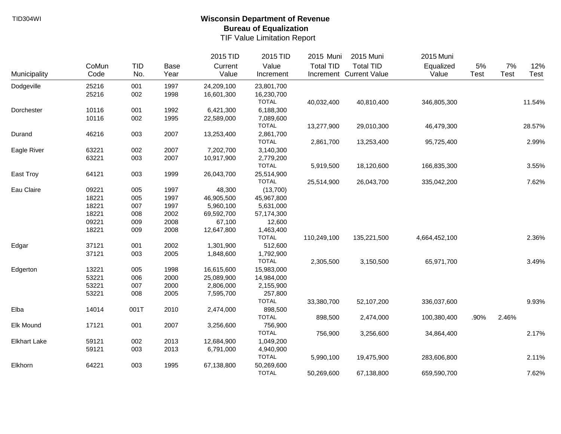|                     |       |            |      | 2015 TID   | 2015 TID     | 2015 Muni        | 2015 Muni               | 2015 Muni     |       |             |        |
|---------------------|-------|------------|------|------------|--------------|------------------|-------------------------|---------------|-------|-------------|--------|
|                     | CoMun | <b>TID</b> | Base | Current    | Value        | <b>Total TID</b> | <b>Total TID</b>        | Equalized     | $5\%$ | $7\%$       | 12%    |
| Municipality        | Code  | No.        | Year | Value      | Increment    |                  | Increment Current Value | Value         | Test  | <b>Test</b> | Test   |
| Dodgeville          | 25216 | 001        | 1997 | 24,209,100 | 23,801,700   |                  |                         |               |       |             |        |
|                     | 25216 | 002        | 1998 | 16,601,300 | 16,230,700   |                  |                         |               |       |             |        |
|                     |       |            |      |            | <b>TOTAL</b> | 40,032,400       | 40,810,400              | 346,805,300   |       |             | 11.54% |
| Dorchester          | 10116 | 001        | 1992 | 6,421,300  | 6,188,300    |                  |                         |               |       |             |        |
|                     | 10116 | 002        | 1995 | 22,589,000 | 7,089,600    |                  |                         |               |       |             |        |
|                     |       |            |      |            | <b>TOTAL</b> | 13,277,900       | 29,010,300              | 46,479,300    |       |             | 28.57% |
| Durand              | 46216 | 003        | 2007 | 13,253,400 | 2,861,700    |                  |                         |               |       |             |        |
|                     |       |            |      |            | <b>TOTAL</b> | 2,861,700        | 13,253,400              | 95,725,400    |       |             | 2.99%  |
| Eagle River         | 63221 | 002        | 2007 | 7,202,700  | 3,140,300    |                  |                         |               |       |             |        |
|                     | 63221 | 003        | 2007 | 10,917,900 | 2,779,200    |                  |                         |               |       |             |        |
|                     |       |            |      |            | <b>TOTAL</b> | 5,919,500        | 18,120,600              | 166,835,300   |       |             | 3.55%  |
| East Troy           | 64121 | 003        | 1999 | 26,043,700 | 25,514,900   |                  |                         |               |       |             |        |
|                     |       |            |      |            | <b>TOTAL</b> | 25,514,900       | 26,043,700              | 335,042,200   |       |             | 7.62%  |
| Eau Claire          | 09221 | 005        | 1997 | 48,300     | (13,700)     |                  |                         |               |       |             |        |
|                     | 18221 | 005        | 1997 | 46,905,500 | 45,967,800   |                  |                         |               |       |             |        |
|                     | 18221 | 007        | 1997 | 5,960,100  | 5,631,000    |                  |                         |               |       |             |        |
|                     | 18221 | 008        | 2002 | 69,592,700 | 57,174,300   |                  |                         |               |       |             |        |
|                     | 09221 | 009        | 2008 | 67,100     | 12,600       |                  |                         |               |       |             |        |
|                     | 18221 | 009        | 2008 | 12,647,800 | 1,463,400    |                  |                         |               |       |             |        |
|                     |       |            |      |            | <b>TOTAL</b> | 110,249,100      | 135,221,500             | 4,664,452,100 |       |             | 2.36%  |
| Edgar               | 37121 | 001        | 2002 | 1,301,900  | 512,600      |                  |                         |               |       |             |        |
|                     | 37121 | 003        | 2005 | 1,848,600  | 1,792,900    |                  |                         |               |       |             |        |
|                     |       |            |      |            | <b>TOTAL</b> | 2,305,500        | 3,150,500               | 65,971,700    |       |             | 3.49%  |
| Edgerton            | 13221 | 005        | 1998 | 16,615,600 | 15,983,000   |                  |                         |               |       |             |        |
|                     | 53221 | 006        | 2000 | 25,089,900 | 14,984,000   |                  |                         |               |       |             |        |
|                     | 53221 | 007        | 2000 | 2,806,000  | 2,155,900    |                  |                         |               |       |             |        |
|                     | 53221 | 008        | 2005 | 7,595,700  | 257,800      |                  |                         |               |       |             |        |
|                     |       |            |      |            | <b>TOTAL</b> | 33,380,700       | 52,107,200              | 336,037,600   |       |             | 9.93%  |
| Elba                | 14014 | 001T       | 2010 | 2,474,000  | 898,500      |                  |                         |               |       |             |        |
|                     |       |            |      |            | <b>TOTAL</b> | 898,500          | 2,474,000               | 100,380,400   | .90%  | 2.46%       |        |
| Elk Mound           | 17121 | 001        | 2007 | 3,256,600  | 756,900      |                  |                         |               |       |             |        |
|                     |       |            |      |            | <b>TOTAL</b> | 756,900          | 3,256,600               | 34,864,400    |       |             | 2.17%  |
| <b>Elkhart Lake</b> | 59121 | 002        | 2013 | 12,684,900 | 1,049,200    |                  |                         |               |       |             |        |
|                     | 59121 | 003        | 2013 | 6,791,000  | 4,940,900    |                  |                         |               |       |             |        |
|                     |       |            |      |            | <b>TOTAL</b> | 5,990,100        | 19,475,900              | 283,606,800   |       |             | 2.11%  |
| Elkhorn             | 64221 | 003        | 1995 | 67,138,800 | 50,269,600   |                  |                         |               |       |             |        |
|                     |       |            |      |            | <b>TOTAL</b> | 50,269,600       | 67,138,800              | 659,590,700   |       |             | 7.62%  |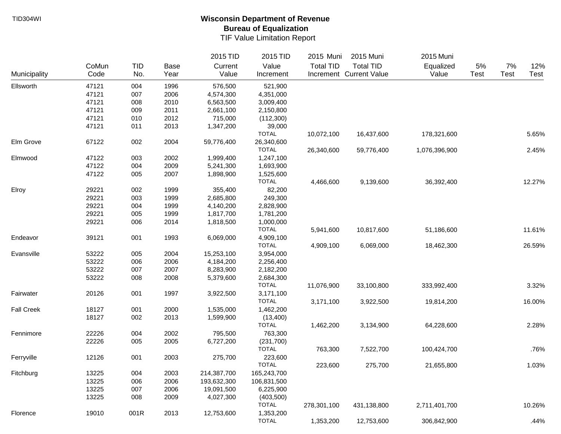|                   |       |            |      | 2015 TID    | 2015 TID     | 2015 Muni        | 2015 Muni               | 2015 Muni     |             |      |        |
|-------------------|-------|------------|------|-------------|--------------|------------------|-------------------------|---------------|-------------|------|--------|
|                   | CoMun | <b>TID</b> | Base | Current     | Value        | <b>Total TID</b> | <b>Total TID</b>        | Equalized     | 5%          | 7%   | 12%    |
| Municipality      | Code  | No.        | Year | Value       | Increment    |                  | Increment Current Value | Value         | <b>Test</b> | Test | Test   |
| Ellsworth         | 47121 | 004        | 1996 | 576,500     | 521,900      |                  |                         |               |             |      |        |
|                   | 47121 | 007        | 2006 | 4,574,300   | 4,351,000    |                  |                         |               |             |      |        |
|                   | 47121 | 008        | 2010 | 6,563,500   | 3,009,400    |                  |                         |               |             |      |        |
|                   | 47121 | 009        | 2011 | 2,661,100   | 2,150,800    |                  |                         |               |             |      |        |
|                   | 47121 | 010        | 2012 | 715,000     | (112,300)    |                  |                         |               |             |      |        |
|                   | 47121 | 011        | 2013 | 1,347,200   | 39,000       |                  |                         |               |             |      |        |
|                   |       |            |      |             | <b>TOTAL</b> | 10,072,100       | 16,437,600              | 178,321,600   |             |      | 5.65%  |
| Elm Grove         | 67122 | 002        | 2004 | 59,776,400  | 26,340,600   |                  |                         |               |             |      |        |
|                   |       |            |      |             | <b>TOTAL</b> | 26,340,600       | 59,776,400              | 1,076,396,900 |             |      | 2.45%  |
| Elmwood           | 47122 | 003        | 2002 | 1,999,400   | 1,247,100    |                  |                         |               |             |      |        |
|                   | 47122 | 004        | 2009 | 5,241,300   | 1,693,900    |                  |                         |               |             |      |        |
|                   | 47122 | 005        | 2007 | 1,898,900   | 1,525,600    |                  |                         |               |             |      |        |
|                   |       |            |      |             | <b>TOTAL</b> | 4,466,600        | 9,139,600               | 36,392,400    |             |      | 12.27% |
| Elroy             | 29221 | 002        | 1999 | 355,400     | 82,200       |                  |                         |               |             |      |        |
|                   | 29221 | 003        | 1999 | 2,685,800   | 249,300      |                  |                         |               |             |      |        |
|                   | 29221 | 004        | 1999 | 4,140,200   | 2,828,900    |                  |                         |               |             |      |        |
|                   | 29221 | 005        | 1999 | 1,817,700   | 1,781,200    |                  |                         |               |             |      |        |
|                   | 29221 | 006        | 2014 | 1,818,500   | 1,000,000    |                  |                         |               |             |      |        |
|                   |       |            |      |             | <b>TOTAL</b> | 5,941,600        | 10,817,600              | 51,186,600    |             |      | 11.61% |
| Endeavor          | 39121 | 001        | 1993 | 6,069,000   | 4,909,100    |                  |                         |               |             |      |        |
|                   |       |            |      |             | <b>TOTAL</b> | 4,909,100        | 6,069,000               | 18,462,300    |             |      | 26.59% |
| Evansville        | 53222 | 005        | 2004 | 15,253,100  | 3,954,000    |                  |                         |               |             |      |        |
|                   | 53222 | 006        | 2006 | 4,184,200   | 2,256,400    |                  |                         |               |             |      |        |
|                   | 53222 | 007        | 2007 | 8,283,900   | 2,182,200    |                  |                         |               |             |      |        |
|                   | 53222 | 008        | 2008 | 5,379,600   | 2,684,300    |                  |                         |               |             |      |        |
|                   |       |            |      |             | <b>TOTAL</b> | 11,076,900       | 33,100,800              | 333,992,400   |             |      | 3.32%  |
| Fairwater         | 20126 | 001        | 1997 | 3,922,500   | 3,171,100    |                  |                         |               |             |      |        |
|                   |       |            |      |             | <b>TOTAL</b> | 3,171,100        | 3,922,500               | 19,814,200    |             |      | 16.00% |
| <b>Fall Creek</b> | 18127 | 001        | 2000 | 1,535,000   | 1,462,200    |                  |                         |               |             |      |        |
|                   | 18127 | 002        | 2013 | 1,599,900   | (13,400)     |                  |                         |               |             |      |        |
|                   |       |            |      |             | <b>TOTAL</b> | 1,462,200        | 3,134,900               | 64,228,600    |             |      | 2.28%  |
| Fennimore         | 22226 | 004        | 2002 | 795,500     | 763,300      |                  |                         |               |             |      |        |
|                   | 22226 | 005        | 2005 | 6,727,200   | (231,700)    |                  |                         |               |             |      |        |
|                   |       |            |      |             | <b>TOTAL</b> | 763,300          | 7,522,700               | 100,424,700   |             |      | .76%   |
| Ferryville        | 12126 | 001        | 2003 | 275,700     | 223,600      |                  |                         |               |             |      |        |
|                   |       |            |      |             | <b>TOTAL</b> | 223,600          | 275,700                 | 21,655,800    |             |      | 1.03%  |
| Fitchburg         | 13225 | 004        | 2003 | 214,387,700 | 165,243,700  |                  |                         |               |             |      |        |
|                   | 13225 | 006        | 2006 | 193,632,300 | 106,831,500  |                  |                         |               |             |      |        |
|                   | 13225 | 007        | 2006 | 19,091,500  | 6,225,900    |                  |                         |               |             |      |        |
|                   | 13225 | 008        | 2009 | 4,027,300   | (403,500)    |                  |                         |               |             |      |        |
|                   |       |            |      |             | <b>TOTAL</b> | 278,301,100      | 431,138,800             | 2,711,401,700 |             |      | 10.26% |
| Florence          | 19010 | 001R       | 2013 | 12,753,600  | 1,353,200    |                  |                         |               |             |      |        |
|                   |       |            |      |             | <b>TOTAL</b> | 1,353,200        | 12,753,600              | 306,842,900   |             |      | .44%   |
|                   |       |            |      |             |              |                  |                         |               |             |      |        |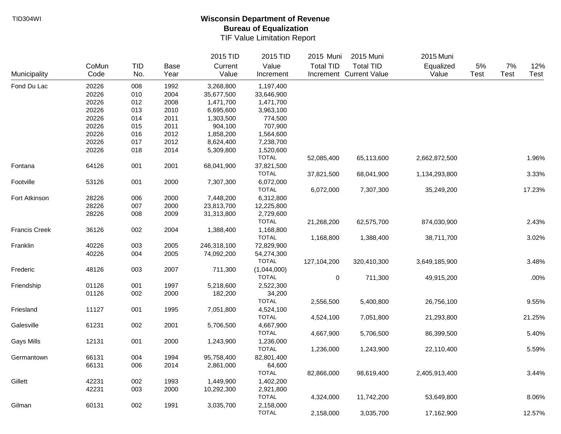|                      |       |            |             | 2015 TID    | 2015 TID     | 2015 Muni        | 2015 Muni               | 2015 Muni     |             |      |        |
|----------------------|-------|------------|-------------|-------------|--------------|------------------|-------------------------|---------------|-------------|------|--------|
|                      | CoMun | <b>TID</b> | <b>Base</b> | Current     | Value        | <b>Total TID</b> | <b>Total TID</b>        | Equalized     | 5%          | 7%   | 12%    |
| Municipality         | Code  | No.        | Year        | Value       | Increment    |                  | Increment Current Value | Value         | <b>Test</b> | Test | Test   |
| Fond Du Lac          | 20226 | 008        | 1992        | 3,268,800   | 1,197,400    |                  |                         |               |             |      |        |
|                      | 20226 | 010        | 2004        | 35,677,500  | 33,646,900   |                  |                         |               |             |      |        |
|                      | 20226 | 012        | 2008        | 1,471,700   | 1,471,700    |                  |                         |               |             |      |        |
|                      | 20226 | 013        | 2010        | 6,695,600   | 3,963,100    |                  |                         |               |             |      |        |
|                      | 20226 | 014        | 2011        | 1,303,500   | 774,500      |                  |                         |               |             |      |        |
|                      | 20226 | 015        | 2011        | 904,100     | 707,900      |                  |                         |               |             |      |        |
|                      | 20226 | 016        | 2012        | 1,858,200   | 1,564,600    |                  |                         |               |             |      |        |
|                      | 20226 | 017        | 2012        | 8,624,400   | 7,238,700    |                  |                         |               |             |      |        |
|                      | 20226 | 018        | 2014        | 5,309,800   | 1,520,600    |                  |                         |               |             |      |        |
|                      |       |            |             |             | <b>TOTAL</b> | 52,085,400       | 65,113,600              | 2,662,872,500 |             |      | 1.96%  |
| Fontana              | 64126 | 001        | 2001        | 68,041,900  | 37,821,500   |                  |                         |               |             |      |        |
|                      |       |            |             |             | <b>TOTAL</b> | 37,821,500       | 68,041,900              | 1,134,293,800 |             |      | 3.33%  |
| Footville            | 53126 | 001        | 2000        | 7,307,300   | 6,072,000    |                  |                         |               |             |      |        |
|                      |       |            |             |             | <b>TOTAL</b> | 6,072,000        | 7,307,300               | 35,249,200    |             |      | 17.23% |
| Fort Atkinson        | 28226 | 006        | 2000        | 7,448,200   | 6,312,800    |                  |                         |               |             |      |        |
|                      | 28226 | 007        | 2000        | 23,813,700  | 12,225,800   |                  |                         |               |             |      |        |
|                      | 28226 | 008        | 2009        | 31,313,800  | 2,729,600    |                  |                         |               |             |      |        |
|                      |       |            |             |             | <b>TOTAL</b> | 21,268,200       | 62,575,700              | 874,030,900   |             |      | 2.43%  |
| <b>Francis Creek</b> | 36126 | 002        | 2004        | 1,388,400   | 1,168,800    |                  |                         |               |             |      |        |
|                      |       |            |             |             | <b>TOTAL</b> | 1,168,800        | 1,388,400               | 38,711,700    |             |      | 3.02%  |
| Franklin             | 40226 | 003        | 2005        | 246,318,100 | 72,829,900   |                  |                         |               |             |      |        |
|                      |       |            |             |             |              |                  |                         |               |             |      |        |
|                      | 40226 | 004        | 2005        | 74,092,200  | 54,274,300   |                  |                         |               |             |      |        |
|                      |       |            |             |             | <b>TOTAL</b> | 127,104,200      | 320,410,300             | 3,649,185,900 |             |      | 3.48%  |
| Frederic             | 48126 | 003        | 2007        | 711,300     | (1,044,000)  |                  |                         |               |             |      |        |
|                      |       |            |             |             | <b>TOTAL</b> | $\pmb{0}$        | 711,300                 | 49,915,200    |             |      | .00%   |
| Friendship           | 01126 | 001        | 1997        | 5,218,600   | 2,522,300    |                  |                         |               |             |      |        |
|                      | 01126 | 002        | 2000        | 182,200     | 34,200       |                  |                         |               |             |      |        |
|                      |       |            |             |             | <b>TOTAL</b> | 2,556,500        | 5,400,800               | 26,756,100    |             |      | 9.55%  |
| Friesland            | 11127 | 001        | 1995        | 7,051,800   | 4,524,100    |                  |                         |               |             |      |        |
|                      |       |            |             |             | <b>TOTAL</b> | 4,524,100        | 7,051,800               | 21,293,800    |             |      | 21.25% |
| Galesville           | 61231 | 002        | 2001        | 5,706,500   | 4,667,900    |                  |                         |               |             |      |        |
|                      |       |            |             |             | <b>TOTAL</b> | 4,667,900        | 5,706,500               | 86,399,500    |             |      | 5.40%  |
| <b>Gays Mills</b>    | 12131 | 001        | 2000        | 1,243,900   | 1,236,000    |                  |                         |               |             |      |        |
|                      |       |            |             |             | <b>TOTAL</b> | 1,236,000        | 1,243,900               | 22,110,400    |             |      | 5.59%  |
| Germantown           | 66131 | 004        | 1994        | 95,758,400  | 82,801,400   |                  |                         |               |             |      |        |
|                      | 66131 | 006        | 2014        | 2,861,000   | 64,600       |                  |                         |               |             |      |        |
|                      |       |            |             |             | <b>TOTAL</b> | 82,866,000       | 98,619,400              | 2,405,913,400 |             |      | 3.44%  |
| Gillett              | 42231 | 002        | 1993        | 1,449,900   | 1,402,200    |                  |                         |               |             |      |        |
|                      | 42231 | 003        | 2000        | 10,292,300  | 2,921,800    |                  |                         |               |             |      |        |
|                      |       |            |             |             | <b>TOTAL</b> | 4,324,000        | 11,742,200              | 53,649,800    |             |      | 8.06%  |
| Gilman               | 60131 | 002        | 1991        | 3,035,700   | 2,158,000    |                  |                         |               |             |      |        |
|                      |       |            |             |             | <b>TOTAL</b> | 2,158,000        | 3,035,700               | 17,162,900    |             |      | 12.57% |
|                      |       |            |             |             |              |                  |                         |               |             |      |        |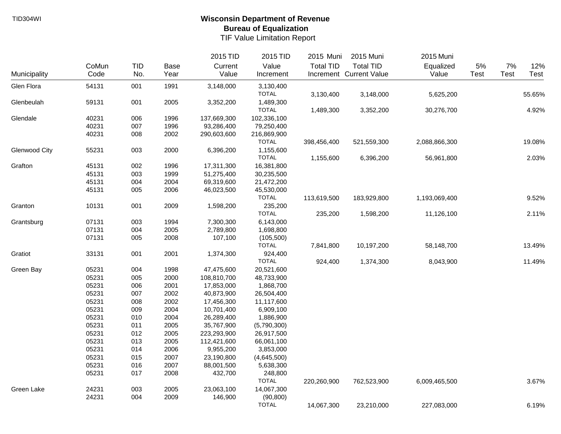|                      |       |     |      | 2015 TID    | 2015 TID     | 2015 Muni        | 2015 Muni               | 2015 Muni     |             |      |        |
|----------------------|-------|-----|------|-------------|--------------|------------------|-------------------------|---------------|-------------|------|--------|
|                      | CoMun | TID | Base | Current     | Value        | <b>Total TID</b> | <b>Total TID</b>        | Equalized     | 5%          | 7%   | 12%    |
| Municipality         | Code  | No. | Year | Value       | Increment    |                  | Increment Current Value | Value         | <b>Test</b> | Test | Test   |
| Glen Flora           | 54131 | 001 | 1991 | 3,148,000   | 3,130,400    |                  |                         |               |             |      |        |
|                      |       |     |      |             | <b>TOTAL</b> | 3,130,400        | 3,148,000               | 5,625,200     |             |      | 55.65% |
| Glenbeulah           | 59131 | 001 | 2005 | 3,352,200   | 1,489,300    |                  |                         |               |             |      |        |
|                      |       |     |      |             | <b>TOTAL</b> | 1,489,300        | 3,352,200               | 30,276,700    |             |      | 4.92%  |
| Glendale             | 40231 | 006 | 1996 | 137,669,300 | 102,336,100  |                  |                         |               |             |      |        |
|                      | 40231 | 007 | 1996 | 93,286,400  | 79,250,400   |                  |                         |               |             |      |        |
|                      | 40231 | 008 | 2002 | 290,603,600 | 216,869,900  |                  |                         |               |             |      |        |
|                      |       |     |      |             | <b>TOTAL</b> | 398,456,400      | 521,559,300             | 2,088,866,300 |             |      | 19.08% |
| <b>Glenwood City</b> | 55231 | 003 | 2000 | 6,396,200   | 1,155,600    |                  |                         |               |             |      |        |
|                      |       |     |      |             | <b>TOTAL</b> | 1,155,600        | 6,396,200               | 56,961,800    |             |      | 2.03%  |
| Grafton              | 45131 | 002 | 1996 | 17,311,300  | 16,381,800   |                  |                         |               |             |      |        |
|                      | 45131 | 003 | 1999 | 51,275,400  | 30,235,500   |                  |                         |               |             |      |        |
|                      | 45131 | 004 | 2004 | 69,319,600  | 21,472,200   |                  |                         |               |             |      |        |
|                      | 45131 | 005 | 2006 | 46,023,500  | 45,530,000   |                  |                         |               |             |      |        |
|                      |       |     |      |             | <b>TOTAL</b> | 113,619,500      | 183,929,800             | 1,193,069,400 |             |      | 9.52%  |
| Granton              | 10131 | 001 | 2009 | 1,598,200   | 235,200      |                  |                         |               |             |      |        |
|                      |       |     |      |             | <b>TOTAL</b> | 235,200          | 1,598,200               | 11,126,100    |             |      | 2.11%  |
| Grantsburg           | 07131 | 003 | 1994 | 7,300,300   | 6,143,000    |                  |                         |               |             |      |        |
|                      | 07131 | 004 | 2005 | 2,789,800   | 1,698,800    |                  |                         |               |             |      |        |
|                      | 07131 | 005 | 2008 | 107,100     | (105, 500)   |                  |                         |               |             |      |        |
|                      |       |     |      |             | <b>TOTAL</b> | 7,841,800        | 10,197,200              | 58,148,700    |             |      | 13.49% |
| Gratiot              | 33131 | 001 | 2001 | 1,374,300   | 924,400      |                  |                         |               |             |      |        |
|                      |       |     |      |             | <b>TOTAL</b> | 924,400          | 1,374,300               | 8,043,900     |             |      | 11.49% |
| Green Bay            | 05231 | 004 | 1998 | 47,475,600  | 20,521,600   |                  |                         |               |             |      |        |
|                      | 05231 | 005 | 2000 | 108,810,700 | 48,733,900   |                  |                         |               |             |      |        |
|                      | 05231 | 006 | 2001 | 17,853,000  | 1,868,700    |                  |                         |               |             |      |        |
|                      | 05231 | 007 | 2002 | 40,873,900  | 26,504,400   |                  |                         |               |             |      |        |
|                      | 05231 | 008 | 2002 | 17,456,300  | 11,117,600   |                  |                         |               |             |      |        |
|                      | 05231 | 009 | 2004 | 10,701,400  | 6,909,100    |                  |                         |               |             |      |        |
|                      | 05231 | 010 | 2004 | 26,289,400  | 1,886,900    |                  |                         |               |             |      |        |
|                      | 05231 | 011 | 2005 | 35,767,900  | (5,790,300)  |                  |                         |               |             |      |        |
|                      | 05231 | 012 | 2005 | 223,293,900 | 26,917,500   |                  |                         |               |             |      |        |
|                      | 05231 | 013 | 2005 | 112,421,600 | 66,061,100   |                  |                         |               |             |      |        |
|                      | 05231 | 014 | 2006 | 9,955,200   | 3,853,000    |                  |                         |               |             |      |        |
|                      | 05231 | 015 | 2007 | 23,190,800  | (4,645,500)  |                  |                         |               |             |      |        |
|                      | 05231 | 016 | 2007 | 88,001,500  | 5,638,300    |                  |                         |               |             |      |        |
|                      | 05231 | 017 | 2008 | 432,700     | 248,800      |                  |                         |               |             |      |        |
|                      |       |     |      |             | <b>TOTAL</b> | 220,260,900      | 762,523,900             | 6,009,465,500 |             |      | 3.67%  |
| Green Lake           | 24231 | 003 | 2005 | 23,063,100  | 14,067,300   |                  |                         |               |             |      |        |
|                      | 24231 | 004 | 2009 | 146,900     | (90, 800)    |                  |                         |               |             |      |        |
|                      |       |     |      |             | <b>TOTAL</b> | 14,067,300       | 23,210,000              | 227,083,000   |             |      | 6.19%  |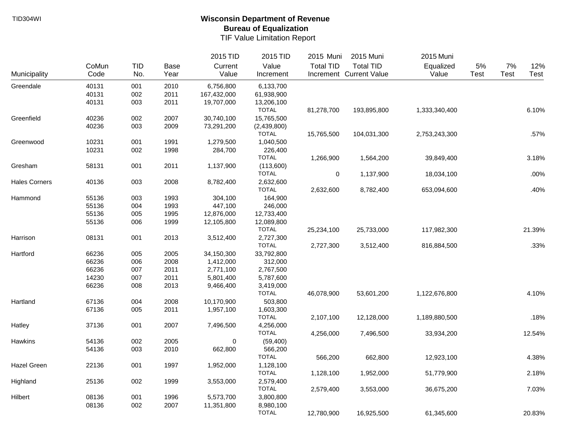|                      |       |            |      | 2015 TID    | 2015 TID     | 2015 Muni        | 2015 Muni               | 2015 Muni     |      |      |        |
|----------------------|-------|------------|------|-------------|--------------|------------------|-------------------------|---------------|------|------|--------|
|                      | CoMun | <b>TID</b> | Base | Current     | Value        | <b>Total TID</b> | <b>Total TID</b>        | Equalized     | 5%   | 7%   | 12%    |
| Municipality         | Code  | No.        | Year | Value       | Increment    |                  | Increment Current Value | Value         | Test | Test | Test   |
| Greendale            | 40131 | 001        | 2010 | 6,756,800   | 6,133,700    |                  |                         |               |      |      |        |
|                      | 40131 | 002        | 2011 | 167,432,000 | 61,938,900   |                  |                         |               |      |      |        |
|                      | 40131 | 003        | 2011 | 19,707,000  | 13,206,100   |                  |                         |               |      |      |        |
|                      |       |            |      |             | <b>TOTAL</b> | 81,278,700       | 193,895,800             | 1,333,340,400 |      |      | 6.10%  |
| Greenfield           | 40236 | 002        | 2007 | 30,740,100  | 15,765,500   |                  |                         |               |      |      |        |
|                      | 40236 | 003        | 2009 | 73,291,200  | (2,439,800)  |                  |                         |               |      |      |        |
|                      |       |            |      |             | <b>TOTAL</b> | 15,765,500       | 104,031,300             | 2,753,243,300 |      |      | .57%   |
| Greenwood            | 10231 | 001        | 1991 | 1,279,500   | 1,040,500    |                  |                         |               |      |      |        |
|                      | 10231 | 002        | 1998 | 284,700     | 226,400      |                  |                         |               |      |      |        |
|                      |       |            |      |             | <b>TOTAL</b> | 1,266,900        | 1,564,200               | 39,849,400    |      |      | 3.18%  |
| Gresham              | 58131 | 001        | 2011 | 1,137,900   | (113,600)    |                  |                         |               |      |      |        |
|                      |       |            |      |             | <b>TOTAL</b> | $\pmb{0}$        | 1,137,900               | 18,034,100    |      |      | .00%   |
| <b>Hales Corners</b> | 40136 | 003        | 2008 | 8,782,400   | 2,632,600    |                  |                         |               |      |      |        |
|                      |       |            |      |             | <b>TOTAL</b> | 2,632,600        | 8,782,400               | 653,094,600   |      |      | .40%   |
| Hammond              | 55136 | 003        | 1993 | 304,100     | 164,900      |                  |                         |               |      |      |        |
|                      | 55136 | 004        | 1993 | 447,100     | 246,000      |                  |                         |               |      |      |        |
|                      | 55136 | 005        | 1995 | 12,876,000  | 12,733,400   |                  |                         |               |      |      |        |
|                      | 55136 | 006        | 1999 | 12,105,800  | 12,089,800   |                  |                         |               |      |      |        |
|                      |       |            |      |             | <b>TOTAL</b> | 25,234,100       | 25,733,000              | 117,982,300   |      |      | 21.39% |
| Harrison             | 08131 | 001        | 2013 | 3,512,400   | 2,727,300    |                  |                         |               |      |      |        |
|                      |       |            |      |             | <b>TOTAL</b> | 2,727,300        | 3,512,400               | 816,884,500   |      |      | .33%   |
| Hartford             | 66236 | 005        | 2005 | 34,150,300  | 33,792,800   |                  |                         |               |      |      |        |
|                      | 66236 | 006        | 2008 | 1,412,000   | 312,000      |                  |                         |               |      |      |        |
|                      | 66236 | 007        | 2011 | 2,771,100   | 2,767,500    |                  |                         |               |      |      |        |
|                      | 14230 | 007        | 2011 | 5,801,400   | 5,787,600    |                  |                         |               |      |      |        |
|                      | 66236 | 008        | 2013 | 9,466,400   | 3,419,000    |                  |                         |               |      |      |        |
|                      |       |            |      |             | <b>TOTAL</b> | 46,078,900       | 53,601,200              | 1,122,676,800 |      |      | 4.10%  |
| Hartland             | 67136 | 004        | 2008 | 10,170,900  | 503,800      |                  |                         |               |      |      |        |
|                      | 67136 | 005        | 2011 | 1,957,100   | 1,603,300    |                  |                         |               |      |      |        |
|                      |       |            |      |             | <b>TOTAL</b> | 2,107,100        | 12,128,000              | 1,189,880,500 |      |      | .18%   |
| Hatley               | 37136 | 001        | 2007 | 7,496,500   | 4,256,000    |                  |                         |               |      |      |        |
|                      |       |            |      |             | <b>TOTAL</b> | 4,256,000        | 7,496,500               | 33,934,200    |      |      | 12.54% |
| Hawkins              | 54136 | 002        | 2005 | 0           | (59, 400)    |                  |                         |               |      |      |        |
|                      | 54136 | 003        | 2010 | 662,800     | 566,200      |                  |                         |               |      |      |        |
|                      |       |            |      |             | <b>TOTAL</b> | 566,200          | 662,800                 | 12,923,100    |      |      | 4.38%  |
| Hazel Green          | 22136 | 001        | 1997 | 1,952,000   | 1,128,100    |                  |                         |               |      |      |        |
|                      |       |            |      |             | <b>TOTAL</b> | 1,128,100        | 1,952,000               | 51,779,900    |      |      | 2.18%  |
| Highland             | 25136 | 002        | 1999 | 3,553,000   | 2,579,400    |                  |                         |               |      |      |        |
|                      |       |            |      |             | <b>TOTAL</b> | 2,579,400        | 3,553,000               | 36,675,200    |      |      | 7.03%  |
| Hilbert              | 08136 | 001        | 1996 | 5,573,700   | 3,800,800    |                  |                         |               |      |      |        |
|                      | 08136 | 002        | 2007 | 11,351,800  | 8,980,100    |                  |                         |               |      |      |        |
|                      |       |            |      |             | <b>TOTAL</b> | 12,780,900       | 16,925,500              | 61,345,600    |      |      | 20.83% |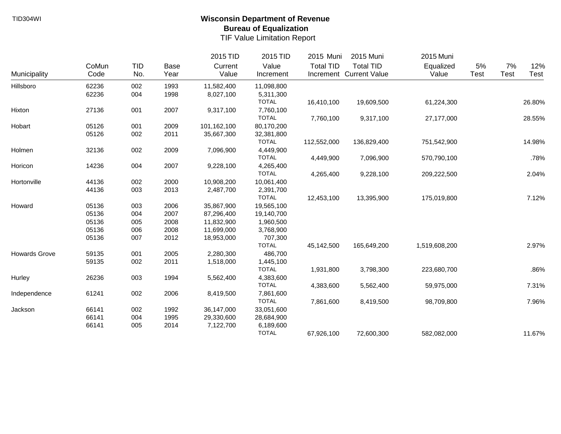|                      |               |                   |              | 2015 TID         | 2015 TID           | 2015 Muni        | 2015 Muni                                   | 2015 Muni          |            |                   |                    |
|----------------------|---------------|-------------------|--------------|------------------|--------------------|------------------|---------------------------------------------|--------------------|------------|-------------------|--------------------|
| Municipality         | CoMun<br>Code | <b>TID</b><br>No. | Base<br>Year | Current<br>Value | Value<br>Increment | <b>Total TID</b> | <b>Total TID</b><br>Increment Current Value | Equalized<br>Value | 5%<br>Test | 7%<br><b>Test</b> | 12%<br><b>Test</b> |
| Hillsboro            | 62236         | 002               | 1993         | 11,582,400       | 11,098,800         |                  |                                             |                    |            |                   |                    |
|                      | 62236         | 004               | 1998         | 8,027,100        | 5,311,300          |                  |                                             |                    |            |                   |                    |
|                      |               |                   |              |                  | <b>TOTAL</b>       | 16,410,100       | 19,609,500                                  | 61,224,300         |            |                   | 26.80%             |
| Hixton               | 27136         | 001               | 2007         | 9,317,100        | 7,760,100          |                  |                                             |                    |            |                   |                    |
|                      |               |                   |              |                  | <b>TOTAL</b>       | 7,760,100        | 9,317,100                                   | 27,177,000         |            |                   | 28.55%             |
| Hobart               | 05126         | 001               | 2009         | 101,162,100      | 80,170,200         |                  |                                             |                    |            |                   |                    |
|                      | 05126         | 002               | 2011         | 35,667,300       | 32,381,800         |                  |                                             |                    |            |                   |                    |
|                      |               |                   |              |                  | <b>TOTAL</b>       | 112,552,000      | 136,829,400                                 | 751,542,900        |            |                   | 14.98%             |
| Holmen               | 32136         | 002               | 2009         | 7,096,900        | 4,449,900          |                  |                                             |                    |            |                   |                    |
|                      |               |                   |              |                  | <b>TOTAL</b>       | 4,449,900        | 7,096,900                                   | 570,790,100        |            |                   | .78%               |
| Horicon              | 14236         | 004               | 2007         | 9,228,100        | 4,265,400          |                  |                                             |                    |            |                   |                    |
|                      |               |                   |              |                  | <b>TOTAL</b>       | 4,265,400        | 9,228,100                                   | 209,222,500        |            |                   | 2.04%              |
| Hortonville          | 44136         | 002               | 2000         | 10,908,200       | 10,061,400         |                  |                                             |                    |            |                   |                    |
|                      | 44136         | 003               | 2013         | 2,487,700        | 2,391,700          |                  |                                             |                    |            |                   |                    |
|                      |               |                   |              |                  | <b>TOTAL</b>       | 12,453,100       | 13,395,900                                  | 175,019,800        |            |                   | 7.12%              |
| Howard               | 05136         | 003               | 2006         | 35,867,900       | 19,565,100         |                  |                                             |                    |            |                   |                    |
|                      | 05136         | 004               | 2007         | 87,296,400       | 19,140,700         |                  |                                             |                    |            |                   |                    |
|                      | 05136         | 005               | 2008         | 11,832,900       | 1,960,500          |                  |                                             |                    |            |                   |                    |
|                      | 05136         | 006               | 2008         | 11,699,000       | 3,768,900          |                  |                                             |                    |            |                   |                    |
|                      | 05136         | 007               | 2012         | 18,953,000       | 707,300            |                  |                                             |                    |            |                   |                    |
|                      |               |                   |              |                  | <b>TOTAL</b>       | 45,142,500       | 165,649,200                                 | 1,519,608,200      |            |                   | 2.97%              |
| <b>Howards Grove</b> | 59135         | 001               | 2005         | 2,280,300        | 486,700            |                  |                                             |                    |            |                   |                    |
|                      | 59135         | 002               | 2011         | 1,518,000        | 1,445,100          |                  |                                             |                    |            |                   |                    |
|                      |               |                   |              |                  | <b>TOTAL</b>       | 1,931,800        | 3,798,300                                   | 223,680,700        |            |                   | .86%               |
| Hurley               | 26236         | 003               | 1994         | 5,562,400        | 4,383,600          |                  |                                             |                    |            |                   |                    |
|                      |               |                   |              |                  | <b>TOTAL</b>       | 4,383,600        | 5,562,400                                   | 59,975,000         |            |                   | 7.31%              |
| Independence         | 61241         | 002               | 2006         | 8,419,500        | 7,861,600          |                  |                                             |                    |            |                   |                    |
|                      |               |                   |              |                  | <b>TOTAL</b>       | 7,861,600        | 8,419,500                                   | 98,709,800         |            |                   | 7.96%              |
| Jackson              | 66141         | 002               | 1992         | 36,147,000       | 33,051,600         |                  |                                             |                    |            |                   |                    |
|                      | 66141         | 004               | 1995         | 29,330,600       | 28,684,900         |                  |                                             |                    |            |                   |                    |
|                      | 66141         | 005               | 2014         | 7,122,700        | 6,189,600          |                  |                                             |                    |            |                   |                    |
|                      |               |                   |              |                  | <b>TOTAL</b>       | 67,926,100       | 72,600,300                                  | 582,082,000        |            |                   | 11.67%             |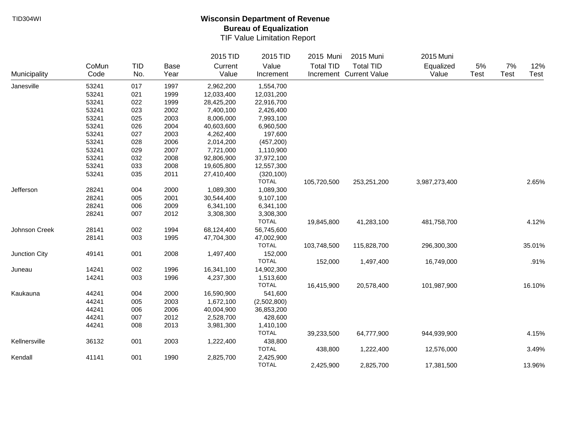|               |       |            |      | 2015 TID   | 2015 TID     | 2015 Muni        | 2015 Muni               | 2015 Muni     |             |       |        |
|---------------|-------|------------|------|------------|--------------|------------------|-------------------------|---------------|-------------|-------|--------|
|               | CoMun | <b>TID</b> | Base | Current    | Value        | <b>Total TID</b> | <b>Total TID</b>        | Equalized     | 5%          | $7\%$ | 12%    |
| Municipality  | Code  | No.        | Year | Value      | Increment    |                  | Increment Current Value | Value         | <b>Test</b> | Test  | Test   |
| Janesville    | 53241 | 017        | 1997 | 2,962,200  | 1,554,700    |                  |                         |               |             |       |        |
|               | 53241 | 021        | 1999 | 12,033,400 | 12,031,200   |                  |                         |               |             |       |        |
|               | 53241 | 022        | 1999 | 28,425,200 | 22,916,700   |                  |                         |               |             |       |        |
|               | 53241 | 023        | 2002 | 7,400,100  | 2,426,400    |                  |                         |               |             |       |        |
|               | 53241 | 025        | 2003 | 8,006,000  | 7,993,100    |                  |                         |               |             |       |        |
|               | 53241 | 026        | 2004 | 40,603,600 | 6,960,500    |                  |                         |               |             |       |        |
|               | 53241 | 027        | 2003 | 4,262,400  | 197,600      |                  |                         |               |             |       |        |
|               | 53241 | 028        | 2006 | 2,014,200  | (457, 200)   |                  |                         |               |             |       |        |
|               | 53241 | 029        | 2007 | 7,721,000  | 1,110,900    |                  |                         |               |             |       |        |
|               | 53241 | 032        | 2008 | 92,806,900 | 37,972,100   |                  |                         |               |             |       |        |
|               | 53241 | 033        | 2008 | 19,605,800 | 12,557,300   |                  |                         |               |             |       |        |
|               | 53241 | 035        | 2011 | 27,410,400 | (320, 100)   |                  |                         |               |             |       |        |
|               |       |            |      |            | <b>TOTAL</b> | 105,720,500      | 253,251,200             | 3,987,273,400 |             |       | 2.65%  |
| Jefferson     | 28241 | 004        | 2000 | 1,089,300  | 1,089,300    |                  |                         |               |             |       |        |
|               | 28241 | 005        | 2001 | 30,544,400 | 9,107,100    |                  |                         |               |             |       |        |
|               | 28241 | 006        | 2009 | 6,341,100  | 6,341,100    |                  |                         |               |             |       |        |
|               | 28241 | 007        | 2012 | 3,308,300  | 3,308,300    |                  |                         |               |             |       |        |
|               |       |            |      |            | <b>TOTAL</b> | 19,845,800       | 41,283,100              | 481,758,700   |             |       | 4.12%  |
| Johnson Creek | 28141 | 002        | 1994 | 68,124,400 | 56,745,600   |                  |                         |               |             |       |        |
|               | 28141 | 003        | 1995 | 47,704,300 | 47,002,900   |                  |                         |               |             |       |        |
|               |       |            |      |            | <b>TOTAL</b> | 103,748,500      | 115,828,700             | 296,300,300   |             |       | 35.01% |
| Junction City | 49141 | 001        | 2008 | 1,497,400  | 152,000      |                  |                         |               |             |       |        |
|               |       |            |      |            | <b>TOTAL</b> | 152,000          | 1,497,400               | 16,749,000    |             |       | .91%   |
| Juneau        | 14241 | 002        | 1996 | 16,341,100 | 14,902,300   |                  |                         |               |             |       |        |
|               | 14241 | 003        | 1996 | 4,237,300  | 1,513,600    |                  |                         |               |             |       |        |
|               |       |            |      |            | <b>TOTAL</b> | 16,415,900       | 20,578,400              | 101,987,900   |             |       | 16.10% |
| Kaukauna      | 44241 | 004        | 2000 | 16,590,900 | 541,600      |                  |                         |               |             |       |        |
|               | 44241 | 005        | 2003 | 1,672,100  | (2,502,800)  |                  |                         |               |             |       |        |
|               | 44241 | 006        | 2006 | 40,004,900 | 36,853,200   |                  |                         |               |             |       |        |
|               | 44241 | 007        | 2012 | 2,528,700  | 428,600      |                  |                         |               |             |       |        |
|               | 44241 | 008        | 2013 | 3,981,300  | 1,410,100    |                  |                         |               |             |       |        |
|               |       |            |      |            | <b>TOTAL</b> | 39,233,500       | 64,777,900              | 944,939,900   |             |       | 4.15%  |
| Kellnersville | 36132 | 001        | 2003 | 1,222,400  | 438,800      |                  |                         |               |             |       |        |
|               |       |            |      |            | <b>TOTAL</b> | 438,800          | 1,222,400               | 12,576,000    |             |       | 3.49%  |
| Kendall       | 41141 | 001        | 1990 | 2,825,700  | 2,425,900    |                  |                         |               |             |       |        |
|               |       |            |      |            | <b>TOTAL</b> | 2,425,900        | 2,825,700               | 17,381,500    |             |       | 13.96% |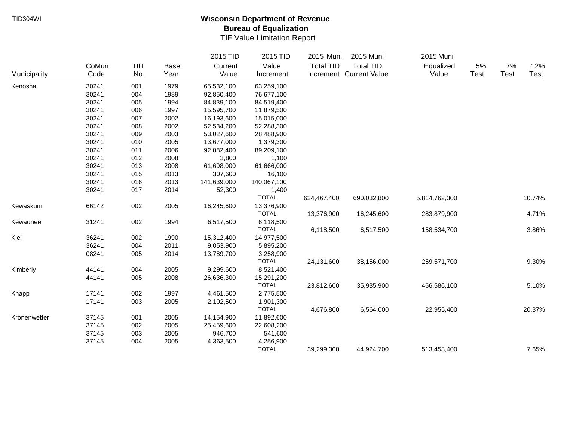|              |       |            |             | 2015 TID    | 2015 TID     | 2015 Muni        | 2015 Muni               | 2015 Muni     |      |             |        |
|--------------|-------|------------|-------------|-------------|--------------|------------------|-------------------------|---------------|------|-------------|--------|
|              | CoMun | <b>TID</b> | <b>Base</b> | Current     | Value        | <b>Total TID</b> | <b>Total TID</b>        | Equalized     | 5%   | 7%          | 12%    |
| Municipality | Code  | No.        | Year        | Value       | Increment    |                  | Increment Current Value | Value         | Test | <b>Test</b> | Test   |
| Kenosha      | 30241 | 001        | 1979        | 65,532,100  | 63,259,100   |                  |                         |               |      |             |        |
|              | 30241 | 004        | 1989        | 92,850,400  | 76,677,100   |                  |                         |               |      |             |        |
|              | 30241 | 005        | 1994        | 84,839,100  | 84,519,400   |                  |                         |               |      |             |        |
|              | 30241 | 006        | 1997        | 15,595,700  | 11,879,500   |                  |                         |               |      |             |        |
|              | 30241 | 007        | 2002        | 16,193,600  | 15,015,000   |                  |                         |               |      |             |        |
|              | 30241 | 008        | 2002        | 52,534,200  | 52,288,300   |                  |                         |               |      |             |        |
|              | 30241 | 009        | 2003        | 53,027,600  | 28,488,900   |                  |                         |               |      |             |        |
|              | 30241 | 010        | 2005        | 13,677,000  | 1,379,300    |                  |                         |               |      |             |        |
|              | 30241 | 011        | 2006        | 92,082,400  | 89,209,100   |                  |                         |               |      |             |        |
|              | 30241 | 012        | 2008        | 3,800       | 1,100        |                  |                         |               |      |             |        |
|              | 30241 | 013        | 2008        | 61,698,000  | 61,666,000   |                  |                         |               |      |             |        |
|              | 30241 | 015        | 2013        | 307,600     | 16,100       |                  |                         |               |      |             |        |
|              | 30241 | 016        | 2013        | 141,639,000 | 140,067,100  |                  |                         |               |      |             |        |
|              | 30241 | 017        | 2014        | 52,300      | 1,400        |                  |                         |               |      |             |        |
|              |       |            |             |             | <b>TOTAL</b> | 624,467,400      | 690,032,800             | 5,814,762,300 |      |             | 10.74% |
| Kewaskum     | 66142 | 002        | 2005        | 16,245,600  | 13,376,900   |                  |                         |               |      |             |        |
|              |       |            |             |             | <b>TOTAL</b> | 13,376,900       | 16,245,600              | 283,879,900   |      |             | 4.71%  |
| Kewaunee     | 31241 | 002        | 1994        | 6,517,500   | 6,118,500    |                  |                         |               |      |             |        |
|              |       |            |             |             | <b>TOTAL</b> | 6,118,500        | 6,517,500               | 158,534,700   |      |             | 3.86%  |
| Kiel         | 36241 | 002        | 1990        | 15,312,400  | 14,977,500   |                  |                         |               |      |             |        |
|              | 36241 | 004        | 2011        | 9,053,900   | 5,895,200    |                  |                         |               |      |             |        |
|              | 08241 | 005        | 2014        | 13,789,700  | 3,258,900    |                  |                         |               |      |             |        |
|              |       |            |             |             | <b>TOTAL</b> | 24,131,600       | 38,156,000              | 259,571,700   |      |             | 9.30%  |
| Kimberly     | 44141 | 004        | 2005        | 9,299,600   | 8,521,400    |                  |                         |               |      |             |        |
|              | 44141 | 005        | 2008        | 26,636,300  | 15,291,200   |                  |                         |               |      |             |        |
|              |       |            |             |             | <b>TOTAL</b> | 23,812,600       | 35,935,900              | 466,586,100   |      |             | 5.10%  |
| Knapp        | 17141 | 002        | 1997        | 4,461,500   | 2,775,500    |                  |                         |               |      |             |        |
|              | 17141 | 003        | 2005        | 2,102,500   | 1,901,300    |                  |                         |               |      |             |        |
|              |       |            |             |             | <b>TOTAL</b> | 4,676,800        | 6,564,000               | 22,955,400    |      |             | 20.37% |
| Kronenwetter | 37145 | 001        | 2005        | 14,154,900  | 11,892,600   |                  |                         |               |      |             |        |
|              | 37145 | 002        | 2005        | 25,459,600  | 22,608,200   |                  |                         |               |      |             |        |
|              | 37145 | 003        | 2005        | 946,700     | 541,600      |                  |                         |               |      |             |        |
|              | 37145 | 004        | 2005        | 4,363,500   | 4,256,900    |                  |                         |               |      |             |        |
|              |       |            |             |             | <b>TOTAL</b> | 39,299,300       | 44,924,700              | 513,453,400   |      |             | 7.65%  |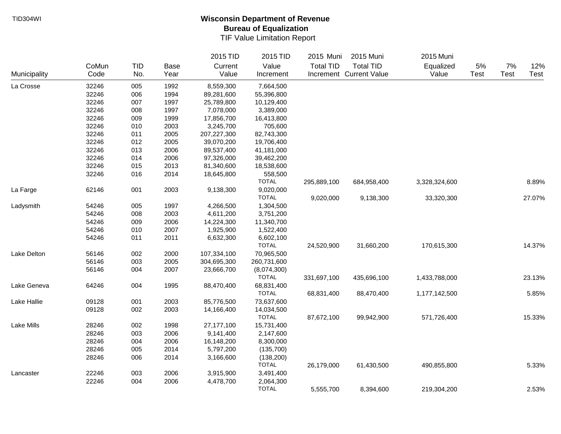|              |       |            |             | 2015 TID    | 2015 TID     | 2015 Muni        | 2015 Muni               | 2015 Muni     |      |      |        |
|--------------|-------|------------|-------------|-------------|--------------|------------------|-------------------------|---------------|------|------|--------|
|              | CoMun | <b>TID</b> | <b>Base</b> | Current     | Value        | <b>Total TID</b> | <b>Total TID</b>        | Equalized     | 5%   | 7%   | 12%    |
| Municipality | Code  | No.        | Year        | Value       | Increment    |                  | Increment Current Value | Value         | Test | Test | Test   |
| La Crosse    | 32246 | 005        | 1992        | 8,559,300   | 7,664,500    |                  |                         |               |      |      |        |
|              | 32246 | 006        | 1994        | 89,281,600  | 55,396,800   |                  |                         |               |      |      |        |
|              | 32246 | 007        | 1997        | 25,789,800  | 10,129,400   |                  |                         |               |      |      |        |
|              | 32246 | 008        | 1997        | 7,078,000   | 3,389,000    |                  |                         |               |      |      |        |
|              | 32246 | 009        | 1999        | 17,856,700  | 16,413,800   |                  |                         |               |      |      |        |
|              | 32246 | 010        | 2003        | 3,245,700   | 705,600      |                  |                         |               |      |      |        |
|              | 32246 | 011        | 2005        | 207,227,300 | 82,743,300   |                  |                         |               |      |      |        |
|              | 32246 | 012        | 2005        | 39,070,200  | 19,706,400   |                  |                         |               |      |      |        |
|              | 32246 | 013        | 2006        | 89,537,400  | 41,181,000   |                  |                         |               |      |      |        |
|              | 32246 | 014        | 2006        | 97,326,000  | 39,462,200   |                  |                         |               |      |      |        |
|              | 32246 | 015        | 2013        | 81,340,600  | 18,538,600   |                  |                         |               |      |      |        |
|              | 32246 | 016        | 2014        | 18,645,800  | 558,500      |                  |                         |               |      |      |        |
|              |       |            |             |             | <b>TOTAL</b> | 295,889,100      | 684,958,400             | 3,328,324,600 |      |      | 8.89%  |
| La Farge     | 62146 | 001        | 2003        | 9,138,300   | 9,020,000    |                  |                         |               |      |      |        |
|              |       |            |             |             | <b>TOTAL</b> | 9,020,000        | 9,138,300               | 33,320,300    |      |      | 27.07% |
| Ladysmith    | 54246 | 005        | 1997        | 4,266,500   | 1,304,500    |                  |                         |               |      |      |        |
|              | 54246 | 008        | 2003        | 4,611,200   | 3,751,200    |                  |                         |               |      |      |        |
|              | 54246 | 009        | 2006        | 14,224,300  | 11,340,700   |                  |                         |               |      |      |        |
|              | 54246 | 010        | 2007        | 1,925,900   | 1,522,400    |                  |                         |               |      |      |        |
|              | 54246 | 011        | 2011        | 6,632,300   | 6,602,100    |                  |                         |               |      |      |        |
|              |       |            |             |             | <b>TOTAL</b> | 24,520,900       | 31,660,200              | 170,615,300   |      |      | 14.37% |
| Lake Delton  | 56146 | 002        | 2000        | 107,334,100 | 70,965,500   |                  |                         |               |      |      |        |
|              | 56146 | 003        | 2005        | 304,695,300 | 260,731,600  |                  |                         |               |      |      |        |
|              | 56146 | 004        | 2007        | 23,666,700  | (8,074,300)  |                  |                         |               |      |      |        |
|              |       |            |             |             | <b>TOTAL</b> | 331,697,100      | 435,696,100             | 1,433,788,000 |      |      | 23.13% |
| Lake Geneva  | 64246 | 004        | 1995        | 88,470,400  | 68,831,400   |                  |                         |               |      |      |        |
|              |       |            |             |             | <b>TOTAL</b> | 68,831,400       | 88,470,400              | 1,177,142,500 |      |      | 5.85%  |
| Lake Hallie  | 09128 | 001        | 2003        | 85,776,500  | 73,637,600   |                  |                         |               |      |      |        |
|              | 09128 | 002        | 2003        | 14,166,400  | 14,034,500   |                  |                         |               |      |      |        |
|              |       |            |             |             | <b>TOTAL</b> | 87,672,100       | 99,942,900              | 571,726,400   |      |      | 15.33% |
| Lake Mills   | 28246 | 002        | 1998        | 27,177,100  | 15,731,400   |                  |                         |               |      |      |        |
|              | 28246 | 003        | 2006        | 9,141,400   | 2,147,600    |                  |                         |               |      |      |        |
|              | 28246 | 004        | 2006        | 16,148,200  | 8,300,000    |                  |                         |               |      |      |        |
|              | 28246 | 005        | 2014        | 5,797,200   | (135,700)    |                  |                         |               |      |      |        |
|              | 28246 | 006        | 2014        | 3,166,600   | (138, 200)   |                  |                         |               |      |      |        |
|              |       |            |             |             | <b>TOTAL</b> | 26,179,000       | 61,430,500              | 490,855,800   |      |      | 5.33%  |
| Lancaster    | 22246 | 003        | 2006        | 3,915,900   | 3,491,400    |                  |                         |               |      |      |        |
|              | 22246 | 004        | 2006        | 4,478,700   | 2,064,300    |                  |                         |               |      |      |        |
|              |       |            |             |             | <b>TOTAL</b> | 5,555,700        | 8,394,600               | 219,304,200   |      |      | 2.53%  |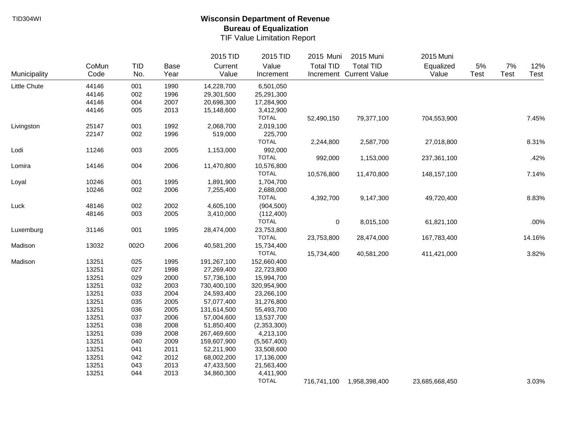|              |       |            |      | 2015 TID    | 2015 TID     | 2015 Muni        | 2015 Muni               | 2015 Muni      |             |       |        |
|--------------|-------|------------|------|-------------|--------------|------------------|-------------------------|----------------|-------------|-------|--------|
|              | CoMun | <b>TID</b> | Base | Current     | Value        | <b>Total TID</b> | <b>Total TID</b>        | Equalized      | $5\%$       | $7\%$ | 12%    |
| Municipality | Code  | No.        | Year | Value       | Increment    |                  | Increment Current Value | Value          | <b>Test</b> | Test  | Test   |
| Little Chute | 44146 | 001        | 1990 | 14,228,700  | 6,501,050    |                  |                         |                |             |       |        |
|              | 44146 | 002        | 1996 | 29,301,500  | 25,291,300   |                  |                         |                |             |       |        |
|              | 44146 | 004        | 2007 | 20,698,300  | 17,284,900   |                  |                         |                |             |       |        |
|              | 44146 | 005        | 2013 | 15,148,600  | 3,412,900    |                  |                         |                |             |       |        |
|              |       |            |      |             | <b>TOTAL</b> | 52,490,150       | 79,377,100              | 704,553,900    |             |       | 7.45%  |
| Livingston   | 25147 | 001        | 1992 | 2,068,700   | 2,019,100    |                  |                         |                |             |       |        |
|              | 22147 | 002        | 1996 | 519,000     | 225,700      |                  |                         |                |             |       |        |
|              |       |            |      |             | <b>TOTAL</b> | 2,244,800        | 2,587,700               | 27,018,800     |             |       | 8.31%  |
| Lodi         | 11246 | 003        | 2005 | 1,153,000   | 992,000      |                  |                         |                |             |       |        |
|              |       |            |      |             | <b>TOTAL</b> | 992,000          | 1,153,000               | 237,361,100    |             |       | .42%   |
| Lomira       | 14146 | 004        | 2006 | 11,470,800  | 10,576,800   |                  |                         |                |             |       |        |
|              |       |            |      |             | <b>TOTAL</b> | 10,576,800       | 11,470,800              | 148, 157, 100  |             |       | 7.14%  |
| Loyal        | 10246 | 001        | 1995 | 1,891,900   | 1,704,700    |                  |                         |                |             |       |        |
|              | 10246 | 002        | 2006 | 7,255,400   | 2,688,000    |                  |                         |                |             |       |        |
|              |       |            |      |             | <b>TOTAL</b> | 4,392,700        | 9,147,300               | 49,720,400     |             |       | 8.83%  |
| Luck         | 48146 | 002        | 2002 | 4,605,100   | (904, 500)   |                  |                         |                |             |       |        |
|              | 48146 | 003        | 2005 | 3,410,000   | (112, 400)   |                  |                         |                |             |       |        |
|              |       |            |      |             | <b>TOTAL</b> | $\pmb{0}$        | 8,015,100               | 61,821,100     |             |       | .00%   |
| Luxemburg    | 31146 | 001        | 1995 | 28,474,000  | 23,753,800   |                  |                         |                |             |       |        |
|              |       |            |      |             | <b>TOTAL</b> | 23,753,800       | 28,474,000              | 167,783,400    |             |       | 14.16% |
| Madison      | 13032 | 002O       | 2006 | 40,581,200  | 15,734,400   |                  |                         |                |             |       |        |
|              |       |            |      |             | <b>TOTAL</b> | 15,734,400       | 40,581,200              | 411,421,000    |             |       | 3.82%  |
| Madison      | 13251 | 025        | 1995 | 191,267,100 | 152,660,400  |                  |                         |                |             |       |        |
|              | 13251 | 027        | 1998 | 27,269,400  | 22,723,800   |                  |                         |                |             |       |        |
|              | 13251 | 029        | 2000 | 57,736,100  | 15,994,700   |                  |                         |                |             |       |        |
|              | 13251 | 032        | 2003 | 730,400,100 | 320,954,900  |                  |                         |                |             |       |        |
|              | 13251 | 033        | 2004 | 24,593,400  | 23,266,100   |                  |                         |                |             |       |        |
|              | 13251 | 035        | 2005 | 57,077,400  | 31,276,800   |                  |                         |                |             |       |        |
|              | 13251 | 036        | 2005 | 131,614,500 | 55,493,700   |                  |                         |                |             |       |        |
|              | 13251 | 037        | 2006 | 57,004,600  | 13,537,700   |                  |                         |                |             |       |        |
|              | 13251 | 038        | 2008 | 51,850,400  | (2,353,300)  |                  |                         |                |             |       |        |
|              | 13251 | 039        | 2008 | 267,469,600 | 4,213,100    |                  |                         |                |             |       |        |
|              | 13251 | 040        | 2009 | 159,607,900 | (5,567,400)  |                  |                         |                |             |       |        |
|              | 13251 | 041        | 2011 | 52,211,900  | 33,508,600   |                  |                         |                |             |       |        |
|              | 13251 | 042        | 2012 | 68,002,200  | 17,136,000   |                  |                         |                |             |       |        |
|              | 13251 | 043        | 2013 | 47,433,500  | 21,563,400   |                  |                         |                |             |       |        |
|              | 13251 | 044        | 2013 | 34,860,300  | 4,411,900    |                  |                         |                |             |       |        |
|              |       |            |      |             | <b>TOTAL</b> | 716,741,100      | 1,958,398,400           | 23,685,668,450 |             |       | 3.03%  |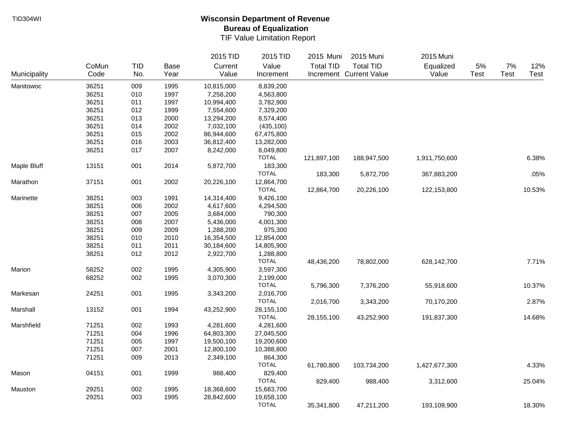|              |       |     |             | 2015 TID   | 2015 TID     | 2015 Muni        | 2015 Muni               | 2015 Muni     |      |             |        |
|--------------|-------|-----|-------------|------------|--------------|------------------|-------------------------|---------------|------|-------------|--------|
|              | CoMun | TID | <b>Base</b> | Current    | Value        | <b>Total TID</b> | <b>Total TID</b>        | Equalized     | 5%   | 7%          | 12%    |
| Municipality | Code  | No. | Year        | Value      | Increment    |                  | Increment Current Value | Value         | Test | <b>Test</b> | Test   |
| Manitowoc    | 36251 | 009 | 1995        | 10,815,000 | 8,839,200    |                  |                         |               |      |             |        |
|              | 36251 | 010 | 1997        | 7,258,200  | 4,563,800    |                  |                         |               |      |             |        |
|              | 36251 | 011 | 1997        | 10,994,400 | 3,782,900    |                  |                         |               |      |             |        |
|              | 36251 | 012 | 1999        | 7,554,600  | 7,329,200    |                  |                         |               |      |             |        |
|              | 36251 | 013 | 2000        | 13,294,200 | 8,574,400    |                  |                         |               |      |             |        |
|              | 36251 | 014 | 2002        | 7,032,100  | (435, 100)   |                  |                         |               |      |             |        |
|              | 36251 | 015 | 2002        | 86,944,600 | 67,475,800   |                  |                         |               |      |             |        |
|              | 36251 | 016 | 2003        | 36,812,400 | 13,282,000   |                  |                         |               |      |             |        |
|              | 36251 | 017 | 2007        | 8,242,000  | 8,049,800    |                  |                         |               |      |             |        |
|              |       |     |             |            | <b>TOTAL</b> | 121,897,100      | 188,947,500             | 1,911,750,600 |      |             | 6.38%  |
| Maple Bluff  | 13151 | 001 | 2014        | 5,872,700  | 183,300      |                  |                         |               |      |             |        |
|              |       |     |             |            | <b>TOTAL</b> | 183,300          | 5,872,700               | 367,883,200   |      |             | .05%   |
| Marathon     | 37151 | 001 | 2002        | 20,226,100 | 12,864,700   |                  |                         |               |      |             |        |
|              |       |     |             |            | <b>TOTAL</b> | 12,864,700       | 20,226,100              | 122,153,800   |      |             | 10.53% |
| Marinette    | 38251 | 003 | 1991        | 14,314,400 | 9,426,100    |                  |                         |               |      |             |        |
|              | 38251 | 006 | 2002        | 4,617,600  | 4,294,500    |                  |                         |               |      |             |        |
|              | 38251 | 007 | 2005        | 3,684,000  | 790,300      |                  |                         |               |      |             |        |
|              | 38251 | 008 | 2007        | 5,436,000  | 4,001,300    |                  |                         |               |      |             |        |
|              | 38251 | 009 | 2009        | 1,288,200  | 975,300      |                  |                         |               |      |             |        |
|              | 38251 | 010 | 2010        | 16,354,500 | 12,854,000   |                  |                         |               |      |             |        |
|              | 38251 | 011 | 2011        | 30,184,600 | 14,805,900   |                  |                         |               |      |             |        |
|              | 38251 | 012 | 2012        | 2,922,700  | 1,288,800    |                  |                         |               |      |             |        |
|              |       |     |             |            | <b>TOTAL</b> | 48,436,200       | 78,802,000              | 628,142,700   |      |             | 7.71%  |
| Marion       | 58252 | 002 | 1995        | 4,305,900  | 3,597,300    |                  |                         |               |      |             |        |
|              | 68252 | 002 | 1995        | 3,070,300  | 2,199,000    |                  |                         |               |      |             |        |
|              |       |     |             |            | <b>TOTAL</b> | 5,796,300        | 7,376,200               | 55,918,600    |      |             | 10.37% |
| Markesan     | 24251 | 001 | 1995        | 3,343,200  | 2,016,700    |                  |                         |               |      |             |        |
|              |       |     |             |            | <b>TOTAL</b> | 2,016,700        | 3,343,200               | 70,170,200    |      |             | 2.87%  |
| Marshall     | 13152 | 001 | 1994        | 43,252,900 | 28,155,100   |                  |                         |               |      |             |        |
|              |       |     |             |            | <b>TOTAL</b> | 28,155,100       | 43,252,900              | 191,837,300   |      |             | 14.68% |
| Marshfield   | 71251 | 002 | 1993        | 4,281,600  | 4,281,600    |                  |                         |               |      |             |        |
|              | 71251 | 004 | 1996        | 64,803,300 | 27,045,500   |                  |                         |               |      |             |        |
|              | 71251 | 005 | 1997        | 19,500,100 | 19,200,600   |                  |                         |               |      |             |        |
|              | 71251 | 007 | 2001        | 12,800,100 | 10,388,800   |                  |                         |               |      |             |        |
|              | 71251 | 009 | 2013        | 2,349,100  | 864,300      |                  |                         |               |      |             |        |
|              |       |     |             |            | <b>TOTAL</b> | 61,780,800       | 103,734,200             | 1,427,677,300 |      |             | 4.33%  |
| Mason        | 04151 | 001 | 1999        | 988,400    | 829,400      |                  |                         |               |      |             |        |
|              |       |     |             |            | <b>TOTAL</b> | 829,400          | 988,400                 | 3,312,600     |      |             | 25.04% |
| Mauston      | 29251 | 002 | 1995        | 18,368,600 | 15,683,700   |                  |                         |               |      |             |        |
|              | 29251 | 003 | 1995        | 28,842,600 | 19,658,100   |                  |                         |               |      |             |        |
|              |       |     |             |            | <b>TOTAL</b> | 35,341,800       | 47,211,200              | 193,109,900   |      |             | 18.30% |
|              |       |     |             |            |              |                  |                         |               |      |             |        |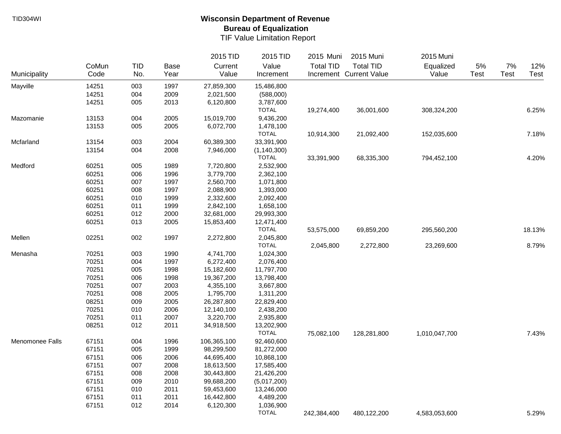|                 |       |            |      | 2015 TID    | 2015 TID      | 2015 Muni        | 2015 Muni               | 2015 Muni     |      |             |        |
|-----------------|-------|------------|------|-------------|---------------|------------------|-------------------------|---------------|------|-------------|--------|
|                 | CoMun | <b>TID</b> | Base | Current     | Value         | <b>Total TID</b> | <b>Total TID</b>        | Equalized     | 5%   | 7%          | 12%    |
| Municipality    | Code  | No.        | Year | Value       | Increment     |                  | Increment Current Value | Value         | Test | <b>Test</b> | Test   |
| Mayville        | 14251 | 003        | 1997 | 27,859,300  | 15,486,800    |                  |                         |               |      |             |        |
|                 | 14251 | 004        | 2009 | 2,021,500   | (588,000)     |                  |                         |               |      |             |        |
|                 | 14251 | 005        | 2013 | 6,120,800   | 3,787,600     |                  |                         |               |      |             |        |
|                 |       |            |      |             | <b>TOTAL</b>  | 19,274,400       | 36,001,600              | 308,324,200   |      |             | 6.25%  |
| Mazomanie       | 13153 | 004        | 2005 | 15,019,700  | 9,436,200     |                  |                         |               |      |             |        |
|                 | 13153 | 005        | 2005 | 6,072,700   | 1,478,100     |                  |                         |               |      |             |        |
|                 |       |            |      |             | <b>TOTAL</b>  | 10,914,300       | 21,092,400              | 152,035,600   |      |             | 7.18%  |
| Mcfarland       | 13154 | 003        | 2004 | 60,389,300  | 33,391,900    |                  |                         |               |      |             |        |
|                 | 13154 | 004        | 2008 | 7,946,000   | (1, 140, 300) |                  |                         |               |      |             |        |
|                 |       |            |      |             | <b>TOTAL</b>  | 33,391,900       | 68,335,300              | 794,452,100   |      |             | 4.20%  |
| Medford         | 60251 | 005        | 1989 | 7,720,800   | 2,532,900     |                  |                         |               |      |             |        |
|                 | 60251 | 006        | 1996 | 3,779,700   | 2,362,100     |                  |                         |               |      |             |        |
|                 | 60251 | 007        | 1997 | 2,560,700   | 1,071,800     |                  |                         |               |      |             |        |
|                 | 60251 | 008        | 1997 | 2,088,900   | 1,393,000     |                  |                         |               |      |             |        |
|                 | 60251 | 010        | 1999 | 2,332,600   | 2,092,400     |                  |                         |               |      |             |        |
|                 | 60251 | 011        | 1999 | 2,842,100   | 1,658,100     |                  |                         |               |      |             |        |
|                 | 60251 | 012        | 2000 | 32,681,000  | 29,993,300    |                  |                         |               |      |             |        |
|                 | 60251 | 013        | 2005 | 15,853,400  | 12,471,400    |                  |                         |               |      |             |        |
|                 |       |            |      |             | <b>TOTAL</b>  | 53,575,000       | 69,859,200              | 295,560,200   |      |             | 18.13% |
| Mellen          | 02251 | 002        | 1997 | 2,272,800   | 2,045,800     |                  |                         |               |      |             |        |
|                 |       |            |      |             | <b>TOTAL</b>  | 2,045,800        | 2,272,800               | 23,269,600    |      |             | 8.79%  |
| Menasha         | 70251 | 003        | 1990 | 4,741,700   | 1,024,300     |                  |                         |               |      |             |        |
|                 | 70251 | 004        | 1997 | 6,272,400   | 2,076,400     |                  |                         |               |      |             |        |
|                 | 70251 | 005        | 1998 | 15,182,600  | 11,797,700    |                  |                         |               |      |             |        |
|                 | 70251 | 006        | 1998 | 19,367,200  | 13,798,400    |                  |                         |               |      |             |        |
|                 | 70251 | 007        | 2003 | 4,355,100   | 3,667,800     |                  |                         |               |      |             |        |
|                 | 70251 | 008        | 2005 | 1,795,700   | 1,311,200     |                  |                         |               |      |             |        |
|                 | 08251 | 009        | 2005 | 26,287,800  | 22,829,400    |                  |                         |               |      |             |        |
|                 | 70251 | 010        | 2006 | 12,140,100  | 2,438,200     |                  |                         |               |      |             |        |
|                 | 70251 | 011        | 2007 | 3,220,700   | 2,935,800     |                  |                         |               |      |             |        |
|                 | 08251 | 012        | 2011 | 34,918,500  | 13,202,900    |                  |                         |               |      |             |        |
|                 |       |            |      |             | <b>TOTAL</b>  | 75,082,100       | 128,281,800             | 1,010,047,700 |      |             | 7.43%  |
| Menomonee Falls | 67151 | 004        | 1996 | 106,365,100 | 92,460,600    |                  |                         |               |      |             |        |
|                 | 67151 | 005        | 1999 | 98,299,500  | 81,272,000    |                  |                         |               |      |             |        |
|                 | 67151 | 006        | 2006 | 44,695,400  | 10,868,100    |                  |                         |               |      |             |        |
|                 | 67151 | 007        | 2008 | 18,613,500  | 17,585,400    |                  |                         |               |      |             |        |
|                 | 67151 | 008        | 2008 | 30,443,800  | 21,426,200    |                  |                         |               |      |             |        |
|                 | 67151 | 009        | 2010 | 99,688,200  | (5,017,200)   |                  |                         |               |      |             |        |
|                 | 67151 | 010        | 2011 | 59,453,600  | 13,246,000    |                  |                         |               |      |             |        |
|                 | 67151 | 011        | 2011 | 16,442,800  | 4,489,200     |                  |                         |               |      |             |        |
|                 | 67151 | 012        | 2014 | 6,120,300   | 1,036,900     |                  |                         |               |      |             |        |
|                 |       |            |      |             | <b>TOTAL</b>  | 242,384,400      | 480,122,200             | 4,583,053,600 |      |             | 5.29%  |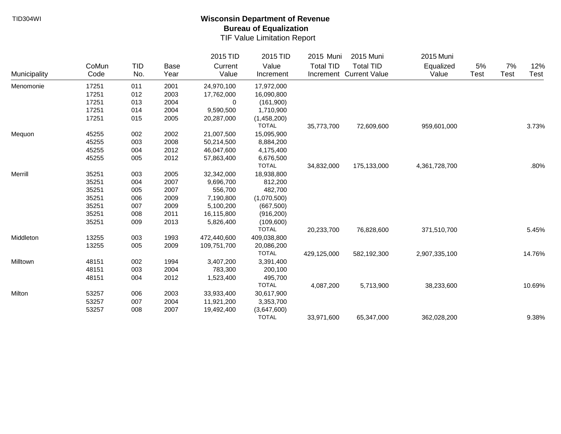|              |       |            |      | 2015 TID    | 2015 TID     | 2015 Muni        | 2015 Muni               | 2015 Muni     |             |             |        |
|--------------|-------|------------|------|-------------|--------------|------------------|-------------------------|---------------|-------------|-------------|--------|
|              | CoMun | <b>TID</b> | Base | Current     | Value        | <b>Total TID</b> | <b>Total TID</b>        | Equalized     | 5%          | 7%          | 12%    |
| Municipality | Code  | No.        | Year | Value       | Increment    |                  | Increment Current Value | Value         | <b>Test</b> | <b>Test</b> | Test   |
| Menomonie    | 17251 | 011        | 2001 | 24,970,100  | 17,972,000   |                  |                         |               |             |             |        |
|              | 17251 | 012        | 2003 | 17,762,000  | 16,090,800   |                  |                         |               |             |             |        |
|              | 17251 | 013        | 2004 | 0           | (161,900)    |                  |                         |               |             |             |        |
|              | 17251 | 014        | 2004 | 9,590,500   | 1,710,900    |                  |                         |               |             |             |        |
|              | 17251 | 015        | 2005 | 20,287,000  | (1,458,200)  |                  |                         |               |             |             |        |
|              |       |            |      |             | <b>TOTAL</b> | 35,773,700       | 72,609,600              | 959,601,000   |             |             | 3.73%  |
| Mequon       | 45255 | 002        | 2002 | 21,007,500  | 15,095,900   |                  |                         |               |             |             |        |
|              | 45255 | 003        | 2008 | 50,214,500  | 8,884,200    |                  |                         |               |             |             |        |
|              | 45255 | 004        | 2012 | 46,047,600  | 4,175,400    |                  |                         |               |             |             |        |
|              | 45255 | 005        | 2012 | 57,863,400  | 6,676,500    |                  |                         |               |             |             |        |
|              |       |            |      |             | <b>TOTAL</b> | 34,832,000       | 175,133,000             | 4,361,728,700 |             |             | .80%   |
| Merrill      | 35251 | 003        | 2005 | 32,342,000  | 18,938,800   |                  |                         |               |             |             |        |
|              | 35251 | 004        | 2007 | 9,696,700   | 812,200      |                  |                         |               |             |             |        |
|              | 35251 | 005        | 2007 | 556,700     | 482,700      |                  |                         |               |             |             |        |
|              | 35251 | 006        | 2009 | 7,190,800   | (1,070,500)  |                  |                         |               |             |             |        |
|              | 35251 | 007        | 2009 | 5,100,200   | (667, 500)   |                  |                         |               |             |             |        |
|              | 35251 | 008        | 2011 | 16,115,800  | (916, 200)   |                  |                         |               |             |             |        |
|              | 35251 | 009        | 2013 | 5,826,400   | (109,600)    |                  |                         |               |             |             |        |
|              |       |            |      |             | <b>TOTAL</b> | 20,233,700       | 76,828,600              | 371,510,700   |             |             | 5.45%  |
| Middleton    | 13255 | 003        | 1993 | 472,440,600 | 409,038,800  |                  |                         |               |             |             |        |
|              | 13255 | 005        | 2009 | 109,751,700 | 20,086,200   |                  |                         |               |             |             |        |
|              |       |            |      |             | <b>TOTAL</b> | 429,125,000      | 582,192,300             | 2,907,335,100 |             |             | 14.76% |
| Milltown     | 48151 | 002        | 1994 | 3,407,200   | 3,391,400    |                  |                         |               |             |             |        |
|              | 48151 | 003        | 2004 | 783,300     | 200,100      |                  |                         |               |             |             |        |
|              | 48151 | 004        | 2012 | 1,523,400   | 495,700      |                  |                         |               |             |             |        |
|              |       |            |      |             | <b>TOTAL</b> | 4,087,200        | 5,713,900               | 38,233,600    |             |             | 10.69% |
| Milton       | 53257 | 006        | 2003 | 33,933,400  | 30,617,900   |                  |                         |               |             |             |        |
|              | 53257 | 007        | 2004 | 11,921,200  | 3,353,700    |                  |                         |               |             |             |        |
|              | 53257 | 008        | 2007 | 19,492,400  | (3,647,600)  |                  |                         |               |             |             |        |
|              |       |            |      |             | <b>TOTAL</b> | 33,971,600       | 65,347,000              | 362,028,200   |             |             | 9.38%  |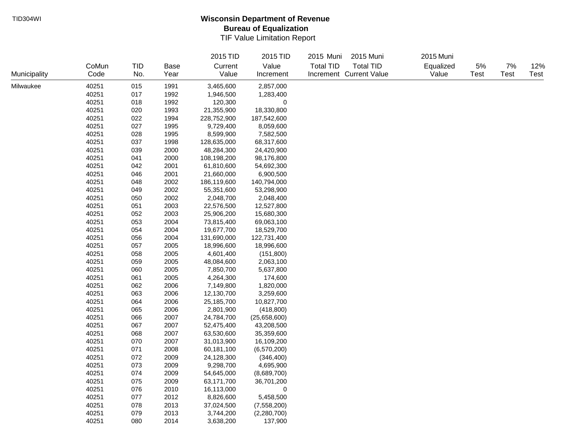|              |       |            |      | 2015 TID    | 2015 TID         | 2015 Muni<br>2015 Muni               | 2015 Muni |             |             |      |
|--------------|-------|------------|------|-------------|------------------|--------------------------------------|-----------|-------------|-------------|------|
|              | CoMun | <b>TID</b> | Base | Current     | Value            | <b>Total TID</b><br><b>Total TID</b> | Equalized | 5%          | $7\%$       | 12%  |
| Municipality | Code  | No.        | Year | Value       | Increment        | Increment Current Value              | Value     | <b>Test</b> | <b>Test</b> | Test |
| Milwaukee    | 40251 | 015        | 1991 | 3,465,600   | 2,857,000        |                                      |           |             |             |      |
|              | 40251 | 017        | 1992 | 1,946,500   | 1,283,400        |                                      |           |             |             |      |
|              | 40251 | 018        | 1992 | 120,300     | $\mathbf 0$      |                                      |           |             |             |      |
|              | 40251 | 020        | 1993 | 21,355,900  | 18,330,800       |                                      |           |             |             |      |
|              | 40251 | 022        | 1994 | 228,752,900 | 187,542,600      |                                      |           |             |             |      |
|              | 40251 | 027        | 1995 | 9,729,400   | 8,059,600        |                                      |           |             |             |      |
|              | 40251 | 028        | 1995 | 8,599,900   | 7,582,500        |                                      |           |             |             |      |
|              | 40251 | 037        | 1998 | 128,635,000 | 68,317,600       |                                      |           |             |             |      |
|              | 40251 | 039        | 2000 | 48,284,300  | 24,420,900       |                                      |           |             |             |      |
|              | 40251 | 041        | 2000 | 108,198,200 | 98,176,800       |                                      |           |             |             |      |
|              | 40251 | 042        | 2001 | 61,810,600  | 54,692,300       |                                      |           |             |             |      |
|              | 40251 | 046        | 2001 | 21,660,000  | 6,900,500        |                                      |           |             |             |      |
|              | 40251 | 048        | 2002 | 186,119,600 | 140,794,000      |                                      |           |             |             |      |
|              | 40251 | 049        | 2002 | 55,351,600  | 53,298,900       |                                      |           |             |             |      |
|              | 40251 | 050        | 2002 | 2,048,700   | 2,048,400        |                                      |           |             |             |      |
|              | 40251 | 051        | 2003 | 22,576,500  | 12,527,800       |                                      |           |             |             |      |
|              | 40251 | 052        | 2003 | 25,906,200  | 15,680,300       |                                      |           |             |             |      |
|              | 40251 | 053        | 2004 | 73,815,400  | 69,063,100       |                                      |           |             |             |      |
|              | 40251 | 054        | 2004 | 19,677,700  | 18,529,700       |                                      |           |             |             |      |
|              | 40251 | 056        | 2004 | 131,690,000 | 122,731,400      |                                      |           |             |             |      |
|              | 40251 | 057        | 2005 | 18,996,600  | 18,996,600       |                                      |           |             |             |      |
|              | 40251 | 058        | 2005 | 4,601,400   | (151, 800)       |                                      |           |             |             |      |
|              | 40251 | 059        | 2005 | 48,084,600  | 2,063,100        |                                      |           |             |             |      |
|              | 40251 | 060        | 2005 | 7,850,700   | 5,637,800        |                                      |           |             |             |      |
|              | 40251 | 061        | 2005 | 4,264,300   | 174,600          |                                      |           |             |             |      |
|              | 40251 | 062        | 2006 | 7,149,800   | 1,820,000        |                                      |           |             |             |      |
|              | 40251 | 063        | 2006 | 12,130,700  | 3,259,600        |                                      |           |             |             |      |
|              | 40251 | 064        | 2006 | 25,185,700  | 10,827,700       |                                      |           |             |             |      |
|              | 40251 | 065        | 2006 | 2,801,900   | (418, 800)       |                                      |           |             |             |      |
|              | 40251 | 066        | 2007 | 24,784,700  | (25,658,600)     |                                      |           |             |             |      |
|              | 40251 | 067        | 2007 | 52,475,400  | 43,208,500       |                                      |           |             |             |      |
|              | 40251 | 068        | 2007 | 63,530,600  | 35,359,600       |                                      |           |             |             |      |
|              | 40251 | 070        | 2007 | 31,013,900  | 16,109,200       |                                      |           |             |             |      |
|              | 40251 | 071        | 2008 | 60,181,100  | (6,570,200)      |                                      |           |             |             |      |
|              | 40251 | 072        | 2009 | 24,128,300  | (346, 400)       |                                      |           |             |             |      |
|              | 40251 | 073        | 2009 | 9,298,700   | 4,695,900        |                                      |           |             |             |      |
|              | 40251 | 074        | 2009 | 54,645,000  | (8,689,700)      |                                      |           |             |             |      |
|              | 40251 | 075        | 2009 | 63,171,700  | 36,701,200       |                                      |           |             |             |      |
|              | 40251 | 076        | 2010 | 16,113,000  | $\boldsymbol{0}$ |                                      |           |             |             |      |
|              | 40251 | 077        | 2012 | 8,826,600   | 5,458,500        |                                      |           |             |             |      |
|              | 40251 | 078        | 2013 | 37,024,500  | (7,558,200)      |                                      |           |             |             |      |
|              | 40251 | 079        | 2013 | 3,744,200   | (2,280,700)      |                                      |           |             |             |      |
|              | 40251 | 080        | 2014 | 3,638,200   | 137,900          |                                      |           |             |             |      |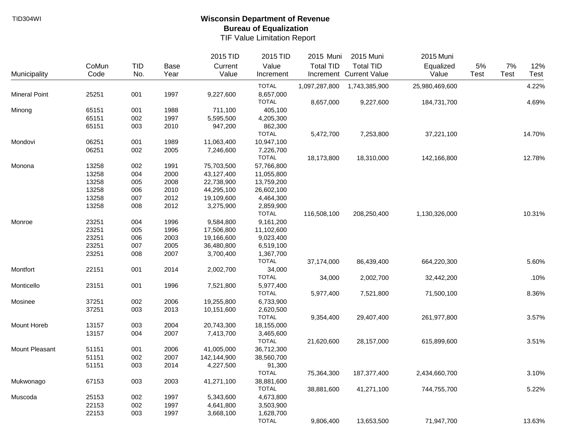|                      |       |            |             | 2015 TID    | 2015 TID     | 2015 Muni        | 2015 Muni               | 2015 Muni      |      |      |        |
|----------------------|-------|------------|-------------|-------------|--------------|------------------|-------------------------|----------------|------|------|--------|
|                      | CoMun | <b>TID</b> | <b>Base</b> | Current     | Value        | <b>Total TID</b> | <b>Total TID</b>        | Equalized      | 5%   | 7%   | 12%    |
| Municipality         | Code  | No.        | Year        | Value       | Increment    |                  | Increment Current Value | Value          | Test | Test | Test   |
|                      |       |            |             |             | <b>TOTAL</b> | 1,097,287,800    | 1,743,385,900           | 25,980,469,600 |      |      | 4.22%  |
| <b>Mineral Point</b> | 25251 | 001        | 1997        | 9,227,600   | 8,657,000    |                  |                         |                |      |      |        |
|                      |       |            |             |             | <b>TOTAL</b> | 8,657,000        | 9,227,600               | 184,731,700    |      |      | 4.69%  |
| Minong               | 65151 | 001        | 1988        | 711,100     | 405,100      |                  |                         |                |      |      |        |
|                      | 65151 | 002        | 1997        | 5,595,500   | 4,205,300    |                  |                         |                |      |      |        |
|                      | 65151 | 003        | 2010        | 947,200     | 862,300      |                  |                         |                |      |      |        |
|                      |       |            |             |             | <b>TOTAL</b> | 5,472,700        | 7,253,800               | 37,221,100     |      |      | 14.70% |
| Mondovi              | 06251 | 001        | 1989        | 11,063,400  | 10,947,100   |                  |                         |                |      |      |        |
|                      | 06251 | 002        | 2005        | 7,246,600   | 7,226,700    |                  |                         |                |      |      |        |
|                      |       |            |             |             | <b>TOTAL</b> | 18,173,800       | 18,310,000              | 142,166,800    |      |      | 12.78% |
| Monona               | 13258 | 002        | 1991        | 75,703,500  | 57,766,800   |                  |                         |                |      |      |        |
|                      | 13258 | 004        | 2000        | 43,127,400  | 11,055,800   |                  |                         |                |      |      |        |
|                      | 13258 | 005        | 2008        | 22,738,900  | 13,759,200   |                  |                         |                |      |      |        |
|                      | 13258 | 006        | 2010        | 44,295,100  | 26,602,100   |                  |                         |                |      |      |        |
|                      | 13258 | 007        | 2012        | 19,109,600  | 4,464,300    |                  |                         |                |      |      |        |
|                      | 13258 | 008        | 2012        | 3,275,900   | 2,859,900    |                  |                         |                |      |      |        |
|                      |       |            |             |             | <b>TOTAL</b> | 116,508,100      | 208,250,400             | 1,130,326,000  |      |      | 10.31% |
| Monroe               | 23251 | 004        | 1996        | 9,584,800   | 9,161,200    |                  |                         |                |      |      |        |
|                      | 23251 | 005        | 1996        | 17,506,800  | 11,102,600   |                  |                         |                |      |      |        |
|                      | 23251 | 006        | 2003        | 19,166,600  | 9,023,400    |                  |                         |                |      |      |        |
|                      | 23251 | 007        | 2005        | 36,480,800  | 6,519,100    |                  |                         |                |      |      |        |
|                      | 23251 | 008        | 2007        | 3,700,400   | 1,367,700    |                  |                         |                |      |      |        |
|                      |       |            |             |             | <b>TOTAL</b> | 37,174,000       | 86,439,400              | 664,220,300    |      |      | 5.60%  |
| Montfort             | 22151 | 001        | 2014        | 2,002,700   | 34,000       |                  |                         |                |      |      |        |
|                      |       |            |             |             | <b>TOTAL</b> | 34,000           | 2,002,700               | 32,442,200     |      |      | .10%   |
| Monticello           | 23151 | 001        | 1996        | 7,521,800   | 5,977,400    |                  |                         |                |      |      |        |
|                      |       |            |             |             | <b>TOTAL</b> | 5,977,400        | 7,521,800               | 71,500,100     |      |      | 8.36%  |
| Mosinee              | 37251 | 002        | 2006        | 19,255,800  | 6,733,900    |                  |                         |                |      |      |        |
|                      | 37251 | 003        | 2013        | 10,151,600  | 2,620,500    |                  |                         |                |      |      |        |
|                      |       |            |             |             | <b>TOTAL</b> | 9,354,400        | 29,407,400              | 261,977,800    |      |      | 3.57%  |
| Mount Horeb          | 13157 | 003        | 2004        | 20,743,300  | 18,155,000   |                  |                         |                |      |      |        |
|                      | 13157 | 004        | 2007        | 7,413,700   | 3,465,600    |                  |                         |                |      |      |        |
|                      |       |            |             |             | <b>TOTAL</b> | 21,620,600       | 28,157,000              | 615,899,600    |      |      | 3.51%  |
| Mount Pleasant       | 51151 | 001        | 2006        | 41,005,000  | 36,712,300   |                  |                         |                |      |      |        |
|                      | 51151 | 002        | 2007        | 142,144,900 | 38,560,700   |                  |                         |                |      |      |        |
|                      | 51151 | 003        | 2014        | 4,227,500   | 91,300       |                  |                         |                |      |      |        |
|                      |       |            |             |             | <b>TOTAL</b> | 75,364,300       | 187,377,400             | 2,434,660,700  |      |      | 3.10%  |
| Mukwonago            | 67153 | 003        | 2003        | 41,271,100  | 38,881,600   |                  |                         |                |      |      |        |
|                      |       |            |             |             | <b>TOTAL</b> | 38,881,600       | 41,271,100              | 744,755,700    |      |      | 5.22%  |
| Muscoda              | 25153 | 002        | 1997        | 5,343,600   | 4,673,800    |                  |                         |                |      |      |        |
|                      | 22153 | 002        | 1997        | 4,641,800   | 3,503,900    |                  |                         |                |      |      |        |
|                      | 22153 | 003        | 1997        | 3,668,100   | 1,628,700    |                  |                         |                |      |      |        |
|                      |       |            |             |             | <b>TOTAL</b> |                  | 13,653,500              | 71,947,700     |      |      |        |
|                      |       |            |             |             |              | 9,806,400        |                         |                |      |      | 13.63% |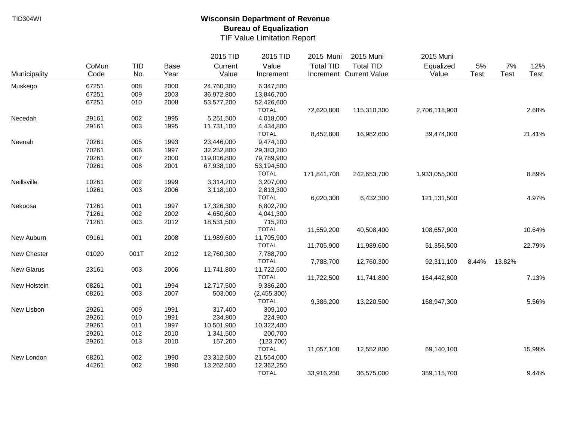|              |       |            |      | 2015 TID    | 2015 TID     | 2015 Muni        | 2015 Muni               | 2015 Muni     |       |        |        |
|--------------|-------|------------|------|-------------|--------------|------------------|-------------------------|---------------|-------|--------|--------|
|              | CoMun | <b>TID</b> | Base | Current     | Value        | <b>Total TID</b> | <b>Total TID</b>        | Equalized     | 5%    | 7%     | 12%    |
| Municipality | Code  | No.        | Year | Value       | Increment    |                  | Increment Current Value | Value         | Test  | Test   | Test   |
| Muskego      | 67251 | 008        | 2000 | 24,760,300  | 6,347,500    |                  |                         |               |       |        |        |
|              | 67251 | 009        | 2003 | 36,972,800  | 13,846,700   |                  |                         |               |       |        |        |
|              | 67251 | 010        | 2008 | 53,577,200  | 52,426,600   |                  |                         |               |       |        |        |
|              |       |            |      |             | <b>TOTAL</b> | 72,620,800       | 115,310,300             | 2,706,118,900 |       |        | 2.68%  |
| Necedah      | 29161 | 002        | 1995 | 5,251,500   | 4,018,000    |                  |                         |               |       |        |        |
|              | 29161 | 003        | 1995 | 11,731,100  | 4,434,800    |                  |                         |               |       |        |        |
|              |       |            |      |             | <b>TOTAL</b> | 8,452,800        | 16,982,600              | 39,474,000    |       |        | 21.41% |
| Neenah       | 70261 | 005        | 1993 | 23,446,000  | 9,474,100    |                  |                         |               |       |        |        |
|              | 70261 | 006        | 1997 | 32,252,800  | 29,383,200   |                  |                         |               |       |        |        |
|              | 70261 | 007        | 2000 | 119,016,800 | 79,789,900   |                  |                         |               |       |        |        |
|              | 70261 | 008        | 2001 | 67,938,100  | 53,194,500   |                  |                         |               |       |        |        |
|              |       |            |      |             | <b>TOTAL</b> | 171,841,700      | 242,653,700             | 1,933,055,000 |       |        | 8.89%  |
| Neillsville  | 10261 | 002        | 1999 | 3,314,200   | 3,207,000    |                  |                         |               |       |        |        |
|              | 10261 | 003        | 2006 | 3,118,100   | 2,813,300    |                  |                         |               |       |        |        |
|              |       |            |      |             | <b>TOTAL</b> | 6,020,300        | 6,432,300               | 121,131,500   |       |        | 4.97%  |
| Nekoosa      | 71261 | 001        | 1997 | 17,326,300  | 6,802,700    |                  |                         |               |       |        |        |
|              | 71261 | 002        | 2002 | 4,650,600   | 4,041,300    |                  |                         |               |       |        |        |
|              | 71261 | 003        | 2012 | 18,531,500  | 715,200      |                  |                         |               |       |        |        |
|              |       |            |      |             | <b>TOTAL</b> | 11,559,200       | 40,508,400              | 108,657,900   |       |        | 10.64% |
| New Auburn   | 09161 | 001        | 2008 | 11,989,600  | 11,705,900   |                  |                         |               |       |        |        |
|              |       |            |      |             | <b>TOTAL</b> | 11,705,900       | 11,989,600              | 51,356,500    |       |        | 22.79% |
| New Chester  | 01020 | 001T       | 2012 | 12,760,300  | 7,788,700    |                  |                         |               |       |        |        |
|              |       |            |      |             | <b>TOTAL</b> | 7,788,700        | 12,760,300              | 92,311,100    | 8.44% | 13.82% |        |
| New Glarus   | 23161 | 003        | 2006 | 11,741,800  | 11,722,500   |                  |                         |               |       |        |        |
|              |       |            |      |             | <b>TOTAL</b> | 11,722,500       | 11,741,800              | 164,442,800   |       |        | 7.13%  |
| New Holstein | 08261 | 001        | 1994 | 12,717,500  | 9,386,200    |                  |                         |               |       |        |        |
|              | 08261 | 003        | 2007 | 503,000     | (2,455,300)  |                  |                         |               |       |        |        |
|              |       |            |      |             | <b>TOTAL</b> | 9,386,200        | 13,220,500              | 168,947,300   |       |        | 5.56%  |
| New Lisbon   | 29261 | 009        | 1991 | 317,400     | 309,100      |                  |                         |               |       |        |        |
|              | 29261 | 010        | 1991 | 234,800     | 224,900      |                  |                         |               |       |        |        |
|              | 29261 | 011        | 1997 | 10,501,900  | 10,322,400   |                  |                         |               |       |        |        |
|              | 29261 | 012        | 2010 | 1,341,500   | 200,700      |                  |                         |               |       |        |        |
|              | 29261 | 013        | 2010 | 157,200     | (123,700)    |                  |                         |               |       |        |        |
|              |       |            |      |             | <b>TOTAL</b> | 11,057,100       | 12,552,800              | 69,140,100    |       |        | 15.99% |
| New London   | 68261 | 002        | 1990 | 23,312,500  | 21,554,000   |                  |                         |               |       |        |        |
|              | 44261 | 002        | 1990 | 13,262,500  | 12,362,250   |                  |                         |               |       |        |        |
|              |       |            |      |             | <b>TOTAL</b> | 33,916,250       | 36,575,000              | 359,115,700   |       |        | 9.44%  |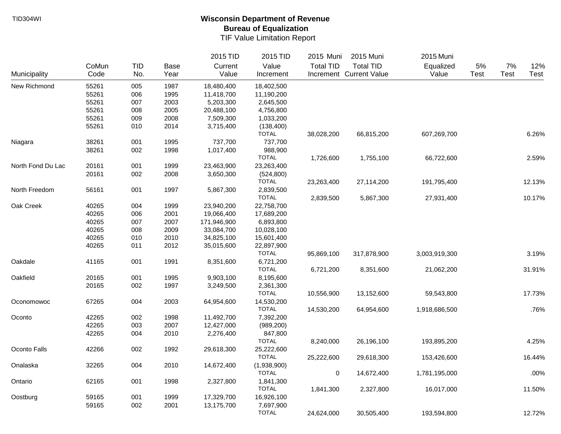|                   |       |            |             | 2015 TID    | 2015 TID     | 2015 Muni        | 2015 Muni               | 2015 Muni     |      |             |        |
|-------------------|-------|------------|-------------|-------------|--------------|------------------|-------------------------|---------------|------|-------------|--------|
|                   | CoMun | <b>TID</b> | <b>Base</b> | Current     | Value        | <b>Total TID</b> | <b>Total TID</b>        | Equalized     | 5%   | 7%          | 12%    |
| Municipality      | Code  | No.        | Year        | Value       | Increment    |                  | Increment Current Value | Value         | Test | <b>Test</b> | Test   |
| New Richmond      | 55261 | 005        | 1987        | 18,480,400  | 18,402,500   |                  |                         |               |      |             |        |
|                   | 55261 | 006        | 1995        | 11,418,700  | 11,190,200   |                  |                         |               |      |             |        |
|                   | 55261 | 007        | 2003        | 5,203,300   | 2,645,500    |                  |                         |               |      |             |        |
|                   | 55261 | 008        | 2005        | 20,488,100  | 4,756,800    |                  |                         |               |      |             |        |
|                   | 55261 | 009        | 2008        | 7,509,300   | 1,033,200    |                  |                         |               |      |             |        |
|                   | 55261 | 010        | 2014        | 3,715,400   | (138, 400)   |                  |                         |               |      |             |        |
|                   |       |            |             |             | <b>TOTAL</b> | 38,028,200       | 66,815,200              | 607,269,700   |      |             | 6.26%  |
| Niagara           | 38261 | 001        | 1995        | 737,700     | 737,700      |                  |                         |               |      |             |        |
|                   | 38261 | 002        | 1998        | 1,017,400   | 988,900      |                  |                         |               |      |             |        |
|                   |       |            |             |             | <b>TOTAL</b> | 1,726,600        | 1,755,100               | 66,722,600    |      |             | 2.59%  |
| North Fond Du Lac | 20161 | 001        | 1999        | 23,463,900  | 23,263,400   |                  |                         |               |      |             |        |
|                   | 20161 | 002        | 2008        | 3,650,300   | (524, 800)   |                  |                         |               |      |             |        |
|                   |       |            |             |             | <b>TOTAL</b> | 23,263,400       | 27,114,200              | 191,795,400   |      |             | 12.13% |
| North Freedom     | 56161 | 001        | 1997        | 5,867,300   | 2,839,500    |                  |                         |               |      |             |        |
|                   |       |            |             |             | <b>TOTAL</b> | 2,839,500        | 5,867,300               | 27,931,400    |      |             | 10.17% |
| Oak Creek         | 40265 | 004        | 1999        | 23,940,200  | 22,758,700   |                  |                         |               |      |             |        |
|                   | 40265 | 006        | 2001        | 19,066,400  | 17,689,200   |                  |                         |               |      |             |        |
|                   | 40265 | 007        | 2007        | 171,946,900 | 6,893,800    |                  |                         |               |      |             |        |
|                   | 40265 | 008        | 2009        | 33,084,700  | 10,028,100   |                  |                         |               |      |             |        |
|                   | 40265 | 010        | 2010        | 34,825,100  | 15,601,400   |                  |                         |               |      |             |        |
|                   | 40265 | 011        | 2012        | 35,015,600  | 22,897,900   |                  |                         |               |      |             |        |
|                   |       |            |             |             | <b>TOTAL</b> | 95,869,100       | 317,878,900             | 3,003,919,300 |      |             | 3.19%  |
| Oakdale           | 41165 | 001        | 1991        | 8,351,600   | 6,721,200    |                  |                         |               |      |             |        |
|                   |       |            |             |             | <b>TOTAL</b> |                  |                         |               |      |             |        |
|                   |       |            |             |             |              | 6,721,200        | 8,351,600               | 21,062,200    |      |             | 31.91% |
| Oakfield          | 20165 | 001        | 1995        | 9,903,100   | 8,195,600    |                  |                         |               |      |             |        |
|                   | 20165 | 002        | 1997        | 3,249,500   | 2,361,300    |                  |                         |               |      |             |        |
|                   |       |            |             |             | <b>TOTAL</b> | 10,556,900       | 13,152,600              | 59,543,800    |      |             | 17.73% |
| Oconomowoc        | 67265 | 004        | 2003        | 64,954,600  | 14,530,200   |                  |                         |               |      |             |        |
|                   |       |            |             |             | <b>TOTAL</b> | 14,530,200       | 64,954,600              | 1,918,686,500 |      |             | .76%   |
| Oconto            | 42265 | 002        | 1998        | 11,492,700  | 7,392,200    |                  |                         |               |      |             |        |
|                   | 42265 | 003        | 2007        | 12,427,000  | (989, 200)   |                  |                         |               |      |             |        |
|                   | 42265 | 004        | 2010        | 2,276,400   | 847,800      |                  |                         |               |      |             |        |
|                   |       |            |             |             | <b>TOTAL</b> | 8,240,000        | 26,196,100              | 193,895,200   |      |             | 4.25%  |
| Oconto Falls      | 42266 | 002        | 1992        | 29,618,300  | 25,222,600   |                  |                         |               |      |             |        |
|                   |       |            |             |             | <b>TOTAL</b> | 25,222,600       | 29,618,300              | 153,426,600   |      |             | 16.44% |
| Onalaska          | 32265 | 004        | 2010        | 14,672,400  | (1,938,900)  |                  |                         |               |      |             |        |
|                   |       |            |             |             | <b>TOTAL</b> | $\pmb{0}$        | 14,672,400              | 1,781,195,000 |      |             | .00%   |
| Ontario           | 62165 | 001        | 1998        | 2,327,800   | 1,841,300    |                  |                         |               |      |             |        |
|                   |       |            |             |             | <b>TOTAL</b> | 1,841,300        | 2,327,800               | 16,017,000    |      |             | 11.50% |
| Oostburg          | 59165 | 001        | 1999        | 17,329,700  | 16,926,100   |                  |                         |               |      |             |        |
|                   | 59165 | 002        | 2001        | 13,175,700  | 7,697,900    |                  |                         |               |      |             |        |
|                   |       |            |             |             | <b>TOTAL</b> | 24,624,000       | 30,505,400              | 193,594,800   |      |             | 12.72% |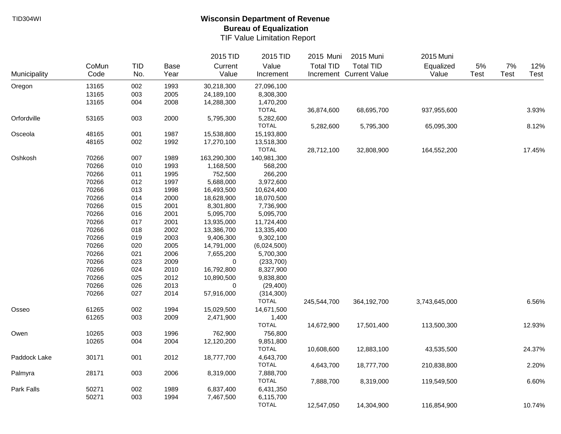|              |       |     |             | 2015 TID    | 2015 TID     | 2015 Muni        | 2015 Muni               | 2015 Muni     |       |             |        |
|--------------|-------|-----|-------------|-------------|--------------|------------------|-------------------------|---------------|-------|-------------|--------|
|              | CoMun | TID | <b>Base</b> | Current     | Value        | <b>Total TID</b> | <b>Total TID</b>        | Equalized     | $5\%$ | 7%          | 12%    |
| Municipality | Code  | No. | Year        | Value       | Increment    |                  | Increment Current Value | Value         | Test  | <b>Test</b> | Test   |
| Oregon       | 13165 | 002 | 1993        | 30,218,300  | 27,096,100   |                  |                         |               |       |             |        |
|              | 13165 | 003 | 2005        | 24,189,100  | 8,308,300    |                  |                         |               |       |             |        |
|              | 13165 | 004 | 2008        | 14,288,300  | 1,470,200    |                  |                         |               |       |             |        |
|              |       |     |             |             | <b>TOTAL</b> | 36,874,600       | 68,695,700              | 937,955,600   |       |             | 3.93%  |
| Orfordville  | 53165 | 003 | 2000        | 5,795,300   | 5,282,600    |                  |                         |               |       |             |        |
|              |       |     |             |             | <b>TOTAL</b> | 5,282,600        | 5,795,300               | 65,095,300    |       |             | 8.12%  |
| Osceola      | 48165 | 001 | 1987        | 15,538,800  | 15,193,800   |                  |                         |               |       |             |        |
|              | 48165 | 002 | 1992        | 17,270,100  | 13,518,300   |                  |                         |               |       |             |        |
|              |       |     |             |             | <b>TOTAL</b> | 28,712,100       | 32,808,900              | 164,552,200   |       |             | 17.45% |
| Oshkosh      | 70266 | 007 | 1989        | 163,290,300 | 140,981,300  |                  |                         |               |       |             |        |
|              | 70266 | 010 | 1993        | 1,168,500   | 568,200      |                  |                         |               |       |             |        |
|              | 70266 | 011 | 1995        | 752,500     | 266,200      |                  |                         |               |       |             |        |
|              | 70266 | 012 | 1997        | 5,688,000   | 3,972,600    |                  |                         |               |       |             |        |
|              | 70266 | 013 | 1998        | 16,493,500  | 10,624,400   |                  |                         |               |       |             |        |
|              | 70266 | 014 | 2000        | 18,628,900  | 18,070,500   |                  |                         |               |       |             |        |
|              | 70266 | 015 | 2001        | 8,301,800   | 7,736,900    |                  |                         |               |       |             |        |
|              | 70266 | 016 | 2001        | 5,095,700   | 5,095,700    |                  |                         |               |       |             |        |
|              | 70266 | 017 | 2001        | 13,935,000  | 11,724,400   |                  |                         |               |       |             |        |
|              | 70266 | 018 | 2002        | 13,386,700  | 13,335,400   |                  |                         |               |       |             |        |
|              | 70266 | 019 | 2003        | 9,406,300   | 9,302,100    |                  |                         |               |       |             |        |
|              | 70266 | 020 | 2005        | 14,791,000  | (6,024,500)  |                  |                         |               |       |             |        |
|              | 70266 | 021 | 2006        | 7,655,200   | 5,700,300    |                  |                         |               |       |             |        |
|              | 70266 | 023 | 2009        | 0           | (233, 700)   |                  |                         |               |       |             |        |
|              | 70266 | 024 | 2010        | 16,792,800  | 8,327,900    |                  |                         |               |       |             |        |
|              | 70266 | 025 | 2012        | 10,890,500  | 9,838,800    |                  |                         |               |       |             |        |
|              | 70266 | 026 | 2013        | 0           | (29, 400)    |                  |                         |               |       |             |        |
|              | 70266 | 027 | 2014        | 57,916,000  | (314, 300)   |                  |                         |               |       |             |        |
|              |       |     |             |             | <b>TOTAL</b> | 245,544,700      | 364,192,700             | 3,743,645,000 |       |             | 6.56%  |
| Osseo        | 61265 | 002 | 1994        | 15,029,500  | 14,671,500   |                  |                         |               |       |             |        |
|              | 61265 | 003 | 2009        | 2,471,900   | 1,400        |                  |                         |               |       |             |        |
|              |       |     |             |             | <b>TOTAL</b> | 14,672,900       | 17,501,400              | 113,500,300   |       |             | 12.93% |
| Owen         | 10265 | 003 | 1996        | 762,900     | 756,800      |                  |                         |               |       |             |        |
|              | 10265 | 004 | 2004        | 12,120,200  | 9,851,800    |                  |                         |               |       |             |        |
|              |       |     |             |             | <b>TOTAL</b> | 10,608,600       | 12,883,100              | 43,535,500    |       |             | 24.37% |
| Paddock Lake | 30171 | 001 | 2012        | 18,777,700  | 4,643,700    |                  |                         |               |       |             |        |
|              |       |     |             |             | <b>TOTAL</b> | 4,643,700        | 18,777,700              | 210,838,800   |       |             | 2.20%  |
| Palmyra      | 28171 | 003 | 2006        | 8,319,000   | 7,888,700    |                  |                         |               |       |             |        |
|              |       |     |             |             | <b>TOTAL</b> | 7,888,700        | 8,319,000               | 119,549,500   |       |             | 6.60%  |
| Park Falls   | 50271 | 002 | 1989        | 6,837,400   | 6,431,350    |                  |                         |               |       |             |        |
|              | 50271 | 003 | 1994        | 7,467,500   | 6,115,700    |                  |                         |               |       |             |        |
|              |       |     |             |             | <b>TOTAL</b> | 12,547,050       | 14,304,900              | 116,854,900   |       |             | 10.74% |
|              |       |     |             |             |              |                  |                         |               |       |             |        |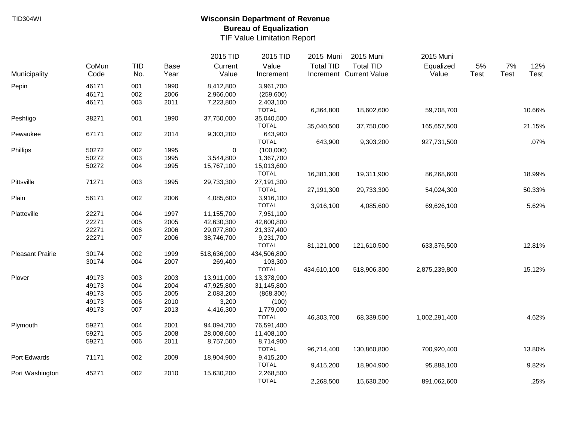|                         |       |            |      | 2015 TID    | 2015 TID     | 2015 Muni        | 2015 Muni               | 2015 Muni     |             |             |        |
|-------------------------|-------|------------|------|-------------|--------------|------------------|-------------------------|---------------|-------------|-------------|--------|
|                         | CoMun | <b>TID</b> | Base | Current     | Value        | <b>Total TID</b> | <b>Total TID</b>        | Equalized     | 5%          | 7%          | 12%    |
| Municipality            | Code  | No.        | Year | Value       | Increment    |                  | Increment Current Value | Value         | <b>Test</b> | <b>Test</b> | Test   |
| Pepin                   | 46171 | 001        | 1990 | 8,412,800   | 3,961,700    |                  |                         |               |             |             |        |
|                         | 46171 | 002        | 2006 | 2,966,000   | (259,600)    |                  |                         |               |             |             |        |
|                         | 46171 | 003        | 2011 | 7,223,800   | 2,403,100    |                  |                         |               |             |             |        |
|                         |       |            |      |             | <b>TOTAL</b> | 6,364,800        | 18,602,600              | 59,708,700    |             |             | 10.66% |
| Peshtigo                | 38271 | 001        | 1990 | 37,750,000  | 35,040,500   |                  |                         |               |             |             |        |
|                         |       |            |      |             | <b>TOTAL</b> | 35,040,500       | 37,750,000              | 165,657,500   |             |             | 21.15% |
| Pewaukee                | 67171 | 002        | 2014 | 9,303,200   | 643,900      |                  |                         |               |             |             |        |
|                         |       |            |      |             | <b>TOTAL</b> | 643,900          | 9,303,200               | 927,731,500   |             |             | .07%   |
| Phillips                | 50272 | 002        | 1995 | $\mathbf 0$ | (100,000)    |                  |                         |               |             |             |        |
|                         | 50272 | 003        | 1995 | 3,544,800   | 1,367,700    |                  |                         |               |             |             |        |
|                         | 50272 | 004        | 1995 | 15,767,100  | 15,013,600   |                  |                         |               |             |             |        |
|                         |       |            |      |             | <b>TOTAL</b> | 16,381,300       | 19,311,900              | 86,268,600    |             |             | 18.99% |
| Pittsville              | 71271 | 003        | 1995 | 29,733,300  | 27,191,300   |                  |                         |               |             |             |        |
|                         |       |            |      |             | <b>TOTAL</b> | 27,191,300       | 29,733,300              | 54,024,300    |             |             | 50.33% |
| Plain                   | 56171 | 002        | 2006 | 4,085,600   | 3,916,100    |                  |                         |               |             |             |        |
|                         |       |            |      |             | <b>TOTAL</b> | 3,916,100        | 4,085,600               | 69,626,100    |             |             | 5.62%  |
| Platteville             | 22271 | 004        | 1997 | 11,155,700  | 7,951,100    |                  |                         |               |             |             |        |
|                         | 22271 | 005        | 2005 | 42,630,300  | 42,600,800   |                  |                         |               |             |             |        |
|                         | 22271 | 006        | 2006 | 29,077,800  | 21,337,400   |                  |                         |               |             |             |        |
|                         | 22271 | 007        | 2006 | 38,746,700  | 9,231,700    |                  |                         |               |             |             |        |
|                         |       |            |      |             | <b>TOTAL</b> | 81,121,000       | 121,610,500             | 633,376,500   |             |             | 12.81% |
| <b>Pleasant Prairie</b> | 30174 | 002        | 1999 | 518,636,900 | 434,506,800  |                  |                         |               |             |             |        |
|                         | 30174 | 004        | 2007 | 269,400     | 103,300      |                  |                         |               |             |             |        |
|                         |       |            |      |             | <b>TOTAL</b> | 434,610,100      | 518,906,300             | 2,875,239,800 |             |             | 15.12% |
| Plover                  | 49173 | 003        | 2003 | 13,911,000  | 13,378,900   |                  |                         |               |             |             |        |
|                         | 49173 | 004        | 2004 | 47,925,800  | 31,145,800   |                  |                         |               |             |             |        |
|                         | 49173 | 005        | 2005 | 2,083,200   | (868, 300)   |                  |                         |               |             |             |        |
|                         | 49173 | 006        | 2010 | 3,200       | (100)        |                  |                         |               |             |             |        |
|                         | 49173 | 007        | 2013 | 4,416,300   | 1,779,000    |                  |                         |               |             |             |        |
|                         |       |            |      |             | <b>TOTAL</b> | 46,303,700       | 68,339,500              | 1,002,291,400 |             |             | 4.62%  |
| Plymouth                | 59271 | 004        | 2001 | 94,094,700  | 76,591,400   |                  |                         |               |             |             |        |
|                         | 59271 | 005        | 2008 | 28,008,600  | 11,408,100   |                  |                         |               |             |             |        |
|                         | 59271 | 006        | 2011 | 8,757,500   | 8,714,900    |                  |                         |               |             |             |        |
|                         |       |            |      |             | <b>TOTAL</b> | 96,714,400       | 130,860,800             | 700,920,400   |             |             | 13.80% |
| Port Edwards            | 71171 | 002        | 2009 | 18,904,900  | 9,415,200    |                  |                         |               |             |             |        |
|                         |       |            |      |             | <b>TOTAL</b> | 9,415,200        | 18,904,900              | 95,888,100    |             |             | 9.82%  |
| Port Washington         | 45271 | 002        | 2010 | 15,630,200  | 2,268,500    |                  |                         |               |             |             |        |
|                         |       |            |      |             | <b>TOTAL</b> | 2,268,500        | 15,630,200              | 891,062,600   |             |             | .25%   |
|                         |       |            |      |             |              |                  |                         |               |             |             |        |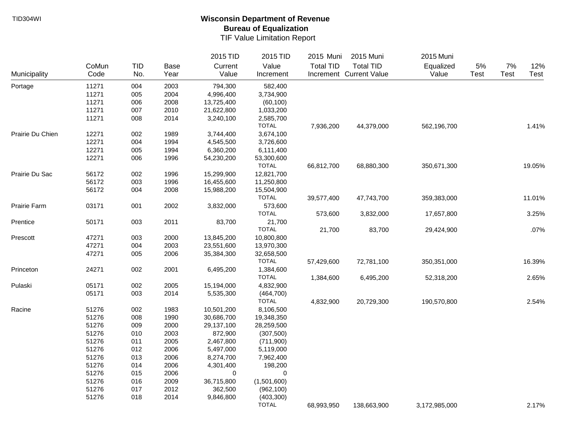|                  |       |     |             | 2015 TID   | 2015 TID     | 2015 Muni        | 2015 Muni               | 2015 Muni     |      |             |        |
|------------------|-------|-----|-------------|------------|--------------|------------------|-------------------------|---------------|------|-------------|--------|
|                  | CoMun | TID | <b>Base</b> | Current    | Value        | <b>Total TID</b> | <b>Total TID</b>        | Equalized     | 5%   | 7%          | 12%    |
| Municipality     | Code  | No. | Year        | Value      | Increment    |                  | Increment Current Value | Value         | Test | <b>Test</b> | Test   |
| Portage          | 11271 | 004 | 2003        | 794,300    | 582,400      |                  |                         |               |      |             |        |
|                  | 11271 | 005 | 2004        | 4,996,400  | 3,734,900    |                  |                         |               |      |             |        |
|                  | 11271 | 006 | 2008        | 13,725,400 | (60, 100)    |                  |                         |               |      |             |        |
|                  | 11271 | 007 | 2010        | 21,622,800 | 1,033,200    |                  |                         |               |      |             |        |
|                  | 11271 | 008 | 2014        | 3,240,100  | 2,585,700    |                  |                         |               |      |             |        |
|                  |       |     |             |            | <b>TOTAL</b> | 7,936,200        | 44,379,000              | 562,196,700   |      |             | 1.41%  |
| Prairie Du Chien | 12271 | 002 | 1989        | 3,744,400  | 3,674,100    |                  |                         |               |      |             |        |
|                  | 12271 | 004 | 1994        | 4,545,500  | 3,726,600    |                  |                         |               |      |             |        |
|                  | 12271 | 005 | 1994        | 6,360,200  | 6,111,400    |                  |                         |               |      |             |        |
|                  | 12271 | 006 | 1996        | 54,230,200 | 53,300,600   |                  |                         |               |      |             |        |
|                  |       |     |             |            | <b>TOTAL</b> | 66,812,700       | 68,880,300              | 350,671,300   |      |             | 19.05% |
| Prairie Du Sac   | 56172 | 002 | 1996        | 15,299,900 | 12,821,700   |                  |                         |               |      |             |        |
|                  | 56172 | 003 | 1996        | 16,455,600 | 11,250,800   |                  |                         |               |      |             |        |
|                  | 56172 | 004 | 2008        | 15,988,200 | 15,504,900   |                  |                         |               |      |             |        |
|                  |       |     |             |            | <b>TOTAL</b> | 39,577,400       | 47,743,700              | 359,383,000   |      |             | 11.01% |
| Prairie Farm     | 03171 | 001 | 2002        | 3,832,000  | 573,600      |                  |                         |               |      |             |        |
|                  |       |     |             |            | <b>TOTAL</b> | 573,600          | 3,832,000               | 17,657,800    |      |             | 3.25%  |
| Prentice         | 50171 | 003 | 2011        | 83,700     | 21,700       |                  |                         |               |      |             |        |
|                  |       |     |             |            | <b>TOTAL</b> | 21,700           | 83,700                  | 29,424,900    |      |             | .07%   |
| Prescott         | 47271 | 003 | 2000        | 13,845,200 | 10,800,800   |                  |                         |               |      |             |        |
|                  | 47271 | 004 | 2003        | 23,551,600 | 13,970,300   |                  |                         |               |      |             |        |
|                  | 47271 | 005 | 2006        | 35,384,300 | 32,658,500   |                  |                         |               |      |             |        |
|                  |       |     |             |            | <b>TOTAL</b> | 57,429,600       | 72,781,100              | 350,351,000   |      |             | 16.39% |
| Princeton        | 24271 | 002 | 2001        | 6,495,200  | 1,384,600    |                  |                         |               |      |             |        |
|                  |       |     |             |            | <b>TOTAL</b> | 1,384,600        | 6,495,200               | 52,318,200    |      |             | 2.65%  |
| Pulaski          | 05171 | 002 | 2005        | 15,194,000 | 4,832,900    |                  |                         |               |      |             |        |
|                  | 05171 | 003 | 2014        | 5,535,300  | (464, 700)   |                  |                         |               |      |             |        |
|                  |       |     |             |            | <b>TOTAL</b> | 4,832,900        | 20,729,300              | 190,570,800   |      |             | 2.54%  |
| Racine           | 51276 | 002 | 1983        | 10,501,200 | 8,106,500    |                  |                         |               |      |             |        |
|                  | 51276 | 008 | 1990        | 30,686,700 | 19,348,350   |                  |                         |               |      |             |        |
|                  | 51276 | 009 | 2000        | 29,137,100 | 28,259,500   |                  |                         |               |      |             |        |
|                  | 51276 | 010 | 2003        | 872,900    | (307, 500)   |                  |                         |               |      |             |        |
|                  | 51276 | 011 | 2005        | 2,467,800  | (711,900)    |                  |                         |               |      |             |        |
|                  | 51276 | 012 | 2006        | 5,497,000  | 5,119,000    |                  |                         |               |      |             |        |
|                  | 51276 | 013 | 2006        | 8,274,700  | 7,962,400    |                  |                         |               |      |             |        |
|                  | 51276 | 014 | 2006        | 4,301,400  | 198,200      |                  |                         |               |      |             |        |
|                  | 51276 | 015 | 2006        | 0          | 0            |                  |                         |               |      |             |        |
|                  | 51276 | 016 | 2009        | 36,715,800 | (1,501,600)  |                  |                         |               |      |             |        |
|                  | 51276 | 017 | 2012        | 362,500    | (962, 100)   |                  |                         |               |      |             |        |
|                  | 51276 | 018 | 2014        | 9,846,800  | (403, 300)   |                  |                         |               |      |             |        |
|                  |       |     |             |            | <b>TOTAL</b> | 68,993,950       | 138,663,900             | 3,172,985,000 |      |             | 2.17%  |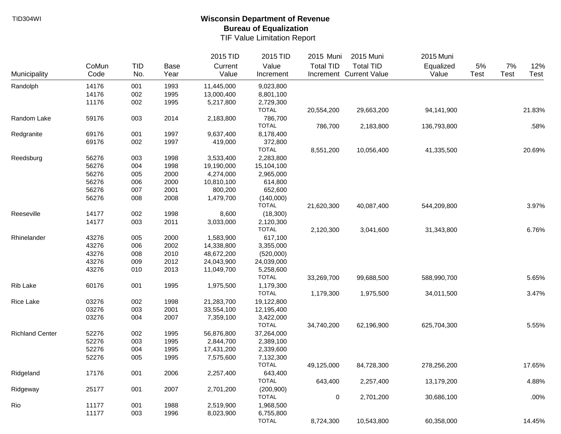|                        |       |            |             | 2015 TID   | 2015 TID                   | 2015 Muni        | 2015 Muni               | 2015 Muni   |      |      |        |
|------------------------|-------|------------|-------------|------------|----------------------------|------------------|-------------------------|-------------|------|------|--------|
|                        | CoMun | <b>TID</b> | <b>Base</b> | Current    | Value                      | <b>Total TID</b> | <b>Total TID</b>        | Equalized   | 5%   | 7%   | 12%    |
| Municipality           | Code  | No.        | Year        | Value      | Increment                  |                  | Increment Current Value | Value       | Test | Test | Test   |
| Randolph               | 14176 | 001        | 1993        | 11,445,000 | 9,023,800                  |                  |                         |             |      |      |        |
|                        | 14176 | 002        | 1995        | 13,000,400 | 8,801,100                  |                  |                         |             |      |      |        |
|                        | 11176 | 002        | 1995        | 5,217,800  | 2,729,300                  |                  |                         |             |      |      |        |
|                        |       |            |             |            | <b>TOTAL</b>               | 20,554,200       | 29,663,200              | 94,141,900  |      |      | 21.83% |
| Random Lake            | 59176 | 003        | 2014        | 2,183,800  | 786,700                    |                  |                         |             |      |      |        |
|                        |       |            |             |            | <b>TOTAL</b>               | 786,700          | 2,183,800               | 136,793,800 |      |      | .58%   |
| Redgranite             | 69176 | 001        | 1997        | 9,637,400  | 8,178,400                  |                  |                         |             |      |      |        |
|                        | 69176 | 002        | 1997        | 419,000    | 372,800                    |                  |                         |             |      |      |        |
|                        |       |            |             |            | <b>TOTAL</b>               | 8,551,200        | 10,056,400              | 41,335,500  |      |      | 20.69% |
| Reedsburg              | 56276 | 003        | 1998        | 3,533,400  | 2,283,800                  |                  |                         |             |      |      |        |
|                        | 56276 | 004        | 1998        | 19,190,000 | 15,104,100                 |                  |                         |             |      |      |        |
|                        | 56276 | 005        | 2000        | 4,274,000  | 2,965,000                  |                  |                         |             |      |      |        |
|                        | 56276 | 006        | 2000        | 10,810,100 | 614,800                    |                  |                         |             |      |      |        |
|                        | 56276 | 007        | 2001        | 800,200    | 652,600                    |                  |                         |             |      |      |        |
|                        | 56276 | 008        | 2008        | 1,479,700  | (140,000)                  |                  |                         |             |      |      |        |
|                        |       |            |             |            | <b>TOTAL</b>               | 21,620,300       | 40,087,400              | 544,209,800 |      |      | 3.97%  |
| Reeseville             | 14177 | 002        | 1998        | 8,600      | (18,300)                   |                  |                         |             |      |      |        |
|                        | 14177 | 003        | 2011        | 3,033,000  | 2,120,300                  |                  |                         |             |      |      |        |
|                        |       |            |             |            | <b>TOTAL</b>               | 2,120,300        | 3,041,600               | 31,343,800  |      |      | 6.76%  |
| Rhinelander            | 43276 | 005        | 2000        | 1,583,900  | 617,100                    |                  |                         |             |      |      |        |
|                        | 43276 | 006        | 2002        | 14,338,800 | 3,355,000                  |                  |                         |             |      |      |        |
|                        | 43276 | 008        | 2010        | 48,672,200 | (520,000)                  |                  |                         |             |      |      |        |
|                        | 43276 | 009        | 2012        | 24,043,900 | 24,039,000                 |                  |                         |             |      |      |        |
|                        | 43276 | 010        | 2013        | 11,049,700 | 5,258,600                  |                  |                         |             |      |      |        |
|                        |       |            |             |            | <b>TOTAL</b>               | 33,269,700       | 99,688,500              | 588,990,700 |      |      | 5.65%  |
| Rib Lake               | 60176 | 001        | 1995        | 1,975,500  | 1,179,300                  |                  |                         |             |      |      |        |
|                        |       |            |             |            | <b>TOTAL</b>               | 1,179,300        | 1,975,500               | 34,011,500  |      |      | 3.47%  |
| Rice Lake              | 03276 | 002        | 1998        | 21,283,700 | 19,122,800                 |                  |                         |             |      |      |        |
|                        | 03276 | 003        | 2001        | 33,554,100 | 12,195,400                 |                  |                         |             |      |      |        |
|                        | 03276 | 004        | 2007        | 7,359,100  | 3,422,000                  |                  |                         |             |      |      |        |
|                        |       |            |             |            | <b>TOTAL</b>               | 34,740,200       | 62,196,900              | 625,704,300 |      |      | 5.55%  |
| <b>Richland Center</b> | 52276 | 002        | 1995        | 56,876,800 | 37,264,000                 |                  |                         |             |      |      |        |
|                        | 52276 | 003        | 1995        | 2,844,700  | 2,389,100                  |                  |                         |             |      |      |        |
|                        | 52276 | 004        | 1995        | 17,431,200 | 2,339,600                  |                  |                         |             |      |      |        |
|                        | 52276 | 005        | 1995        | 7,575,600  | 7,132,300                  |                  |                         |             |      |      |        |
|                        |       |            |             |            | <b>TOTAL</b>               | 49,125,000       | 84,728,300              | 278,256,200 |      |      | 17.65% |
| Ridgeland              | 17176 |            |             |            |                            |                  |                         |             |      |      |        |
|                        |       | 001        | 2006        | 2,257,400  | 643,400<br><b>TOTAL</b>    | 643,400          | 2,257,400               | 13,179,200  |      |      | 4.88%  |
|                        | 25177 |            |             |            |                            |                  |                         |             |      |      |        |
| Ridgeway               |       | 001        | 2007        | 2,701,200  | (200, 900)<br><b>TOTAL</b> |                  |                         | 30,686,100  |      |      | .00%   |
|                        |       |            |             |            |                            | $\pmb{0}$        | 2,701,200               |             |      |      |        |
| Rio                    | 11177 | 001        | 1988        | 2,519,900  | 1,968,500                  |                  |                         |             |      |      |        |
|                        | 11177 | 003        | 1996        | 8,023,900  | 6,755,800                  |                  |                         |             |      |      |        |
|                        |       |            |             |            | <b>TOTAL</b>               | 8,724,300        | 10,543,800              | 60,358,000  |      |      | 14.45% |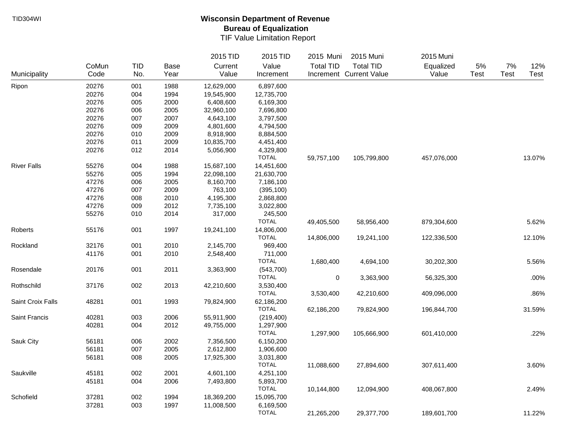|                    |       |     |             | 2015 TID   | 2015 TID     | 2015 Muni        | 2015 Muni               | 2015 Muni   |             |             |             |
|--------------------|-------|-----|-------------|------------|--------------|------------------|-------------------------|-------------|-------------|-------------|-------------|
|                    | CoMun | TID | <b>Base</b> | Current    | Value        | <b>Total TID</b> | <b>Total TID</b>        | Equalized   | 5%          | 7%          | 12%         |
| Municipality       | Code  | No. | Year        | Value      | Increment    |                  | Increment Current Value | Value       | <b>Test</b> | <b>Test</b> | <b>Test</b> |
| Ripon              | 20276 | 001 | 1988        | 12,629,000 | 6,897,600    |                  |                         |             |             |             |             |
|                    | 20276 | 004 | 1994        | 19,545,900 | 12,735,700   |                  |                         |             |             |             |             |
|                    | 20276 | 005 | 2000        | 6,408,600  | 6,169,300    |                  |                         |             |             |             |             |
|                    | 20276 | 006 | 2005        | 32,960,100 | 7,696,800    |                  |                         |             |             |             |             |
|                    | 20276 | 007 | 2007        | 4,643,100  | 3,797,500    |                  |                         |             |             |             |             |
|                    | 20276 | 009 | 2009        | 4,801,600  | 4,794,500    |                  |                         |             |             |             |             |
|                    | 20276 | 010 | 2009        | 8,918,900  | 8,884,500    |                  |                         |             |             |             |             |
|                    | 20276 | 011 | 2009        | 10,835,700 | 4,451,400    |                  |                         |             |             |             |             |
|                    | 20276 | 012 | 2014        | 5,056,900  | 4,329,800    |                  |                         |             |             |             |             |
|                    |       |     |             |            | <b>TOTAL</b> | 59,757,100       | 105,799,800             | 457,076,000 |             |             | 13.07%      |
| <b>River Falls</b> | 55276 | 004 | 1988        | 15,687,100 | 14,451,600   |                  |                         |             |             |             |             |
|                    | 55276 | 005 | 1994        | 22,098,100 | 21,630,700   |                  |                         |             |             |             |             |
|                    | 47276 | 006 | 2005        | 8,160,700  | 7,186,100    |                  |                         |             |             |             |             |
|                    | 47276 | 007 | 2009        | 763,100    | (395, 100)   |                  |                         |             |             |             |             |
|                    | 47276 | 008 | 2010        | 4,195,300  | 2,868,800    |                  |                         |             |             |             |             |
|                    | 47276 | 009 | 2012        | 7,735,100  | 3,022,800    |                  |                         |             |             |             |             |
|                    | 55276 | 010 | 2014        | 317,000    | 245,500      |                  |                         |             |             |             |             |
|                    |       |     |             |            | <b>TOTAL</b> | 49,405,500       | 58,956,400              | 879,304,600 |             |             | 5.62%       |
| Roberts            | 55176 | 001 | 1997        | 19,241,100 | 14,806,000   |                  |                         |             |             |             |             |
|                    |       |     |             |            | <b>TOTAL</b> | 14,806,000       | 19,241,100              | 122,336,500 |             |             | 12.10%      |
| Rockland           | 32176 | 001 | 2010        | 2,145,700  | 969,400      |                  |                         |             |             |             |             |
|                    | 41176 | 001 | 2010        | 2,548,400  | 711,000      |                  |                         |             |             |             |             |
|                    |       |     |             |            | <b>TOTAL</b> | 1,680,400        | 4,694,100               | 30,202,300  |             |             | 5.56%       |
| Rosendale          | 20176 | 001 | 2011        | 3,363,900  | (543,700)    |                  |                         |             |             |             |             |
|                    |       |     |             |            | <b>TOTAL</b> | $\pmb{0}$        | 3,363,900               | 56,325,300  |             |             | .00%        |
| Rothschild         | 37176 | 002 | 2013        | 42,210,600 | 3,530,400    |                  |                         |             |             |             |             |
|                    |       |     |             |            | <b>TOTAL</b> | 3,530,400        | 42,210,600              | 409,096,000 |             |             | .86%        |
| Saint Croix Falls  | 48281 | 001 | 1993        | 79,824,900 | 62,186,200   |                  |                         |             |             |             |             |
|                    |       |     |             |            | <b>TOTAL</b> | 62,186,200       | 79,824,900              | 196,844,700 |             |             | 31.59%      |
| Saint Francis      | 40281 | 003 | 2006        | 55,911,900 | (219, 400)   |                  |                         |             |             |             |             |
|                    | 40281 | 004 | 2012        | 49,755,000 | 1,297,900    |                  |                         |             |             |             |             |
|                    |       |     |             |            | <b>TOTAL</b> | 1,297,900        | 105,666,900             | 601,410,000 |             |             | .22%        |
| Sauk City          | 56181 | 006 | 2002        | 7,356,500  | 6,150,200    |                  |                         |             |             |             |             |
|                    | 56181 | 007 | 2005        | 2,612,800  | 1,906,600    |                  |                         |             |             |             |             |
|                    | 56181 | 008 | 2005        | 17,925,300 | 3,031,800    |                  |                         |             |             |             |             |
|                    |       |     |             |            | <b>TOTAL</b> | 11,088,600       | 27,894,600              | 307,611,400 |             |             | 3.60%       |
| Saukville          | 45181 | 002 | 2001        | 4,601,100  | 4,251,100    |                  |                         |             |             |             |             |
|                    | 45181 | 004 | 2006        | 7,493,800  | 5,893,700    |                  |                         |             |             |             |             |
|                    |       |     |             |            | <b>TOTAL</b> | 10,144,800       | 12,094,900              | 408,067,800 |             |             | 2.49%       |
| Schofield          | 37281 | 002 | 1994        | 18,369,200 | 15,095,700   |                  |                         |             |             |             |             |
|                    | 37281 | 003 | 1997        | 11,008,500 | 6,169,500    |                  |                         |             |             |             |             |
|                    |       |     |             |            | <b>TOTAL</b> | 21,265,200       | 29,377,700              | 189,601,700 |             |             | 11.22%      |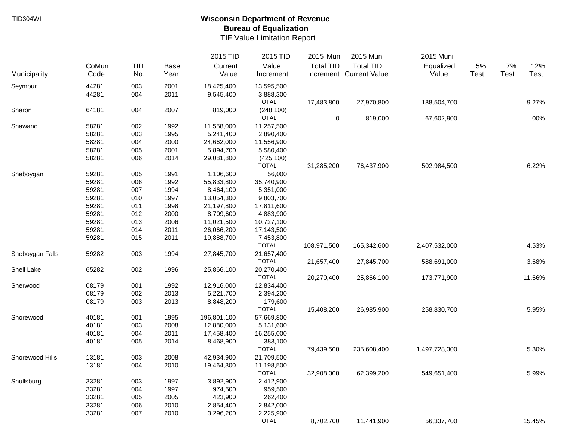|                 |       |     |             | 2015 TID    | 2015 TID     | 2015 Muni        | 2015 Muni               | 2015 Muni     |             |      |        |
|-----------------|-------|-----|-------------|-------------|--------------|------------------|-------------------------|---------------|-------------|------|--------|
|                 | CoMun | TID | <b>Base</b> | Current     | Value        | <b>Total TID</b> | <b>Total TID</b>        | Equalized     | 5%          | 7%   | 12%    |
| Municipality    | Code  | No. | Year        | Value       | Increment    |                  | Increment Current Value | Value         | <b>Test</b> | Test | Test   |
| Seymour         | 44281 | 003 | 2001        | 18,425,400  | 13,595,500   |                  |                         |               |             |      |        |
|                 | 44281 | 004 | 2011        | 9,545,400   | 3,888,300    |                  |                         |               |             |      |        |
|                 |       |     |             |             | <b>TOTAL</b> | 17,483,800       | 27,970,800              | 188,504,700   |             |      | 9.27%  |
| Sharon          | 64181 | 004 | 2007        | 819,000     | (248, 100)   |                  |                         |               |             |      |        |
|                 |       |     |             |             | <b>TOTAL</b> | $\pmb{0}$        | 819,000                 | 67,602,900    |             |      | .00%   |
| Shawano         | 58281 | 002 | 1992        | 11,558,000  | 11,257,500   |                  |                         |               |             |      |        |
|                 | 58281 | 003 | 1995        | 5,241,400   | 2,890,400    |                  |                         |               |             |      |        |
|                 | 58281 | 004 | 2000        | 24,662,000  | 11,556,900   |                  |                         |               |             |      |        |
|                 | 58281 | 005 | 2001        | 5,894,700   | 5,580,400    |                  |                         |               |             |      |        |
|                 | 58281 | 006 | 2014        | 29,081,800  | (425, 100)   |                  |                         |               |             |      |        |
|                 |       |     |             |             | <b>TOTAL</b> | 31,285,200       | 76,437,900              | 502,984,500   |             |      | 6.22%  |
| Sheboygan       | 59281 | 005 | 1991        | 1,106,600   | 56,000       |                  |                         |               |             |      |        |
|                 | 59281 | 006 | 1992        | 55,833,800  | 35,740,900   |                  |                         |               |             |      |        |
|                 | 59281 | 007 | 1994        | 8,464,100   | 5,351,000    |                  |                         |               |             |      |        |
|                 | 59281 | 010 | 1997        | 13,054,300  | 9,803,700    |                  |                         |               |             |      |        |
|                 | 59281 | 011 | 1998        | 21,197,800  | 17,811,600   |                  |                         |               |             |      |        |
|                 | 59281 | 012 | 2000        | 8,709,600   | 4,883,900    |                  |                         |               |             |      |        |
|                 | 59281 | 013 | 2006        | 11,021,500  | 10,727,100   |                  |                         |               |             |      |        |
|                 | 59281 | 014 | 2011        | 26,066,200  | 17,143,500   |                  |                         |               |             |      |        |
|                 | 59281 | 015 | 2011        | 19,888,700  | 7,453,800    |                  |                         |               |             |      |        |
|                 |       |     |             |             | <b>TOTAL</b> | 108,971,500      | 165,342,600             | 2,407,532,000 |             |      | 4.53%  |
| Sheboygan Falls | 59282 | 003 | 1994        | 27,845,700  | 21,657,400   |                  |                         |               |             |      |        |
|                 |       |     |             |             | <b>TOTAL</b> | 21,657,400       | 27,845,700              | 588,691,000   |             |      | 3.68%  |
| Shell Lake      | 65282 | 002 | 1996        | 25,866,100  | 20,270,400   |                  |                         |               |             |      |        |
|                 |       |     |             |             | <b>TOTAL</b> | 20,270,400       | 25,866,100              | 173,771,900   |             |      | 11.66% |
| Sherwood        | 08179 | 001 | 1992        | 12,916,000  | 12,834,400   |                  |                         |               |             |      |        |
|                 | 08179 | 002 | 2013        | 5,221,700   | 2,394,200    |                  |                         |               |             |      |        |
|                 | 08179 | 003 | 2013        | 8,848,200   | 179,600      |                  |                         |               |             |      |        |
|                 |       |     |             |             | <b>TOTAL</b> | 15,408,200       | 26,985,900              | 258,830,700   |             |      | 5.95%  |
| Shorewood       | 40181 | 001 | 1995        | 196,801,100 | 57,669,800   |                  |                         |               |             |      |        |
|                 | 40181 | 003 | 2008        | 12,880,000  | 5,131,600    |                  |                         |               |             |      |        |
|                 | 40181 | 004 | 2011        | 17,458,400  | 16,255,000   |                  |                         |               |             |      |        |
|                 | 40181 | 005 | 2014        | 8,468,900   | 383,100      |                  |                         |               |             |      |        |
|                 |       |     |             |             | <b>TOTAL</b> | 79,439,500       | 235,608,400             | 1,497,728,300 |             |      | 5.30%  |
| Shorewood Hills | 13181 | 003 | 2008        | 42,934,900  | 21,709,500   |                  |                         |               |             |      |        |
|                 | 13181 | 004 | 2010        | 19,464,300  | 11,198,500   |                  |                         |               |             |      |        |
|                 |       |     |             |             | <b>TOTAL</b> | 32,908,000       | 62,399,200              | 549,651,400   |             |      | 5.99%  |
| Shullsburg      | 33281 | 003 | 1997        | 3,892,900   | 2,412,900    |                  |                         |               |             |      |        |
|                 | 33281 | 004 | 1997        | 974,500     | 959,500      |                  |                         |               |             |      |        |
|                 | 33281 | 005 | 2005        | 423,900     | 262,400      |                  |                         |               |             |      |        |
|                 | 33281 | 006 | 2010        | 2,854,400   | 2,842,000    |                  |                         |               |             |      |        |
|                 | 33281 | 007 | 2010        | 3,296,200   | 2,225,900    |                  |                         |               |             |      |        |
|                 |       |     |             |             | <b>TOTAL</b> | 8,702,700        | 11,441,900              | 56,337,700    |             |      | 15.45% |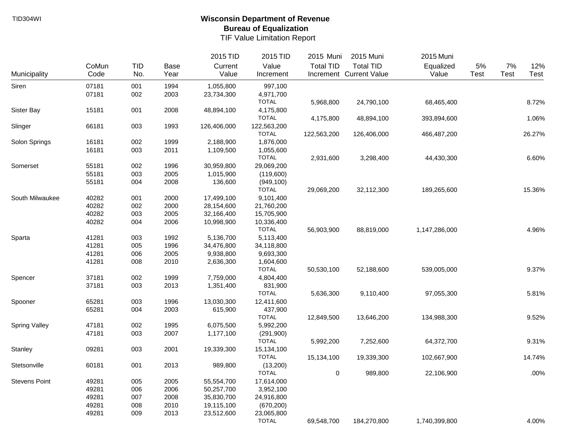|                      |       |            |      | 2015 TID    | 2015 TID     | 2015 Muni        | 2015 Muni               | 2015 Muni     |             |      |        |
|----------------------|-------|------------|------|-------------|--------------|------------------|-------------------------|---------------|-------------|------|--------|
|                      | CoMun | <b>TID</b> | Base | Current     | Value        | <b>Total TID</b> | <b>Total TID</b>        | Equalized     | 5%          | 7%   | 12%    |
| Municipality         | Code  | No.        | Year | Value       | Increment    |                  | Increment Current Value | Value         | <b>Test</b> | Test | Test   |
| Siren                | 07181 | 001        | 1994 | 1,055,800   | 997,100      |                  |                         |               |             |      |        |
|                      | 07181 | 002        | 2003 | 23,734,300  | 4,971,700    |                  |                         |               |             |      |        |
|                      |       |            |      |             | <b>TOTAL</b> | 5,968,800        | 24,790,100              | 68,465,400    |             |      | 8.72%  |
| Sister Bay           | 15181 | 001        | 2008 | 48,894,100  | 4,175,800    |                  |                         |               |             |      |        |
|                      |       |            |      |             | <b>TOTAL</b> | 4,175,800        | 48,894,100              | 393,894,600   |             |      | 1.06%  |
| Slinger              | 66181 | 003        | 1993 | 126,406,000 | 122,563,200  |                  |                         |               |             |      |        |
|                      |       |            |      |             | <b>TOTAL</b> | 122,563,200      | 126,406,000             | 466,487,200   |             |      | 26.27% |
| Solon Springs        | 16181 | 002        | 1999 | 2,188,900   | 1,876,000    |                  |                         |               |             |      |        |
|                      | 16181 | 003        | 2011 | 1,109,500   | 1,055,600    |                  |                         |               |             |      |        |
|                      |       |            |      |             | <b>TOTAL</b> | 2,931,600        | 3,298,400               | 44,430,300    |             |      | 6.60%  |
| Somerset             | 55181 | 002        | 1996 | 30,959,800  | 29,069,200   |                  |                         |               |             |      |        |
|                      | 55181 | 003        | 2005 | 1,015,900   | (119,600)    |                  |                         |               |             |      |        |
|                      | 55181 | 004        | 2008 | 136,600     | (949, 100)   |                  |                         |               |             |      |        |
|                      |       |            |      |             | <b>TOTAL</b> | 29,069,200       | 32,112,300              | 189,265,600   |             |      | 15.36% |
| South Milwaukee      | 40282 | 001        | 2000 | 17,499,100  | 9,101,400    |                  |                         |               |             |      |        |
|                      | 40282 | 002        | 2000 | 28,154,600  | 21,760,200   |                  |                         |               |             |      |        |
|                      | 40282 | 003        | 2005 | 32,166,400  | 15,705,900   |                  |                         |               |             |      |        |
|                      | 40282 | 004        | 2006 | 10,998,900  | 10,336,400   |                  |                         |               |             |      |        |
|                      |       |            |      |             | <b>TOTAL</b> | 56,903,900       | 88,819,000              | 1,147,286,000 |             |      | 4.96%  |
| Sparta               | 41281 | 003        | 1992 | 5,136,700   | 5,113,400    |                  |                         |               |             |      |        |
|                      | 41281 | 005        | 1996 | 34,476,800  | 34,118,800   |                  |                         |               |             |      |        |
|                      | 41281 | 006        | 2005 | 9,938,800   | 9,693,300    |                  |                         |               |             |      |        |
|                      | 41281 | 008        | 2010 | 2,636,300   | 1,604,600    |                  |                         |               |             |      |        |
|                      |       |            |      |             | <b>TOTAL</b> | 50,530,100       | 52,188,600              | 539,005,000   |             |      | 9.37%  |
| Spencer              | 37181 | 002        | 1999 | 7,759,000   | 4,804,400    |                  |                         |               |             |      |        |
|                      | 37181 | 003        | 2013 | 1,351,400   | 831,900      |                  |                         |               |             |      |        |
|                      |       |            |      |             | <b>TOTAL</b> | 5,636,300        | 9,110,400               | 97,055,300    |             |      | 5.81%  |
| Spooner              | 65281 | 003        | 1996 | 13,030,300  | 12,411,600   |                  |                         |               |             |      |        |
|                      | 65281 | 004        | 2003 | 615,900     | 437,900      |                  |                         |               |             |      |        |
|                      |       |            |      |             | <b>TOTAL</b> | 12,849,500       | 13,646,200              | 134,988,300   |             |      | 9.52%  |
| <b>Spring Valley</b> | 47181 | 002        | 1995 | 6,075,500   | 5,992,200    |                  |                         |               |             |      |        |
|                      | 47181 | 003        | 2007 | 1,177,100   | (291,900)    |                  |                         |               |             |      |        |
|                      |       |            |      |             | <b>TOTAL</b> | 5,992,200        | 7,252,600               | 64,372,700    |             |      | 9.31%  |
| Stanley              | 09281 | 003        | 2001 | 19,339,300  | 15,134,100   |                  |                         |               |             |      |        |
|                      |       |            |      |             | <b>TOTAL</b> | 15,134,100       | 19,339,300              | 102,667,900   |             |      | 14.74% |
| Stetsonville         | 60181 | 001        | 2013 | 989,800     | (13, 200)    |                  |                         |               |             |      |        |
|                      |       |            |      |             | <b>TOTAL</b> | 0                | 989,800                 | 22,106,900    |             |      | .00%   |
| <b>Stevens Point</b> | 49281 | 005        | 2005 | 55,554,700  | 17,614,000   |                  |                         |               |             |      |        |
|                      | 49281 | 006        | 2006 | 50,257,700  | 3,952,100    |                  |                         |               |             |      |        |
|                      | 49281 | 007        | 2008 | 35,830,700  | 24,916,800   |                  |                         |               |             |      |        |
|                      | 49281 | 008        | 2010 | 19,115,100  | (670, 200)   |                  |                         |               |             |      |        |
|                      | 49281 | 009        | 2013 | 23,512,600  | 23,065,800   |                  |                         |               |             |      |        |
|                      |       |            |      |             | <b>TOTAL</b> | 69,548,700       | 184,270,800             | 1,740,399,800 |             |      | 4.00%  |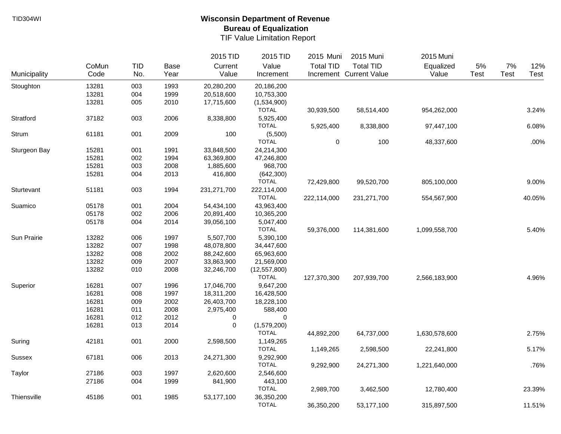|               |       |            |      | 2015 TID    | 2015 TID       | 2015 Muni        | 2015 Muni               | 2015 Muni     |             |      |        |
|---------------|-------|------------|------|-------------|----------------|------------------|-------------------------|---------------|-------------|------|--------|
|               | CoMun | <b>TID</b> | Base | Current     | Value          | <b>Total TID</b> | <b>Total TID</b>        | Equalized     | 5%          | 7%   | 12%    |
| Municipality  | Code  | No.        | Year | Value       | Increment      |                  | Increment Current Value | Value         | <b>Test</b> | Test | Test   |
| Stoughton     | 13281 | 003        | 1993 | 20,280,200  | 20,186,200     |                  |                         |               |             |      |        |
|               | 13281 | 004        | 1999 | 20,518,600  | 10,753,300     |                  |                         |               |             |      |        |
|               | 13281 | 005        | 2010 | 17,715,600  | (1,534,900)    |                  |                         |               |             |      |        |
|               |       |            |      |             | <b>TOTAL</b>   | 30,939,500       | 58,514,400              | 954,262,000   |             |      | 3.24%  |
| Stratford     | 37182 | 003        | 2006 | 8,338,800   | 5,925,400      |                  |                         |               |             |      |        |
|               |       |            |      |             | <b>TOTAL</b>   | 5,925,400        | 8,338,800               | 97,447,100    |             |      | 6.08%  |
| Strum         | 61181 | 001        | 2009 | 100         | (5,500)        |                  |                         |               |             |      |        |
|               |       |            |      |             | <b>TOTAL</b>   | $\pmb{0}$        | 100                     | 48,337,600    |             |      | .00%   |
| Sturgeon Bay  | 15281 | 001        | 1991 | 33,848,500  | 24,214,300     |                  |                         |               |             |      |        |
|               | 15281 | 002        | 1994 | 63,369,800  | 47,246,800     |                  |                         |               |             |      |        |
|               | 15281 | 003        | 2008 | 1,885,600   | 968,700        |                  |                         |               |             |      |        |
|               | 15281 | 004        | 2013 | 416,800     | (642, 300)     |                  |                         |               |             |      |        |
|               |       |            |      |             | <b>TOTAL</b>   | 72,429,800       | 99,520,700              | 805,100,000   |             |      | 9.00%  |
| Sturtevant    | 51181 | 003        | 1994 | 231,271,700 | 222,114,000    |                  |                         |               |             |      |        |
|               |       |            |      |             | <b>TOTAL</b>   | 222,114,000      | 231,271,700             | 554,567,900   |             |      | 40.05% |
| Suamico       | 05178 | 001        | 2004 | 54,434,100  | 43,963,400     |                  |                         |               |             |      |        |
|               | 05178 | 002        | 2006 | 20,891,400  | 10,365,200     |                  |                         |               |             |      |        |
|               | 05178 | 004        | 2014 | 39,056,100  | 5,047,400      |                  |                         |               |             |      |        |
|               |       |            |      |             | <b>TOTAL</b>   | 59,376,000       | 114,381,600             | 1,099,558,700 |             |      | 5.40%  |
| Sun Prairie   | 13282 | 006        | 1997 | 5,507,700   | 5,390,100      |                  |                         |               |             |      |        |
|               | 13282 | 007        | 1998 | 48,078,800  | 34,447,600     |                  |                         |               |             |      |        |
|               | 13282 | 008        | 2002 | 88,242,600  | 65,963,600     |                  |                         |               |             |      |        |
|               | 13282 | 009        | 2007 | 33,863,900  | 21,569,000     |                  |                         |               |             |      |        |
|               | 13282 | 010        | 2008 | 32,246,700  | (12, 557, 800) |                  |                         |               |             |      |        |
|               |       |            |      |             | <b>TOTAL</b>   | 127,370,300      | 207,939,700             | 2,566,183,900 |             |      | 4.96%  |
| Superior      | 16281 | 007        | 1996 | 17,046,700  | 9,647,200      |                  |                         |               |             |      |        |
|               | 16281 | 008        | 1997 | 18,311,200  | 16,428,500     |                  |                         |               |             |      |        |
|               | 16281 | 009        | 2002 | 26,403,700  | 18,228,100     |                  |                         |               |             |      |        |
|               | 16281 | 011        | 2008 | 2,975,400   | 588,400        |                  |                         |               |             |      |        |
|               | 16281 | 012        | 2012 | 0           | 0              |                  |                         |               |             |      |        |
|               | 16281 | 013        | 2014 | $\mathbf 0$ | (1,579,200)    |                  |                         |               |             |      |        |
|               |       |            |      |             | <b>TOTAL</b>   | 44,892,200       | 64,737,000              | 1,630,578,600 |             |      | 2.75%  |
| Suring        | 42181 | 001        | 2000 | 2,598,500   | 1,149,265      |                  |                         |               |             |      |        |
|               |       |            |      |             | <b>TOTAL</b>   | 1,149,265        | 2,598,500               | 22,241,800    |             |      | 5.17%  |
| <b>Sussex</b> | 67181 | 006        | 2013 | 24,271,300  | 9,292,900      |                  |                         |               |             |      |        |
|               |       |            |      |             | <b>TOTAL</b>   | 9,292,900        | 24,271,300              | 1,221,640,000 |             |      | .76%   |
| Taylor        | 27186 | 003        | 1997 | 2,620,600   | 2,546,600      |                  |                         |               |             |      |        |
|               | 27186 | 004        | 1999 | 841,900     | 443,100        |                  |                         |               |             |      |        |
|               |       |            |      |             | <b>TOTAL</b>   | 2,989,700        | 3,462,500               | 12,780,400    |             |      | 23.39% |
| Thiensville   | 45186 | 001        | 1985 | 53,177,100  | 36,350,200     |                  |                         |               |             |      |        |
|               |       |            |      |             | <b>TOTAL</b>   | 36,350,200       | 53,177,100              | 315,897,500   |             |      | 11.51% |
|               |       |            |      |             |                |                  |                         |               |             |      |        |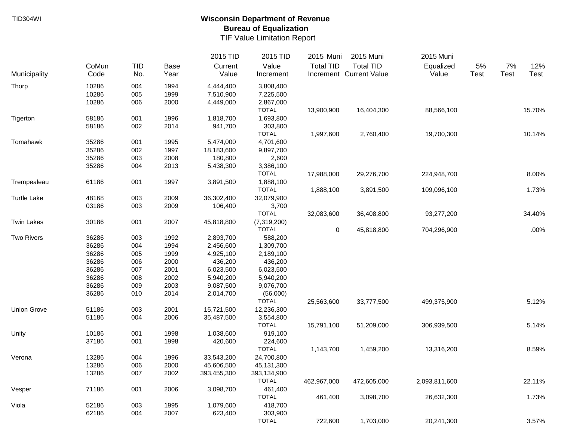|                    |       |            |      | 2015 TID    | 2015 TID     | 2015 Muni        | 2015 Muni               | 2015 Muni     |             |      |        |
|--------------------|-------|------------|------|-------------|--------------|------------------|-------------------------|---------------|-------------|------|--------|
|                    | CoMun | <b>TID</b> | Base | Current     | Value        | <b>Total TID</b> | <b>Total TID</b>        | Equalized     | 5%          | 7%   | 12%    |
| Municipality       | Code  | No.        | Year | Value       | Increment    |                  | Increment Current Value | Value         | <b>Test</b> | Test | Test   |
| Thorp              | 10286 | 004        | 1994 | 4,444,400   | 3,808,400    |                  |                         |               |             |      |        |
|                    | 10286 | 005        | 1999 | 7,510,900   | 7,225,500    |                  |                         |               |             |      |        |
|                    | 10286 | 006        | 2000 | 4,449,000   | 2,867,000    |                  |                         |               |             |      |        |
|                    |       |            |      |             | <b>TOTAL</b> | 13,900,900       | 16,404,300              | 88,566,100    |             |      | 15.70% |
| Tigerton           | 58186 | 001        | 1996 | 1,818,700   | 1,693,800    |                  |                         |               |             |      |        |
|                    | 58186 | 002        | 2014 | 941,700     | 303,800      |                  |                         |               |             |      |        |
|                    |       |            |      |             | <b>TOTAL</b> | 1,997,600        | 2,760,400               | 19,700,300    |             |      | 10.14% |
| Tomahawk           | 35286 | 001        | 1995 | 5,474,000   | 4,701,600    |                  |                         |               |             |      |        |
|                    | 35286 | 002        | 1997 | 18,183,600  | 9,897,700    |                  |                         |               |             |      |        |
|                    | 35286 | 003        | 2008 | 180,800     | 2,600        |                  |                         |               |             |      |        |
|                    | 35286 | 004        | 2013 | 5,438,300   | 3,386,100    |                  |                         |               |             |      |        |
|                    |       |            |      |             | <b>TOTAL</b> | 17,988,000       | 29,276,700              | 224,948,700   |             |      | 8.00%  |
| Trempealeau        | 61186 | 001        | 1997 | 3,891,500   | 1,888,100    |                  |                         |               |             |      |        |
|                    |       |            |      |             | <b>TOTAL</b> | 1,888,100        | 3,891,500               | 109,096,100   |             |      | 1.73%  |
| <b>Turtle Lake</b> | 48168 | 003        | 2009 | 36,302,400  | 32,079,900   |                  |                         |               |             |      |        |
|                    | 03186 | 003        | 2009 | 106,400     | 3,700        |                  |                         |               |             |      |        |
|                    |       |            |      |             | <b>TOTAL</b> | 32,083,600       | 36,408,800              | 93,277,200    |             |      | 34.40% |
| <b>Twin Lakes</b>  | 30186 | 001        | 2007 | 45,818,800  | (7,319,200)  |                  |                         |               |             |      |        |
|                    |       |            |      |             | <b>TOTAL</b> | $\pmb{0}$        | 45,818,800              | 704,296,900   |             |      | .00%   |
| <b>Two Rivers</b>  | 36286 | 003        | 1992 | 2,893,700   | 588,200      |                  |                         |               |             |      |        |
|                    | 36286 | 004        | 1994 | 2,456,600   | 1,309,700    |                  |                         |               |             |      |        |
|                    | 36286 | 005        | 1999 | 4,925,100   | 2,189,100    |                  |                         |               |             |      |        |
|                    | 36286 | 006        | 2000 | 436,200     | 436,200      |                  |                         |               |             |      |        |
|                    | 36286 | 007        | 2001 | 6,023,500   | 6,023,500    |                  |                         |               |             |      |        |
|                    | 36286 | 008        | 2002 | 5,940,200   | 5,940,200    |                  |                         |               |             |      |        |
|                    | 36286 | 009        | 2003 | 9,087,500   | 9,076,700    |                  |                         |               |             |      |        |
|                    | 36286 | 010        | 2014 | 2,014,700   | (56,000)     |                  |                         |               |             |      |        |
|                    |       |            |      |             | <b>TOTAL</b> | 25,563,600       | 33,777,500              | 499,375,900   |             |      | 5.12%  |
| <b>Union Grove</b> | 51186 | 003        | 2001 | 15,721,500  | 12,236,300   |                  |                         |               |             |      |        |
|                    | 51186 | 004        | 2006 | 35,487,500  | 3,554,800    |                  |                         |               |             |      |        |
|                    |       |            |      |             | <b>TOTAL</b> | 15,791,100       | 51,209,000              | 306,939,500   |             |      | 5.14%  |
| Unity              | 10186 | 001        | 1998 | 1,038,600   | 919,100      |                  |                         |               |             |      |        |
|                    | 37186 | 001        | 1998 | 420,600     | 224,600      |                  |                         |               |             |      |        |
|                    |       |            |      |             | <b>TOTAL</b> | 1,143,700        | 1,459,200               | 13,316,200    |             |      | 8.59%  |
| Verona             | 13286 | 004        | 1996 | 33,543,200  | 24,700,800   |                  |                         |               |             |      |        |
|                    | 13286 | 006        | 2000 | 45,606,500  | 45,131,300   |                  |                         |               |             |      |        |
|                    | 13286 | 007        | 2002 | 393,455,300 | 393,134,900  |                  |                         |               |             |      |        |
|                    |       |            |      |             | <b>TOTAL</b> | 462,967,000      | 472,605,000             | 2,093,811,600 |             |      | 22.11% |
| Vesper             | 71186 | 001        | 2006 | 3,098,700   | 461,400      |                  |                         |               |             |      |        |
|                    |       |            |      |             | <b>TOTAL</b> | 461,400          | 3,098,700               | 26,632,300    |             |      | 1.73%  |
| Viola              | 52186 | 003        | 1995 | 1,079,600   | 418,700      |                  |                         |               |             |      |        |
|                    | 62186 | 004        | 2007 | 623,400     | 303,900      |                  |                         |               |             |      |        |
|                    |       |            |      |             | <b>TOTAL</b> | 722,600          | 1,703,000               | 20,241,300    |             |      | 3.57%  |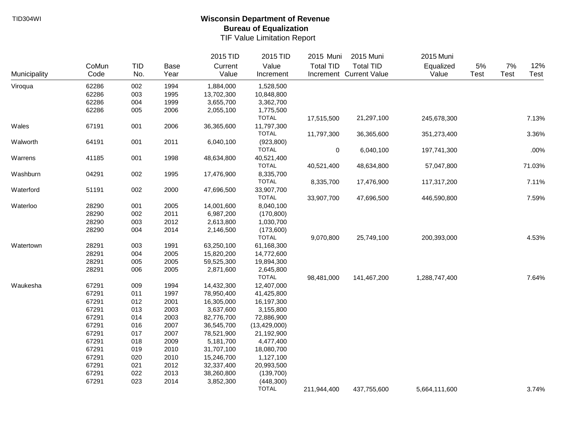|              |       |            |      | 2015 TID   | 2015 TID       | 2015 Muni        | 2015 Muni               | 2015 Muni     |       |             |        |
|--------------|-------|------------|------|------------|----------------|------------------|-------------------------|---------------|-------|-------------|--------|
|              | CoMun | <b>TID</b> | Base | Current    | Value          | <b>Total TID</b> | <b>Total TID</b>        | Equalized     | $5\%$ | $7\%$       | 12%    |
| Municipality | Code  | No.        | Year | Value      | Increment      |                  | Increment Current Value | Value         | Test  | <b>Test</b> | Test   |
| Viroqua      | 62286 | 002        | 1994 | 1,884,000  | 1,528,500      |                  |                         |               |       |             |        |
|              | 62286 | 003        | 1995 | 13,702,300 | 10,848,800     |                  |                         |               |       |             |        |
|              | 62286 | 004        | 1999 | 3,655,700  | 3,362,700      |                  |                         |               |       |             |        |
|              | 62286 | 005        | 2006 | 2,055,100  | 1,775,500      |                  |                         |               |       |             |        |
|              |       |            |      |            | <b>TOTAL</b>   | 17,515,500       | 21,297,100              | 245,678,300   |       |             | 7.13%  |
| Wales        | 67191 | 001        | 2006 | 36,365,600 | 11,797,300     |                  |                         |               |       |             |        |
|              |       |            |      |            | <b>TOTAL</b>   | 11,797,300       | 36,365,600              | 351,273,400   |       |             | 3.36%  |
| Walworth     | 64191 | 001        | 2011 | 6,040,100  | (923, 800)     |                  |                         |               |       |             |        |
|              |       |            |      |            | <b>TOTAL</b>   | 0                | 6,040,100               | 197,741,300   |       |             | .00%   |
| Warrens      | 41185 | 001        | 1998 | 48,634,800 | 40,521,400     |                  |                         |               |       |             |        |
|              |       |            |      |            | <b>TOTAL</b>   | 40,521,400       | 48,634,800              | 57,047,800    |       |             | 71.03% |
| Washburn     | 04291 | 002        | 1995 | 17,476,900 | 8,335,700      |                  |                         |               |       |             |        |
|              |       |            |      |            | <b>TOTAL</b>   | 8,335,700        | 17,476,900              | 117,317,200   |       |             | 7.11%  |
| Waterford    | 51191 | 002        | 2000 | 47,696,500 | 33,907,700     |                  |                         |               |       |             |        |
|              |       |            |      |            | <b>TOTAL</b>   | 33,907,700       | 47,696,500              | 446,590,800   |       |             | 7.59%  |
| Waterloo     | 28290 | 001        | 2005 | 14,001,600 | 8,040,100      |                  |                         |               |       |             |        |
|              | 28290 | 002        | 2011 | 6,987,200  | (170, 800)     |                  |                         |               |       |             |        |
|              | 28290 | 003        | 2012 | 2,613,800  | 1,030,700      |                  |                         |               |       |             |        |
|              | 28290 | 004        | 2014 | 2,146,500  | (173,600)      |                  |                         |               |       |             |        |
|              |       |            |      |            | <b>TOTAL</b>   | 9,070,800        | 25,749,100              | 200,393,000   |       |             | 4.53%  |
| Watertown    | 28291 | 003        | 1991 | 63,250,100 | 61,168,300     |                  |                         |               |       |             |        |
|              | 28291 | 004        | 2005 | 15,820,200 | 14,772,600     |                  |                         |               |       |             |        |
|              | 28291 | 005        | 2005 | 59,525,300 | 19,894,300     |                  |                         |               |       |             |        |
|              | 28291 | 006        | 2005 | 2,871,600  | 2,645,800      |                  |                         |               |       |             |        |
|              |       |            |      |            | <b>TOTAL</b>   | 98,481,000       | 141,467,200             | 1,288,747,400 |       |             | 7.64%  |
| Waukesha     | 67291 | 009        | 1994 | 14,432,300 | 12,407,000     |                  |                         |               |       |             |        |
|              | 67291 | 011        | 1997 | 78,950,400 | 41,425,800     |                  |                         |               |       |             |        |
|              | 67291 | 012        | 2001 | 16,305,000 | 16,197,300     |                  |                         |               |       |             |        |
|              | 67291 | 013        | 2003 | 3,637,600  | 3,155,800      |                  |                         |               |       |             |        |
|              | 67291 | 014        | 2003 | 82,776,700 | 72,886,900     |                  |                         |               |       |             |        |
|              | 67291 | 016        | 2007 | 36,545,700 | (13, 429, 000) |                  |                         |               |       |             |        |
|              | 67291 | 017        | 2007 | 78,521,900 | 21,192,900     |                  |                         |               |       |             |        |
|              | 67291 | 018        | 2009 | 5,181,700  | 4,477,400      |                  |                         |               |       |             |        |
|              | 67291 | 019        | 2010 | 31,707,100 | 18,080,700     |                  |                         |               |       |             |        |
|              | 67291 | 020        | 2010 | 15,246,700 | 1,127,100      |                  |                         |               |       |             |        |
|              | 67291 | 021        | 2012 | 32,337,400 | 20,993,500     |                  |                         |               |       |             |        |
|              | 67291 | 022        | 2013 | 38,260,800 | (139,700)      |                  |                         |               |       |             |        |
|              | 67291 | 023        | 2014 | 3,852,300  | (448, 300)     |                  |                         |               |       |             |        |
|              |       |            |      |            | <b>TOTAL</b>   | 211,944,400      | 437,755,600             | 5,664,111,600 |       |             | 3.74%  |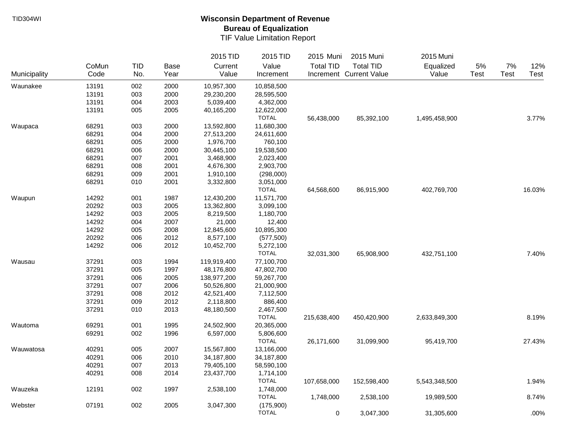|              |       |            |             | 2015 TID    | 2015 TID     | 2015 Muni        | 2015 Muni               | 2015 Muni     |             |      |        |
|--------------|-------|------------|-------------|-------------|--------------|------------------|-------------------------|---------------|-------------|------|--------|
|              | CoMun | <b>TID</b> | <b>Base</b> | Current     | Value        | <b>Total TID</b> | <b>Total TID</b>        | Equalized     | 5%          | 7%   | 12%    |
| Municipality | Code  | No.        | Year        | Value       | Increment    |                  | Increment Current Value | Value         | <b>Test</b> | Test | Test   |
| Waunakee     | 13191 | 002        | 2000        | 10,957,300  | 10,858,500   |                  |                         |               |             |      |        |
|              | 13191 | 003        | 2000        | 29,230,200  | 28,595,500   |                  |                         |               |             |      |        |
|              | 13191 | 004        | 2003        | 5,039,400   | 4,362,000    |                  |                         |               |             |      |        |
|              | 13191 | 005        | 2005        | 40,165,200  | 12,622,000   |                  |                         |               |             |      |        |
|              |       |            |             |             | <b>TOTAL</b> | 56,438,000       | 85,392,100              | 1,495,458,900 |             |      | 3.77%  |
| Waupaca      | 68291 | 003        | 2000        | 13,592,800  | 11,680,300   |                  |                         |               |             |      |        |
|              | 68291 | 004        | 2000        | 27,513,200  | 24,611,600   |                  |                         |               |             |      |        |
|              | 68291 | 005        | 2000        | 1,976,700   | 760,100      |                  |                         |               |             |      |        |
|              | 68291 | 006        | 2000        | 30,445,100  | 19,538,500   |                  |                         |               |             |      |        |
|              | 68291 | 007        | 2001        | 3,468,900   | 2,023,400    |                  |                         |               |             |      |        |
|              | 68291 | 008        | 2001        | 4,676,300   | 2,903,700    |                  |                         |               |             |      |        |
|              | 68291 | 009        | 2001        | 1,910,100   | (298,000)    |                  |                         |               |             |      |        |
|              | 68291 | 010        | 2001        | 3,332,800   | 3,051,000    |                  |                         |               |             |      |        |
|              |       |            |             |             | <b>TOTAL</b> | 64,568,600       | 86,915,900              | 402,769,700   |             |      | 16.03% |
| Waupun       | 14292 | 001        | 1987        | 12,430,200  | 11,571,700   |                  |                         |               |             |      |        |
|              | 20292 | 003        | 2005        | 13,362,800  | 3,099,100    |                  |                         |               |             |      |        |
|              | 14292 | 003        | 2005        | 8,219,500   | 1,180,700    |                  |                         |               |             |      |        |
|              | 14292 | 004        | 2007        | 21,000      | 12,400       |                  |                         |               |             |      |        |
|              | 14292 | 005        | 2008        | 12,845,600  | 10,895,300   |                  |                         |               |             |      |        |
|              | 20292 | 006        | 2012        | 8,577,100   | (577,500)    |                  |                         |               |             |      |        |
|              | 14292 | 006        | 2012        | 10,452,700  | 5,272,100    |                  |                         |               |             |      |        |
|              |       |            |             |             | <b>TOTAL</b> | 32,031,300       | 65,908,900              | 432,751,100   |             |      | 7.40%  |
| Wausau       | 37291 | 003        | 1994        | 119,919,400 | 77,100,700   |                  |                         |               |             |      |        |
|              | 37291 | 005        | 1997        | 48,176,800  | 47,802,700   |                  |                         |               |             |      |        |
|              | 37291 | 006        | 2005        | 138,977,200 | 59,267,700   |                  |                         |               |             |      |        |
|              | 37291 | 007        | 2006        | 50,526,800  | 21,000,900   |                  |                         |               |             |      |        |
|              | 37291 | 008        | 2012        | 42,521,400  | 7,112,500    |                  |                         |               |             |      |        |
|              | 37291 | 009        | 2012        | 2,118,800   | 886,400      |                  |                         |               |             |      |        |
|              | 37291 | 010        | 2013        | 48,180,500  | 2,467,500    |                  |                         |               |             |      |        |
|              |       |            |             |             | <b>TOTAL</b> | 215,638,400      | 450,420,900             | 2,633,849,300 |             |      | 8.19%  |
| Wautoma      | 69291 | 001        | 1995        | 24,502,900  | 20,365,000   |                  |                         |               |             |      |        |
|              | 69291 | 002        | 1996        | 6,597,000   | 5,806,600    |                  |                         |               |             |      |        |
|              |       |            |             |             | <b>TOTAL</b> | 26,171,600       | 31,099,900              | 95,419,700    |             |      | 27.43% |
| Wauwatosa    | 40291 | 005        | 2007        | 15,567,800  | 13,166,000   |                  |                         |               |             |      |        |
|              | 40291 | 006        | 2010        | 34,187,800  | 34,187,800   |                  |                         |               |             |      |        |
|              | 40291 | 007        | 2013        | 79,405,100  | 58,590,100   |                  |                         |               |             |      |        |
|              | 40291 | 008        | 2014        | 23,437,700  | 1,714,100    |                  |                         |               |             |      |        |
|              |       |            |             |             | <b>TOTAL</b> | 107,658,000      | 152,598,400             | 5,543,348,500 |             |      | 1.94%  |
| Wauzeka      | 12191 | 002        | 1997        | 2,538,100   | 1,748,000    |                  |                         |               |             |      |        |
|              |       |            |             |             | <b>TOTAL</b> | 1,748,000        | 2,538,100               | 19,989,500    |             |      | 8.74%  |
| Webster      | 07191 | 002        | 2005        | 3,047,300   | (175,900)    |                  |                         |               |             |      |        |
|              |       |            |             |             | <b>TOTAL</b> | 0                | 3,047,300               | 31,305,600    |             |      | .00%   |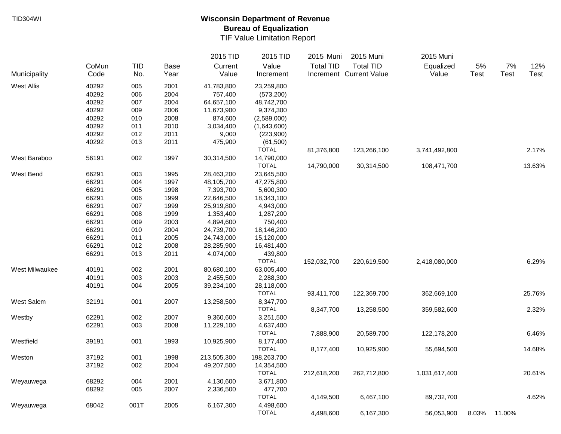|                       |       |            |             | 2015 TID    | 2015 TID     | 2015 Muni        | 2015 Muni               | 2015 Muni     |             |             |             |
|-----------------------|-------|------------|-------------|-------------|--------------|------------------|-------------------------|---------------|-------------|-------------|-------------|
|                       | CoMun | <b>TID</b> | <b>Base</b> | Current     | Value        | <b>Total TID</b> | <b>Total TID</b>        | Equalized     | 5%          | 7%          | 12%         |
| Municipality          | Code  | No.        | Year        | Value       | Increment    |                  | Increment Current Value | Value         | <b>Test</b> | <b>Test</b> | <b>Test</b> |
| <b>West Allis</b>     | 40292 | 005        | 2001        | 41,783,800  | 23,259,800   |                  |                         |               |             |             |             |
|                       | 40292 | 006        | 2004        | 757,400     | (573, 200)   |                  |                         |               |             |             |             |
|                       | 40292 | 007        | 2004        | 64,657,100  | 48,742,700   |                  |                         |               |             |             |             |
|                       | 40292 | 009        | 2006        | 11,673,900  | 9,374,300    |                  |                         |               |             |             |             |
|                       | 40292 | 010        | 2008        | 874,600     | (2,589,000)  |                  |                         |               |             |             |             |
|                       | 40292 | 011        | 2010        | 3,034,400   | (1,643,600)  |                  |                         |               |             |             |             |
|                       | 40292 | 012        | 2011        | 9,000       | (223,900)    |                  |                         |               |             |             |             |
|                       | 40292 | 013        | 2011        | 475,900     | (61,500)     |                  |                         |               |             |             |             |
|                       |       |            |             |             | <b>TOTAL</b> | 81,376,800       | 123,266,100             | 3,741,492,800 |             |             | 2.17%       |
| West Baraboo          | 56191 | 002        | 1997        | 30,314,500  | 14,790,000   |                  |                         |               |             |             |             |
|                       |       |            |             |             | <b>TOTAL</b> | 14,790,000       | 30,314,500              | 108,471,700   |             |             | 13.63%      |
| West Bend             | 66291 | 003        | 1995        | 28,463,200  | 23,645,500   |                  |                         |               |             |             |             |
|                       | 66291 | 004        | 1997        | 48,105,700  | 47,275,800   |                  |                         |               |             |             |             |
|                       | 66291 | 005        | 1998        | 7,393,700   | 5,600,300    |                  |                         |               |             |             |             |
|                       | 66291 | 006        | 1999        | 22,646,500  | 18,343,100   |                  |                         |               |             |             |             |
|                       | 66291 | 007        | 1999        | 25,919,800  | 4,943,000    |                  |                         |               |             |             |             |
|                       | 66291 | 008        | 1999        | 1,353,400   | 1,287,200    |                  |                         |               |             |             |             |
|                       | 66291 | 009        | 2003        | 4,894,600   | 750,400      |                  |                         |               |             |             |             |
|                       | 66291 | 010        | 2004        | 24,739,700  | 18,146,200   |                  |                         |               |             |             |             |
|                       | 66291 | 011        | 2005        | 24,743,000  | 15,120,000   |                  |                         |               |             |             |             |
|                       | 66291 | 012        | 2008        | 28,285,900  | 16,481,400   |                  |                         |               |             |             |             |
|                       | 66291 | 013        | 2011        | 4,074,000   | 439,800      |                  |                         |               |             |             |             |
|                       |       |            |             |             | <b>TOTAL</b> | 152,032,700      | 220,619,500             | 2,418,080,000 |             |             | 6.29%       |
| <b>West Milwaukee</b> | 40191 | 002        | 2001        | 80,680,100  | 63,005,400   |                  |                         |               |             |             |             |
|                       | 40191 | 003        | 2003        | 2,455,500   | 2,288,300    |                  |                         |               |             |             |             |
|                       | 40191 | 004        | 2005        | 39,234,100  | 28,118,000   |                  |                         |               |             |             |             |
|                       |       |            |             |             | <b>TOTAL</b> | 93,411,700       | 122,369,700             | 362,669,100   |             |             | 25.76%      |
| West Salem            | 32191 | 001        | 2007        | 13,258,500  | 8,347,700    |                  |                         |               |             |             |             |
|                       |       |            |             |             | <b>TOTAL</b> | 8,347,700        | 13,258,500              | 359,582,600   |             |             | 2.32%       |
| Westby                | 62291 | 002        | 2007        | 9,360,600   | 3,251,500    |                  |                         |               |             |             |             |
|                       | 62291 | 003        | 2008        | 11,229,100  | 4,637,400    |                  |                         |               |             |             |             |
|                       |       |            |             |             | <b>TOTAL</b> | 7,888,900        | 20,589,700              | 122,178,200   |             |             | 6.46%       |
| Westfield             | 39191 | 001        | 1993        | 10,925,900  | 8,177,400    |                  |                         |               |             |             |             |
|                       |       |            |             |             | <b>TOTAL</b> | 8,177,400        | 10,925,900              | 55,694,500    |             |             | 14.68%      |
| Weston                | 37192 | 001        | 1998        | 213,505,300 | 198,263,700  |                  |                         |               |             |             |             |
|                       | 37192 | 002        | 2004        | 49,207,500  | 14,354,500   |                  |                         |               |             |             |             |
|                       |       |            |             |             | <b>TOTAL</b> | 212,618,200      | 262,712,800             | 1,031,617,400 |             |             | 20.61%      |
| Weyauwega             | 68292 | 004        | 2001        | 4,130,600   | 3,671,800    |                  |                         |               |             |             |             |
|                       | 68292 | 005        | 2007        | 2,336,500   | 477,700      |                  |                         |               |             |             |             |
|                       |       |            |             |             | <b>TOTAL</b> | 4,149,500        | 6,467,100               | 89,732,700    |             |             | 4.62%       |
| Weyauwega             | 68042 | 001T       | 2005        | 6,167,300   | 4,498,600    |                  |                         |               |             |             |             |
|                       |       |            |             |             | <b>TOTAL</b> | 4,498,600        | 6,167,300               | 56,053,900    | 8.03%       | 11.00%      |             |
|                       |       |            |             |             |              |                  |                         |               |             |             |             |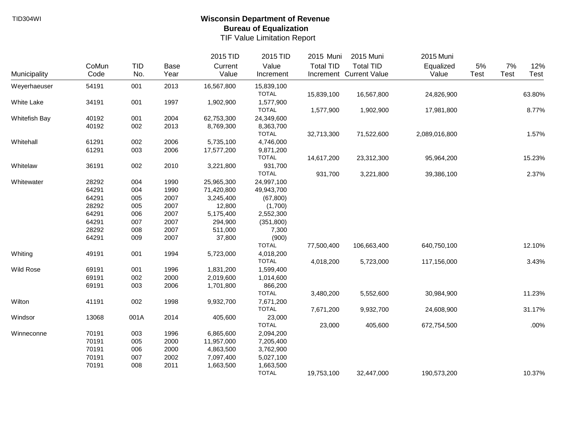|                  |       |            |             | 2015 TID   | 2015 TID     | 2015 Muni        | 2015 Muni               | 2015 Muni     |      |             |        |
|------------------|-------|------------|-------------|------------|--------------|------------------|-------------------------|---------------|------|-------------|--------|
|                  | CoMun | <b>TID</b> | <b>Base</b> | Current    | Value        | <b>Total TID</b> | <b>Total TID</b>        | Equalized     | 5%   | 7%          | 12%    |
| Municipality     | Code  | No.        | Year        | Value      | Increment    |                  | Increment Current Value | Value         | Test | <b>Test</b> | Test   |
| Weyerhaeuser     | 54191 | 001        | 2013        | 16,567,800 | 15,839,100   |                  |                         |               |      |             |        |
|                  |       |            |             |            | <b>TOTAL</b> | 15,839,100       | 16,567,800              | 24,826,900    |      |             | 63.80% |
| White Lake       | 34191 | 001        | 1997        | 1,902,900  | 1,577,900    |                  |                         |               |      |             |        |
|                  |       |            |             |            | <b>TOTAL</b> | 1,577,900        | 1,902,900               | 17,981,800    |      |             | 8.77%  |
| Whitefish Bay    | 40192 | 001        | 2004        | 62,753,300 | 24,349,600   |                  |                         |               |      |             |        |
|                  | 40192 | 002        | 2013        | 8,769,300  | 8,363,700    |                  |                         |               |      |             |        |
|                  |       |            |             |            | <b>TOTAL</b> | 32,713,300       | 71,522,600              | 2,089,016,800 |      |             | 1.57%  |
| Whitehall        | 61291 | 002        | 2006        | 5,735,100  | 4,746,000    |                  |                         |               |      |             |        |
|                  | 61291 | 003        | 2006        | 17,577,200 | 9,871,200    |                  |                         |               |      |             |        |
|                  |       |            |             |            | <b>TOTAL</b> | 14,617,200       | 23,312,300              | 95,964,200    |      |             | 15.23% |
| Whitelaw         | 36191 | 002        | 2010        | 3,221,800  | 931,700      |                  |                         |               |      |             |        |
|                  |       |            |             |            | <b>TOTAL</b> | 931,700          | 3,221,800               | 39,386,100    |      |             | 2.37%  |
| Whitewater       | 28292 | 004        | 1990        | 25,965,300 | 24,997,100   |                  |                         |               |      |             |        |
|                  | 64291 | 004        | 1990        | 71,420,800 | 49,943,700   |                  |                         |               |      |             |        |
|                  | 64291 | 005        | 2007        | 3,245,400  | (67, 800)    |                  |                         |               |      |             |        |
|                  | 28292 | 005        | 2007        | 12,800     | (1,700)      |                  |                         |               |      |             |        |
|                  | 64291 | 006        | 2007        | 5,175,400  | 2,552,300    |                  |                         |               |      |             |        |
|                  | 64291 | 007        | 2007        | 294,900    | (351, 800)   |                  |                         |               |      |             |        |
|                  | 28292 | 008        | 2007        | 511,000    | 7,300        |                  |                         |               |      |             |        |
|                  | 64291 | 009        | 2007        | 37,800     | (900)        |                  |                         |               |      |             |        |
|                  |       |            |             |            | <b>TOTAL</b> | 77,500,400       | 106,663,400             | 640,750,100   |      |             | 12.10% |
| Whiting          | 49191 | 001        | 1994        | 5,723,000  | 4,018,200    |                  |                         |               |      |             |        |
|                  |       |            |             |            | <b>TOTAL</b> | 4,018,200        | 5,723,000               | 117,156,000   |      |             | 3.43%  |
| <b>Wild Rose</b> | 69191 | 001        | 1996        | 1,831,200  | 1,599,400    |                  |                         |               |      |             |        |
|                  | 69191 | 002        | 2000        | 2,019,600  | 1,014,600    |                  |                         |               |      |             |        |
|                  | 69191 | 003        | 2006        | 1,701,800  | 866,200      |                  |                         |               |      |             |        |
|                  |       |            |             |            | <b>TOTAL</b> | 3,480,200        | 5,552,600               | 30,984,900    |      |             | 11.23% |
| Wilton           | 41191 | 002        | 1998        | 9,932,700  | 7,671,200    |                  |                         |               |      |             |        |
|                  |       |            |             |            | <b>TOTAL</b> | 7,671,200        | 9,932,700               | 24,608,900    |      |             | 31.17% |
| Windsor          | 13068 | 001A       | 2014        | 405,600    | 23,000       |                  |                         |               |      |             |        |
|                  |       |            |             |            | <b>TOTAL</b> | 23,000           | 405,600                 | 672,754,500   |      |             | .00%   |
| Winneconne       | 70191 | 003        | 1996        | 6,865,600  | 2,094,200    |                  |                         |               |      |             |        |
|                  | 70191 | 005        | 2000        | 11,957,000 | 7,205,400    |                  |                         |               |      |             |        |
|                  | 70191 | 006        | 2000        | 4,863,500  | 3,762,900    |                  |                         |               |      |             |        |
|                  | 70191 | 007        | 2002        | 7,097,400  | 5,027,100    |                  |                         |               |      |             |        |
|                  | 70191 | 008        | 2011        | 1,663,500  | 1,663,500    |                  |                         |               |      |             |        |
|                  |       |            |             |            | <b>TOTAL</b> | 19,753,100       | 32,447,000              | 190,573,200   |      |             | 10.37% |